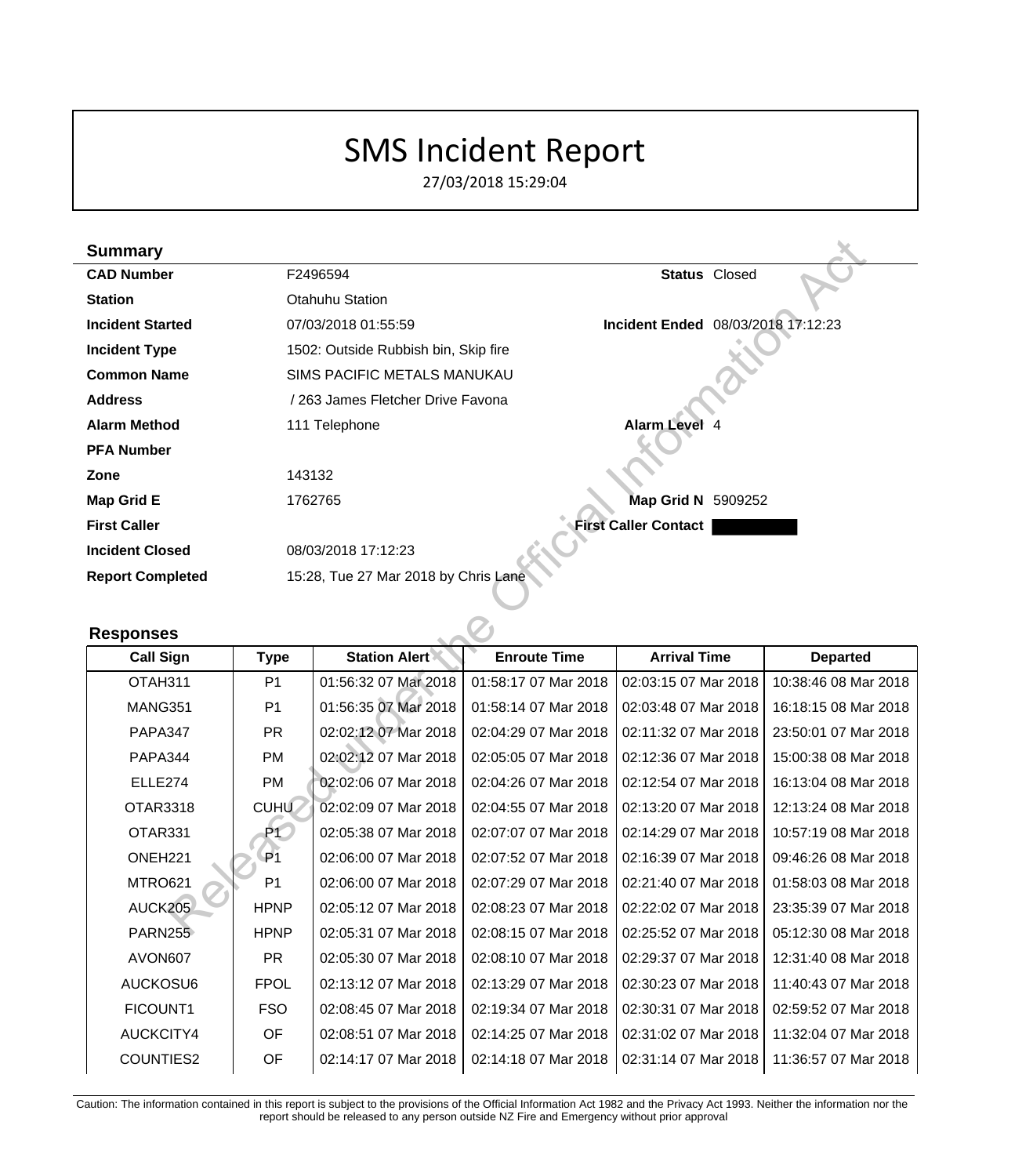# SMS Incident Report

27/03/2018 15:29:04

|                   | <b>Summary</b>          |                |                                      |                      |                                    |                      |                      |
|-------------------|-------------------------|----------------|--------------------------------------|----------------------|------------------------------------|----------------------|----------------------|
| <b>CAD Number</b> |                         |                | F2496594                             |                      |                                    | <b>Status</b> Closed |                      |
| <b>Station</b>    |                         |                | <b>Otahuhu Station</b>               |                      |                                    |                      |                      |
|                   | <b>Incident Started</b> |                | 07/03/2018 01:55:59                  |                      | Incident Ended 08/03/2018 17:12:23 |                      |                      |
|                   | <b>Incident Type</b>    |                | 1502: Outside Rubbish bin, Skip fire |                      |                                    |                      |                      |
|                   | <b>Common Name</b>      |                | SIMS PACIFIC METALS MANUKAU          |                      |                                    |                      |                      |
|                   | <b>Address</b>          |                | / 263 James Fletcher Drive Favona    |                      |                                    |                      |                      |
|                   | <b>Alarm Method</b>     |                | 111 Telephone                        |                      | <b>Alarm Level 4</b>               |                      |                      |
|                   | <b>PFA Number</b>       |                |                                      |                      |                                    |                      |                      |
|                   | Zone                    | 143132         |                                      |                      |                                    |                      |                      |
|                   | <b>Map Grid E</b>       |                | 1762765                              |                      | Map Grid N 5909252                 |                      |                      |
|                   | <b>First Caller</b>     |                |                                      |                      | <b>First Caller Contact</b>        |                      |                      |
|                   | <b>Incident Closed</b>  |                | 08/03/2018 17:12:23                  |                      |                                    |                      |                      |
|                   | <b>Report Completed</b> |                | 15:28, Tue 27 Mar 2018 by Chris Lane |                      |                                    |                      |                      |
|                   |                         |                |                                      |                      |                                    |                      |                      |
|                   |                         |                |                                      |                      |                                    |                      |                      |
|                   | <b>Responses</b>        |                |                                      |                      |                                    |                      |                      |
|                   | <b>Call Sign</b>        | <b>Type</b>    | <b>Station Alert</b>                 | <b>Enroute Time</b>  | <b>Arrival Time</b>                |                      | <b>Departed</b>      |
|                   | OTAH311                 | P <sub>1</sub> | 01:56:32 07 Mar 2018                 | 01:58:17 07 Mar 2018 | 02:03:15 07 Mar 2018               |                      | 10:38:46 08 Mar 2018 |
|                   | MANG351                 | P <sub>1</sub> | 01:56:35 07 Mar 2018                 | 01:58:14 07 Mar 2018 | 02:03:48 07 Mar 2018               |                      | 16:18:15 08 Mar 2018 |
|                   | <b>PAPA347</b>          | <b>PR</b>      | 02:02:12 07 Mar 2018                 | 02:04:29 07 Mar 2018 | 02:11:32 07 Mar 2018               |                      | 23:50:01 07 Mar 2018 |
|                   | <b>PAPA344</b>          | PM             | 02:02:12 07 Mar 2018                 | 02:05:05 07 Mar 2018 | 02:12:36 07 Mar 2018               |                      | 15:00:38 08 Mar 2018 |
|                   | ELLE274                 | PM             | 02:02:06 07 Mar 2018                 | 02:04:26 07 Mar 2018 | 02:12:54 07 Mar 2018               |                      | 16:13:04 08 Mar 2018 |
|                   | <b>OTAR3318</b>         | <b>CUHU</b>    | 02:02:09 07 Mar 2018                 | 02:04:55 07 Mar 2018 | 02:13:20 07 Mar 2018               |                      | 12:13:24 08 Mar 2018 |
|                   | OTAR331                 | P <sub>1</sub> | 02:05:38 07 Mar 2018                 | 02:07:07 07 Mar 2018 | 02:14:29 07 Mar 2018               |                      | 10:57:19 08 Mar 2018 |
|                   | ONEH <sub>221</sub>     | P <sub>1</sub> | 02:06:00 07 Mar 2018                 | 02:07:52 07 Mar 2018 | 02:16:39 07 Mar 2018               |                      | 09:46:26 08 Mar 2018 |
|                   | MTRO621                 | P <sub>1</sub> | 02:06:00 07 Mar 2018                 | 02:07:29 07 Mar 2018 | 02:21:40 07 Mar 2018               |                      | 01:58:03 08 Mar 2018 |
|                   | AUCK205                 | <b>HPNP</b>    | 02:05:12 07 Mar 2018                 | 02:08:23 07 Mar 2018 | 02:22:02 07 Mar 2018               |                      | 23:35:39 07 Mar 2018 |

#### **Responses**

| <b>Call Sign</b>    | <b>Type</b>    | <b>Station Alert</b> | <b>Enroute Time</b>  | <b>Arrival Time</b>  | <b>Departed</b>      |
|---------------------|----------------|----------------------|----------------------|----------------------|----------------------|
| OTAH311             | P <sub>1</sub> | 01:56:32 07 Mar 2018 | 01:58:17 07 Mar 2018 | 02:03:15 07 Mar 2018 | 10:38:46 08 Mar 2018 |
| MANG351             | P <sub>1</sub> | 01:56:35 07 Mar 2018 | 01:58:14 07 Mar 2018 | 02:03:48 07 Mar 2018 | 16:18:15 08 Mar 2018 |
| PAPA347             | <b>PR</b>      | 02:02:12 07 Mar 2018 | 02:04:29 07 Mar 2018 | 02:11:32 07 Mar 2018 | 23:50:01 07 Mar 2018 |
| PAPA344             | <b>PM</b>      | 02:02:12 07 Mar 2018 | 02:05:05 07 Mar 2018 | 02:12:36 07 Mar 2018 | 15:00:38 08 Mar 2018 |
| ELLE274             | <b>PM</b>      | 02:02:06 07 Mar 2018 | 02:04:26 07 Mar 2018 | 02:12:54 07 Mar 2018 | 16:13:04 08 Mar 2018 |
| <b>OTAR3318</b>     | <b>CUHU</b>    | 02:02:09 07 Mar 2018 | 02:04:55 07 Mar 2018 | 02:13:20 07 Mar 2018 | 12:13:24 08 Mar 2018 |
| OTAR331             | P1             | 02:05:38 07 Mar 2018 | 02:07:07 07 Mar 2018 | 02:14:29 07 Mar 2018 | 10:57:19 08 Mar 2018 |
| ONEH <sub>221</sub> | P <sub>1</sub> | 02:06:00 07 Mar 2018 | 02:07:52 07 Mar 2018 | 02:16:39 07 Mar 2018 | 09:46:26 08 Mar 2018 |
| MTRO621             | P <sub>1</sub> | 02:06:00 07 Mar 2018 | 02:07:29 07 Mar 2018 | 02:21:40 07 Mar 2018 | 01:58:03 08 Mar 2018 |
| AUCK205             | <b>HPNP</b>    | 02:05:12 07 Mar 2018 | 02:08:23 07 Mar 2018 | 02:22:02 07 Mar 2018 | 23:35:39 07 Mar 2018 |
| PARN255             | <b>HPNP</b>    | 02:05:31 07 Mar 2018 | 02:08:15 07 Mar 2018 | 02:25:52 07 Mar 2018 | 05:12:30 08 Mar 2018 |
| AVON607             | <b>PR</b>      | 02:05:30 07 Mar 2018 | 02:08:10 07 Mar 2018 | 02:29:37 07 Mar 2018 | 12:31:40 08 Mar 2018 |
| AUCKOSU6            | <b>FPOL</b>    | 02:13:12 07 Mar 2018 | 02:13:29 07 Mar 2018 | 02:30:23 07 Mar 2018 | 11:40:43 07 Mar 2018 |
| FICOUNT1            | FSO            | 02:08:45 07 Mar 2018 | 02:19:34 07 Mar 2018 | 02:30:31 07 Mar 2018 | 02:59:52 07 Mar 2018 |
| AUCKCITY4           | <b>OF</b>      | 02:08:51 07 Mar 2018 | 02:14:25 07 Mar 2018 | 02:31:02 07 Mar 2018 | 11:32:04 07 Mar 2018 |
| <b>COUNTIES2</b>    | OF             | 02:14:17 07 Mar 2018 | 02:14:18 07 Mar 2018 | 02:31:14 07 Mar 2018 | 11:36:57 07 Mar 2018 |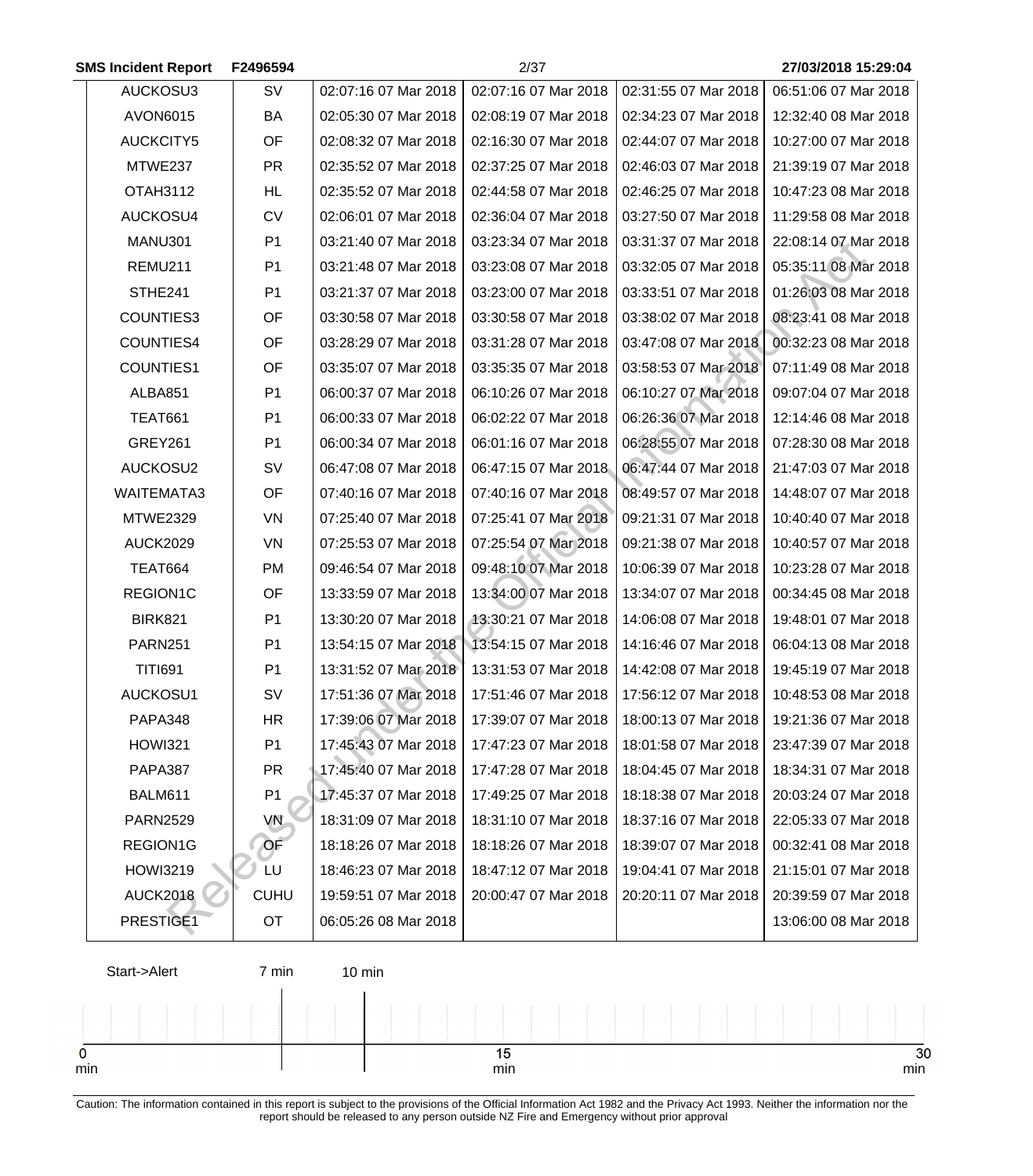| <b>SMS Incident Report</b> | F2496594       |                      | 2/37                 |                      | 27/03/2018 15:29:04  |
|----------------------------|----------------|----------------------|----------------------|----------------------|----------------------|
| AUCKOSU3                   | SV             | 02:07:16 07 Mar 2018 | 02:07:16 07 Mar 2018 | 02:31:55 07 Mar 2018 | 06:51:06 07 Mar 2018 |
| <b>AVON6015</b>            | BA             | 02:05:30 07 Mar 2018 | 02:08:19 07 Mar 2018 | 02:34:23 07 Mar 2018 | 12:32:40 08 Mar 2018 |
| <b>AUCKCITY5</b>           | OF             | 02:08:32 07 Mar 2018 | 02:16:30 07 Mar 2018 | 02:44:07 07 Mar 2018 | 10:27:00 07 Mar 2018 |
| MTWE237                    | <b>PR</b>      | 02:35:52 07 Mar 2018 | 02:37:25 07 Mar 2018 | 02:46:03 07 Mar 2018 | 21:39:19 07 Mar 2018 |
| <b>OTAH3112</b>            | HL             | 02:35:52 07 Mar 2018 | 02:44:58 07 Mar 2018 | 02:46:25 07 Mar 2018 | 10:47:23 08 Mar 2018 |
| AUCKOSU4                   | <b>CV</b>      | 02:06:01 07 Mar 2018 | 02:36:04 07 Mar 2018 | 03:27:50 07 Mar 2018 | 11:29:58 08 Mar 2018 |
| MANU301                    | P <sub>1</sub> | 03:21:40 07 Mar 2018 | 03:23:34 07 Mar 2018 | 03:31:37 07 Mar 2018 | 22:08:14 07 Mar 2018 |
| REMU211                    | P <sub>1</sub> | 03:21:48 07 Mar 2018 | 03:23:08 07 Mar 2018 | 03:32:05 07 Mar 2018 | 05:35:11 08 Mar 2018 |
| STHE241                    | P <sub>1</sub> | 03:21:37 07 Mar 2018 | 03:23:00 07 Mar 2018 | 03:33:51 07 Mar 2018 | 01:26:03 08 Mar 2018 |
| COUNTIES3                  | OF             | 03:30:58 07 Mar 2018 | 03:30:58 07 Mar 2018 | 03:38:02 07 Mar 2018 | 08:23:41 08 Mar 2018 |
| <b>COUNTIES4</b>           | OF             | 03:28:29 07 Mar 2018 | 03:31:28 07 Mar 2018 | 03:47:08 07 Mar 2018 | 00:32:23 08 Mar 2018 |
| <b>COUNTIES1</b>           | OF             | 03:35:07 07 Mar 2018 | 03:35:35 07 Mar 2018 | 03:58:53 07 Mar 2018 | 07:11:49 08 Mar 2018 |
| ALBA851                    | P <sub>1</sub> | 06:00:37 07 Mar 2018 | 06:10:26 07 Mar 2018 | 06:10:27 07 Mar 2018 | 09:07:04 07 Mar 2018 |
| <b>TEAT661</b>             | P <sub>1</sub> | 06:00:33 07 Mar 2018 | 06:02:22 07 Mar 2018 | 06:26:36 07 Mar 2018 | 12:14:46 08 Mar 2018 |
| GREY261                    | P <sub>1</sub> | 06:00:34 07 Mar 2018 | 06:01:16 07 Mar 2018 | 06:28:55 07 Mar 2018 | 07:28:30 08 Mar 2018 |
| AUCKOSU2                   | <b>SV</b>      | 06:47:08 07 Mar 2018 | 06:47:15 07 Mar 2018 | 06:47:44 07 Mar 2018 | 21:47:03 07 Mar 2018 |
| WAITEMATA3                 | OF             | 07:40:16 07 Mar 2018 | 07:40:16 07 Mar 2018 | 08:49:57 07 Mar 2018 | 14:48:07 07 Mar 2018 |
| <b>MTWE2329</b>            | VN             | 07:25:40 07 Mar 2018 | 07:25:41 07 Mar 2018 | 09:21:31 07 Mar 2018 | 10:40:40 07 Mar 2018 |
| <b>AUCK2029</b>            | VN             | 07:25:53 07 Mar 2018 | 07:25:54 07 Mar 2018 | 09:21:38 07 Mar 2018 | 10:40:57 07 Mar 2018 |
| TEAT664                    | <b>PM</b>      | 09:46:54 07 Mar 2018 | 09:48:10 07 Mar 2018 | 10:06:39 07 Mar 2018 | 10:23:28 07 Mar 2018 |
| REGION1C                   | OF             | 13:33:59 07 Mar 2018 | 13:34:00 07 Mar 2018 | 13:34:07 07 Mar 2018 | 00:34:45 08 Mar 2018 |
| <b>BIRK821</b>             | P <sub>1</sub> | 13:30:20 07 Mar 2018 | 13:30:21 07 Mar 2018 | 14:06:08 07 Mar 2018 | 19:48:01 07 Mar 2018 |
| <b>PARN251</b>             | P <sub>1</sub> | 13:54:15 07 Mar 2018 | 13:54:15 07 Mar 2018 | 14:16:46 07 Mar 2018 | 06:04:13 08 Mar 2018 |
| <b>TITI691</b>             | P <sub>1</sub> | 13:31:52 07 Mar 2018 | 13:31:53 07 Mar 2018 | 14:42:08 07 Mar 2018 | 19:45:19 07 Mar 2018 |
| AUCKOSU1                   | <b>SV</b>      | 17:51:36 07 Mar 2018 | 17:51:46 07 Mar 2018 | 17:56:12 07 Mar 2018 | 10:48:53 08 Mar 2018 |
| PAPA348                    | <b>HR</b>      | 17:39:06 07 Mar 2018 | 17:39:07 07 Mar 2018 | 18:00:13 07 Mar 2018 | 19:21:36 07 Mar 2018 |
| <b>HOWI321</b>             | P <sub>1</sub> | 17:45:43 07 Mar 2018 | 17:47:23 07 Mar 2018 | 18:01:58 07 Mar 2018 | 23:47:39 07 Mar 2018 |
| PAPA387                    | <b>PR</b>      | 17:45:40 07 Mar 2018 | 17:47:28 07 Mar 2018 | 18:04:45 07 Mar 2018 | 18:34:31 07 Mar 2018 |
| BALM611                    | P <sub>1</sub> | 17:45:37 07 Mar 2018 | 17:49:25 07 Mar 2018 | 18:18:38 07 Mar 2018 | 20:03:24 07 Mar 2018 |
| <b>PARN2529</b>            | VN             | 18:31:09 07 Mar 2018 | 18:31:10 07 Mar 2018 | 18:37:16 07 Mar 2018 | 22:05:33 07 Mar 2018 |
| REGION1G                   | OF             | 18:18:26 07 Mar 2018 | 18:18:26 07 Mar 2018 | 18:39:07 07 Mar 2018 | 00:32:41 08 Mar 2018 |
| <b>HOWI3219</b>            | LU             | 18:46:23 07 Mar 2018 | 18:47:12 07 Mar 2018 | 19:04:41 07 Mar 2018 | 21:15:01 07 Mar 2018 |
| <b>AUCK2018</b>            | <b>CUHU</b>    | 19:59:51 07 Mar 2018 | 20:00:47 07 Mar 2018 | 20:20:11 07 Mar 2018 | 20:39:59 07 Mar 2018 |
| PRESTIGE1                  | <b>OT</b>      | 06:05:26 08 Mar 2018 |                      |                      | 13:06:00 08 Mar 2018 |
|                            |                |                      |                      |                      |                      |

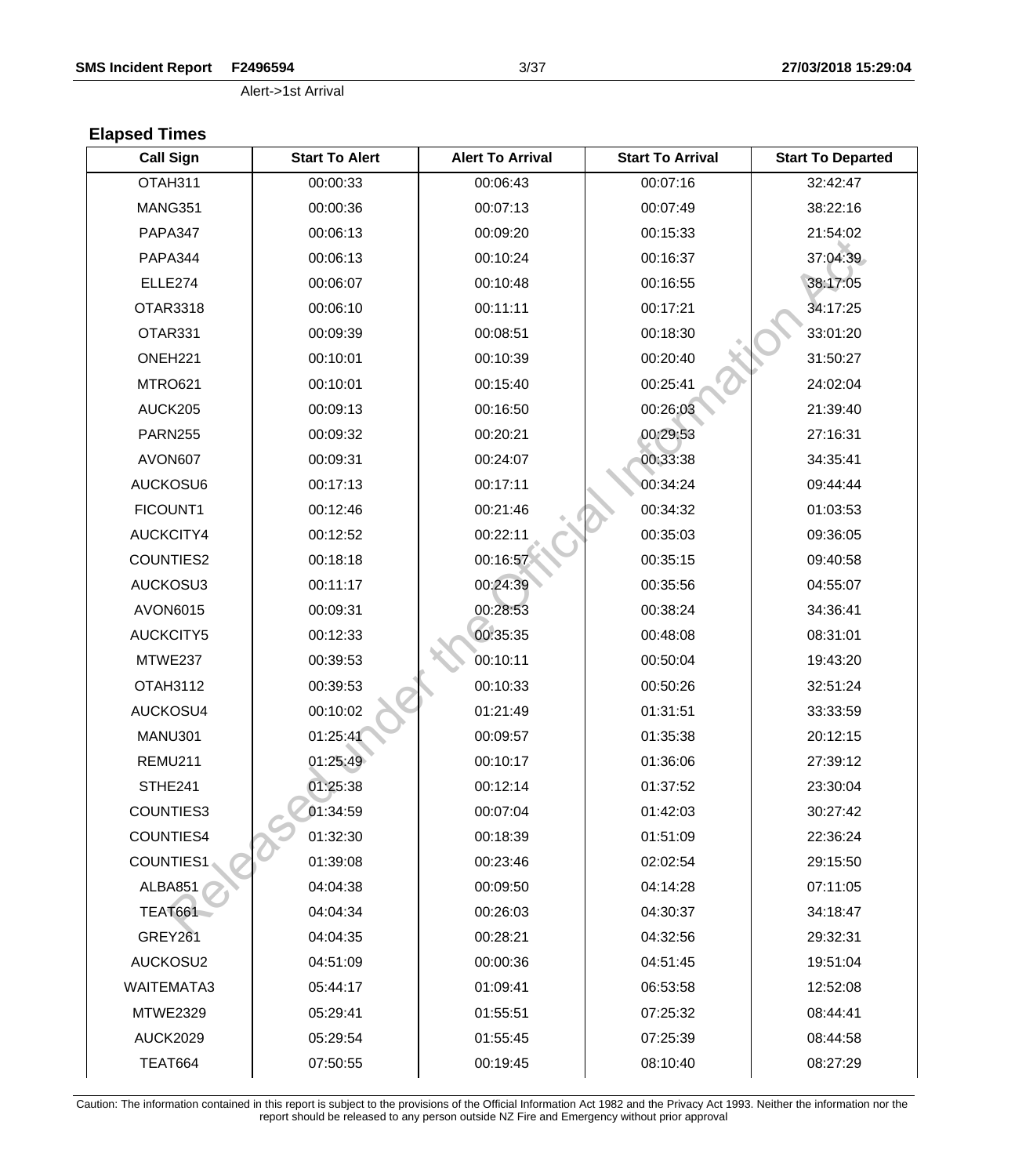#### **SMS Incident Report F2496594** 3/37 **27/03/2018 15:29:04**

Alert->1st Arrival

# **Elapsed Times**

| <b>Call Sign</b>  | <b>Start To Alert</b> | <b>Alert To Arrival</b> | <b>Start To Arrival</b> | <b>Start To Departed</b> |
|-------------------|-----------------------|-------------------------|-------------------------|--------------------------|
| OTAH311           | 00:00:33              | 00:06:43                | 00:07:16                | 32:42:47                 |
| MANG351           | 00:00:36              | 00:07:13                | 00:07:49                | 38:22:16                 |
| <b>PAPA347</b>    | 00:06:13              | 00:09:20                | 00:15:33                | 21:54:02                 |
| PAPA344           | 00:06:13              | 00:10:24                | 00:16:37                | 37:04:39                 |
| ELLE274           | 00:06:07              | 00:10:48                | 00:16:55                | 38:17:05                 |
| <b>OTAR3318</b>   | 00:06:10              | 00:11:11                | 00:17:21                | 34:17:25                 |
| OTAR331           | 00:09:39              | 00:08:51                | 00:18:30                | 33:01:20                 |
| ONEH221           | 00:10:01              | 00:10:39                | 00:20:40                | 31:50:27                 |
| MTRO621           | 00:10:01              | 00:15:40                | 00:25:41                | 24:02:04                 |
| AUCK205           | 00:09:13              | 00:16:50                | 00:26:03                | 21:39:40                 |
| <b>PARN255</b>    | 00:09:32              | 00:20:21                | 00:29:53                | 27:16:31                 |
| AVON607           | 00:09:31              | 00:24:07                | 00:33:38                | 34:35:41                 |
| AUCKOSU6          | 00:17:13              | 00:17:11                | 00:34:24                | 09:44:44                 |
| FICOUNT1          | 00:12:46              | 00:21:46                | 00:34:32                | 01:03:53                 |
| AUCKCITY4         | 00:12:52              | 00:22:11                | 00:35:03                | 09:36:05                 |
| COUNTIES2         | 00:18:18              | 00:16:57                | 00:35:15                | 09:40:58                 |
| AUCKOSU3          | 00:11:17              | 00:24:39                | 00:35:56                | 04:55:07                 |
| AVON6015          | 00:09:31              | 00:28:53                | 00:38:24                | 34:36:41                 |
| <b>AUCKCITY5</b>  | 00:12:33              | 00:35:35                | 00:48:08                | 08:31:01                 |
| MTWE237           | 00:39:53              | 00:10:11                | 00:50:04                | 19:43:20                 |
| OTAH3112          | 00:39:53              | 00:10:33                | 00:50:26                | 32:51:24                 |
| AUCKOSU4          | 00:10:02              | 01:21:49                | 01:31:51                | 33:33:59                 |
| MANU301           | 01:25:41              | 00:09:57                | 01:35:38                | 20:12:15                 |
| REMU211           | 01:25:49              | 00:10:17                | 01:36:06                | 27:39:12                 |
| STHE241           | 01:25:38              | 00:12:14                | 01:37:52                | 23:30:04                 |
| <b>COUNTIES3</b>  | 01:34:59              | 00:07:04                | 01:42:03                | 30:27:42                 |
| <b>COUNTIES4</b>  | 01:32:30              | 00:18:39                | 01:51:09                | 22:36:24                 |
| <b>COUNTIES1</b>  | 01:39:08              | 00:23:46                | 02:02:54                | 29:15:50                 |
| ALBA851           | 04:04:38              | 00:09:50                | 04:14:28                | 07:11:05                 |
| <b>TEAT661</b>    | 04:04:34              | 00:26:03                | 04:30:37                | 34:18:47                 |
| <b>GREY261</b>    | 04:04:35              | 00:28:21                | 04:32:56                | 29:32:31                 |
| AUCKOSU2          | 04:51:09              | 00:00:36                | 04:51:45                | 19:51:04                 |
| <b>WAITEMATA3</b> | 05:44:17              | 01:09:41                | 06:53:58                | 12:52:08                 |
| <b>MTWE2329</b>   | 05:29:41              | 01:55:51                | 07:25:32                | 08:44:41                 |
| <b>AUCK2029</b>   | 05:29:54              | 01:55:45                | 07:25:39                | 08:44:58                 |
| TEAT664           | 07:50:55              | 00:19:45                | 08:10:40                | 08:27:29                 |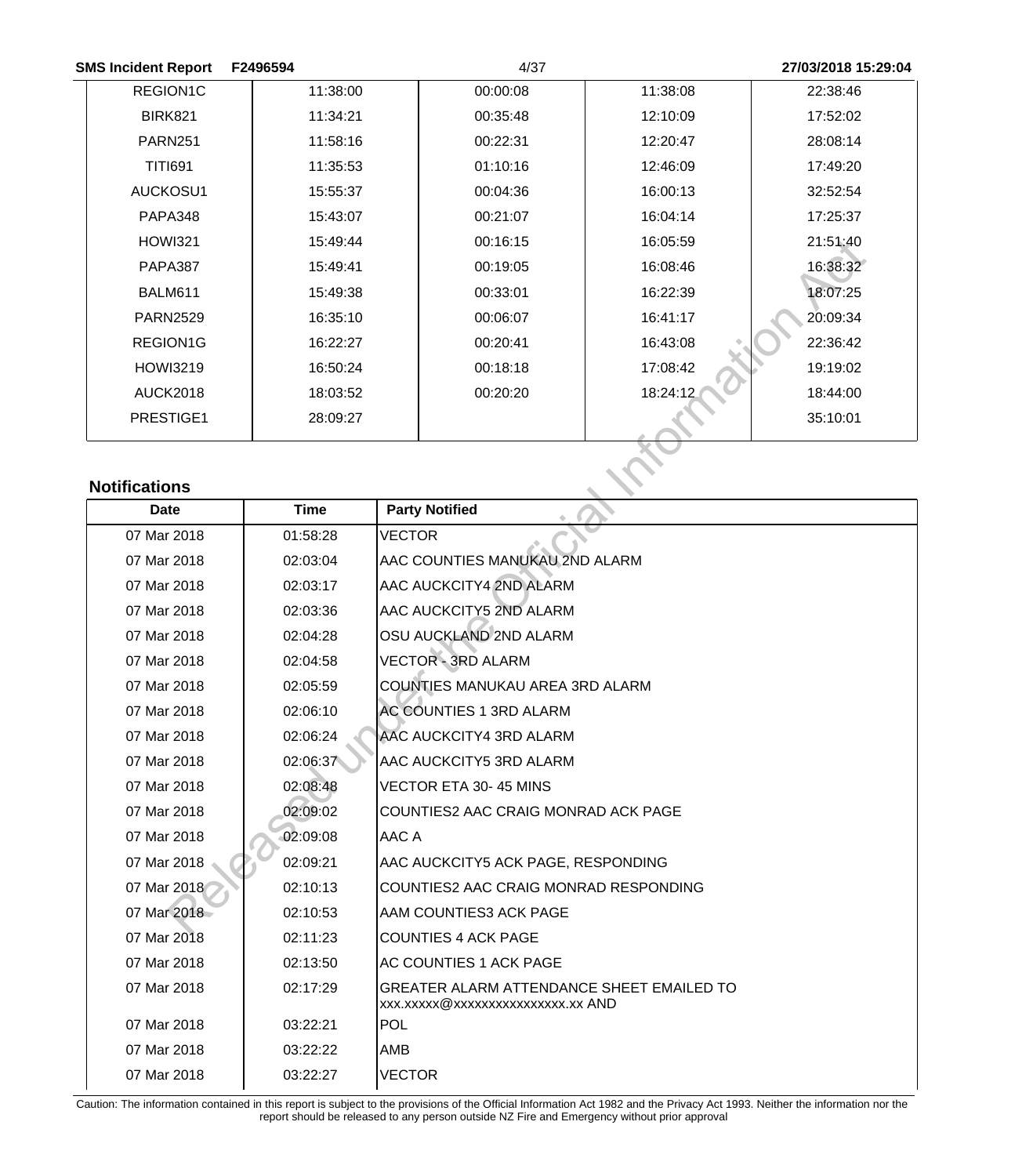| <b>SMS Incident Report</b> | F2496594 | 4/37     |          | 27/03/2018 15:29:04 |
|----------------------------|----------|----------|----------|---------------------|
| REGION1C                   | 11:38:00 | 00:00:08 | 11:38:08 | 22:38:46            |
| <b>BIRK821</b>             | 11:34:21 | 00:35:48 | 12:10:09 | 17:52:02            |
| <b>PARN251</b>             | 11:58:16 | 00:22:31 | 12:20:47 | 28:08:14            |
| <b>TITI691</b>             | 11:35:53 | 01:10:16 | 12:46:09 | 17:49:20            |
| AUCKOSU1                   | 15:55:37 | 00:04:36 | 16:00:13 | 32:52:54            |
| PAPA348                    | 15:43:07 | 00:21:07 | 16:04:14 | 17:25:37            |
| <b>HOWI321</b>             | 15:49:44 | 00:16:15 | 16:05:59 | 21:51:40            |
| PAPA387                    | 15:49:41 | 00:19:05 | 16:08:46 | 16:38:32            |
| BALM611                    | 15:49:38 | 00:33:01 | 16:22:39 | 18:07:25            |
| <b>PARN2529</b>            | 16:35:10 | 00:06:07 | 16:41:17 | 20:09:34            |
| <b>REGION1G</b>            | 16:22:27 | 00:20:41 | 16:43:08 | 22:36:42            |
| <b>HOWI3219</b>            | 16:50:24 | 00:18:18 | 17:08:42 | 19:19:02            |
| <b>AUCK2018</b>            | 18:03:52 | 00:20:20 | 18:24:12 | 18:44:00            |
| PRESTIGE1                  | 28:09:27 |          |          | 35:10:01            |

# **Notifications**

|                      |             |                                                                                | 16:05:59 | 21:51:40 |
|----------------------|-------------|--------------------------------------------------------------------------------|----------|----------|
| <b>PAPA387</b>       | 15:49:41    | 00:19:05                                                                       | 16:08:46 | 16:38:32 |
| BALM611              | 15:49:38    | 00:33:01                                                                       | 16:22:39 | 18:07:25 |
| <b>PARN2529</b>      | 16:35:10    | 00:06:07                                                                       | 16:41:17 | 20:09:34 |
| REGION1G             | 16:22:27    | 00:20:41                                                                       | 16:43:08 | 22:36:42 |
| <b>HOWI3219</b>      | 16:50:24    | 00:18:18                                                                       | 17:08:42 | 19:19:02 |
| <b>AUCK2018</b>      | 18:03:52    | 00:20:20                                                                       | 18:24:12 | 18:44:00 |
| PRESTIGE1            | 28:09:27    |                                                                                |          | 35:10:01 |
| <b>Notifications</b> |             |                                                                                |          |          |
| <b>Date</b>          | <b>Time</b> | <b>Party Notified</b>                                                          |          |          |
| 07 Mar 2018          | 01:58:28    | <b>VECTOR</b>                                                                  |          |          |
| 07 Mar 2018          | 02:03:04    | AAC COUNTIES MANUKAU 2ND ALARM                                                 |          |          |
| 07 Mar 2018          | 02:03:17    | AAC AUCKCITY4 2ND ALARM                                                        |          |          |
| 07 Mar 2018          | 02:03:36    | AAC AUCKCITY5 2ND ALARM                                                        |          |          |
| 07 Mar 2018          | 02:04:28    | OSU AUCKLAND 2ND ALARM                                                         |          |          |
| 07 Mar 2018          | 02:04:58    | <b>VECTOR - 3RD ALARM</b>                                                      |          |          |
| 07 Mar 2018          | 02:05:59    | COUNTIES MANUKAU AREA 3RD ALARM                                                |          |          |
| 07 Mar 2018          | 02:06:10    | <b>AC COUNTIES 1 3RD ALARM</b>                                                 |          |          |
| 07 Mar 2018          | 02:06:24    | AAC AUCKCITY4 3RD ALARM                                                        |          |          |
| 07 Mar 2018          | 02:06:37    | AAC AUCKCITY5 3RD ALARM                                                        |          |          |
| 07 Mar 2018          | 02:08:48    | VECTOR ETA 30-45 MINS                                                          |          |          |
| 07 Mar 2018          | 02:09:02    | COUNTIES2 AAC CRAIG MONRAD ACK PAGE                                            |          |          |
| 07 Mar 2018          | 02:09:08    | AAC A                                                                          |          |          |
| 07 Mar 2018          | 02:09:21    | AAC AUCKCITY5 ACK PAGE, RESPONDING                                             |          |          |
| 07 Mar 2018          | 02:10:13    | COUNTIES2 AAC CRAIG MONRAD RESPONDING                                          |          |          |
| 07 Mar 2018          | 02:10:53    | <b>AAM COUNTIES3 ACK PAGE</b>                                                  |          |          |
| 07 Mar 2018          | 02:11:23    | <b>COUNTIES 4 ACK PAGE</b>                                                     |          |          |
| 07 Mar 2018          | 02:13:50    | <b>AC COUNTIES 1 ACK PAGE</b>                                                  |          |          |
| 07 Mar 2018          | 02:17:29    | GREATER ALARM ATTENDANCE SHEET EMAILED TO<br>xxx.xxxxx@xxxxxxxxxxxxxxxx.xx AND |          |          |
| 07 Mar 2018          | 03:22:21    | POL                                                                            |          |          |
| 07 Mar 2018          | 03:22:22    | AMB                                                                            |          |          |
| 07 Mar 2018          | 03:22:27    | <b>VECTOR</b>                                                                  |          |          |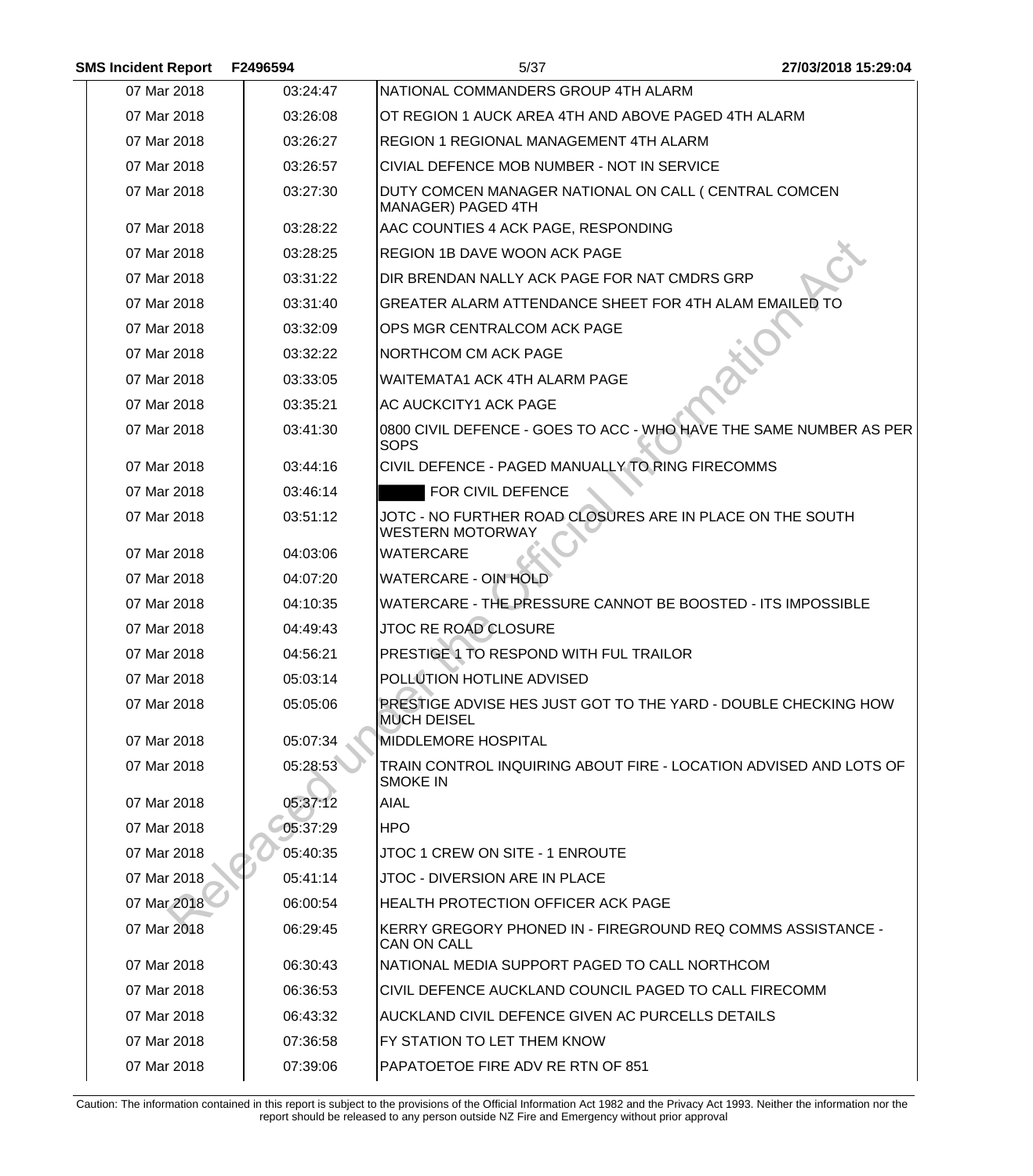| <b>SMS Incident Report</b> | F2496594 | 5/37                                                                                 | 27/03/2018 15:29:04 |
|----------------------------|----------|--------------------------------------------------------------------------------------|---------------------|
| 07 Mar 2018                | 03:24:47 | NATIONAL COMMANDERS GROUP 4TH ALARM                                                  |                     |
| 07 Mar 2018                | 03:26:08 | OT REGION 1 AUCK AREA 4TH AND ABOVE PAGED 4TH ALARM                                  |                     |
| 07 Mar 2018                | 03:26:27 | <b>REGION 1 REGIONAL MANAGEMENT 4TH ALARM</b>                                        |                     |
| 07 Mar 2018                | 03:26:57 | CIVIAL DEFENCE MOB NUMBER - NOT IN SERVICE                                           |                     |
| 07 Mar 2018                | 03:27:30 | DUTY COMCEN MANAGER NATIONAL ON CALL ( CENTRAL COMCEN<br>MANAGER) PAGED 4TH          |                     |
| 07 Mar 2018                | 03:28:22 | AAC COUNTIES 4 ACK PAGE, RESPONDING                                                  |                     |
| 07 Mar 2018                | 03:28:25 | <b>REGION 1B DAVE WOON ACK PAGE</b>                                                  |                     |
| 07 Mar 2018                | 03:31:22 | DIR BRENDAN NALLY ACK PAGE FOR NAT CMDRS GRP                                         |                     |
| 07 Mar 2018                | 03:31:40 | GREATER ALARM ATTENDANCE SHEET FOR 4TH ALAM EMAILED TO                               |                     |
| 07 Mar 2018                | 03:32:09 | OPS MGR CENTRALCOM ACK PAGE                                                          |                     |
| 07 Mar 2018                | 03:32:22 | <b>NORTHCOM CM ACK PAGE</b>                                                          |                     |
| 07 Mar 2018                | 03:33:05 | <b>WAITEMATA1 ACK 4TH ALARM PAGE</b>                                                 |                     |
| 07 Mar 2018                | 03:35:21 | AC AUCKCITY1 ACK PAGE                                                                |                     |
| 07 Mar 2018                | 03:41:30 | 0800 CIVIL DEFENCE - GOES TO ACC - WHO HAVE THE SAME NUMBER AS PER<br><b>SOPS</b>    |                     |
| 07 Mar 2018                | 03:44:16 | CIVIL DEFENCE - PAGED MANUALLY TO RING FIRECOMMS                                     |                     |
| 07 Mar 2018                | 03:46:14 | FOR CIVIL DEFENCE                                                                    |                     |
| 07 Mar 2018                | 03:51:12 | JOTC - NO FURTHER ROAD CLOSURES ARE IN PLACE ON THE SOUTH<br><b>WESTERN MOTORWAY</b> |                     |
| 07 Mar 2018                | 04:03:06 | <b>WATERCARE</b>                                                                     |                     |
| 07 Mar 2018                | 04:07:20 | WATERCARE - OIN HOLD                                                                 |                     |
| 07 Mar 2018                | 04:10:35 | WATERCARE - THE PRESSURE CANNOT BE BOOSTED - ITS IMPOSSIBLE                          |                     |
| 07 Mar 2018                | 04:49:43 | JTOC RE ROAD CLOSURE                                                                 |                     |
| 07 Mar 2018                | 04:56:21 | PRESTIGE 1 TO RESPOND WITH FUL TRAILOR                                               |                     |
| 07 Mar 2018                | 05:03:14 | POLLUTION HOTLINE ADVISED                                                            |                     |
| 07 Mar 2018                | 05:05:06 | PRESTIGE ADVISE HES JUST GOT TO THE YARD - DOUBLE CHECKING HOW<br><b>MUCH DEISEL</b> |                     |
| 07 Mar 2018                | 05:07:34 | <b>MIDDLEMORE HOSPITAL</b>                                                           |                     |
| 07 Mar 2018                | 05:28:53 | TRAIN CONTROL INQUIRING ABOUT FIRE - LOCATION ADVISED AND LOTS OF<br><b>SMOKE IN</b> |                     |
| 07 Mar 2018                | 05:37:12 | AIAL                                                                                 |                     |
| 07 Mar 2018                | 05:37:29 | <b>HPO</b>                                                                           |                     |
| 07 Mar 2018                | 05:40:35 | JTOC 1 CREW ON SITE - 1 ENROUTE                                                      |                     |
| 07 Mar 2018                | 05:41:14 | JTOC - DIVERSION ARE IN PLACE                                                        |                     |
| 07 Mar 2018                | 06:00:54 | <b>HEALTH PROTECTION OFFICER ACK PAGE</b>                                            |                     |
| 07 Mar 2018                | 06:29:45 | KERRY GREGORY PHONED IN - FIREGROUND REQ COMMS ASSISTANCE -<br><b>CAN ON CALL</b>    |                     |
| 07 Mar 2018                | 06:30:43 | NATIONAL MEDIA SUPPORT PAGED TO CALL NORTHCOM                                        |                     |
| 07 Mar 2018                | 06:36:53 | CIVIL DEFENCE AUCKLAND COUNCIL PAGED TO CALL FIRECOMM                                |                     |
| 07 Mar 2018                | 06:43:32 | AUCKLAND CIVIL DEFENCE GIVEN AC PURCELLS DETAILS                                     |                     |
| 07 Mar 2018                | 07:36:58 | FY STATION TO LET THEM KNOW                                                          |                     |
| 07 Mar 2018                | 07:39:06 | PAPATOETOE FIRE ADV RE RTN OF 851                                                    |                     |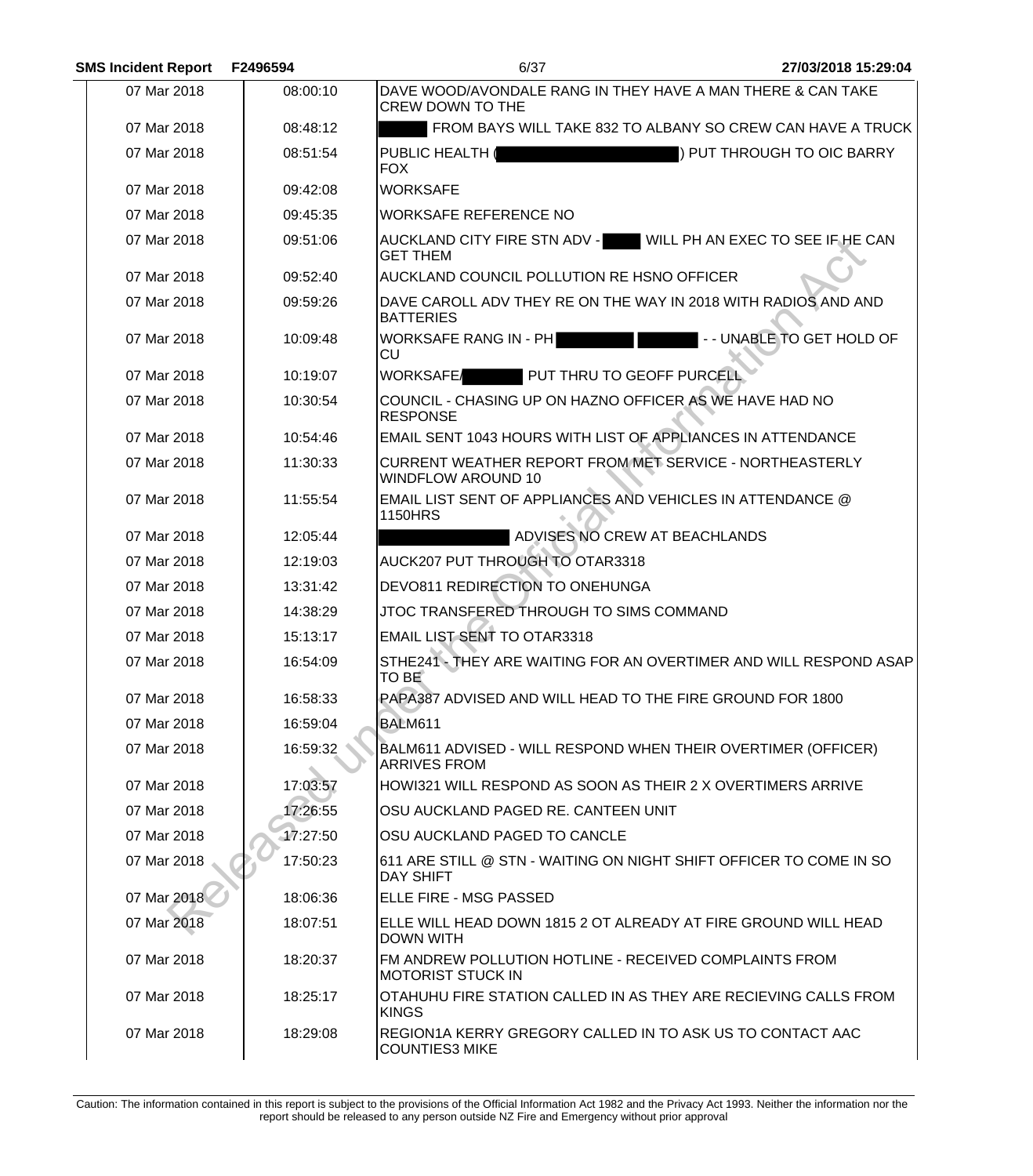| <b>SMS Incident Report</b> | F2496594 | 6/37                                                                                   | 27/03/2018 15:29:04        |
|----------------------------|----------|----------------------------------------------------------------------------------------|----------------------------|
| 07 Mar 2018                | 08:00:10 | DAVE WOOD/AVONDALE RANG IN THEY HAVE A MAN THERE & CAN TAKE<br><b>CREW DOWN TO THE</b> |                            |
| 07 Mar 2018                | 08:48:12 | FROM BAYS WILL TAKE 832 TO ALBANY SO CREW CAN HAVE A TRUCK                             |                            |
| 07 Mar 2018                | 08:51:54 | <b>PUBLIC HEALTH</b><br><b>FOX</b>                                                     | ) PUT THROUGH TO OIC BARRY |
| 07 Mar 2018                | 09:42:08 | <b>WORKSAFE</b>                                                                        |                            |
| 07 Mar 2018                | 09:45:35 | <b>WORKSAFE REFERENCE NO</b>                                                           |                            |
| 07 Mar 2018                | 09:51:06 | AUCKLAND CITY FIRE STN ADV - WILL PH AN EXEC TO SEE IF HE CAN<br><b>GET THEM</b>       |                            |
| 07 Mar 2018                | 09:52:40 | AUCKLAND COUNCIL POLLUTION RE HSNO OFFICER                                             |                            |
| 07 Mar 2018                | 09:59:26 | DAVE CAROLL ADV THEY RE ON THE WAY IN 2018 WITH RADIOS AND AND<br><b>BATTERIES</b>     |                            |
| 07 Mar 2018                | 10:09:48 | <b>WORKSAFE RANG IN - PH</b><br><b>CU</b>                                              | -- UNABLE TO GET HOLD OF   |
| 07 Mar 2018                | 10:19:07 | PUT THRU TO GEOFF PURCELL<br><b>WORKSAFE</b>                                           |                            |
| 07 Mar 2018                | 10:30:54 | COUNCIL - CHASING UP ON HAZNO OFFICER AS WE HAVE HAD NO<br><b>RESPONSE</b>             |                            |
| 07 Mar 2018                | 10:54:46 | <b>EMAIL SENT 1043 HOURS WITH LIST OF APPLIANCES IN ATTENDANCE</b>                     |                            |
| 07 Mar 2018                | 11:30:33 | CURRENT WEATHER REPORT FROM MET SERVICE - NORTHEASTERLY<br><b>WINDFLOW AROUND 10</b>   |                            |
| 07 Mar 2018                | 11:55:54 | EMAIL LIST SENT OF APPLIANCES AND VEHICLES IN ATTENDANCE @<br><b>1150HRS</b>           |                            |
| 07 Mar 2018                | 12:05:44 | ADVISES NO CREW AT BEACHLANDS                                                          |                            |
| 07 Mar 2018                | 12:19:03 | AUCK207 PUT THROUGH TO OTAR3318                                                        |                            |
| 07 Mar 2018                | 13:31:42 | DEVO811 REDIRECTION TO ONEHUNGA                                                        |                            |
| 07 Mar 2018                | 14:38:29 | JTOC TRANSFERED THROUGH TO SIMS COMMAND                                                |                            |
| 07 Mar 2018                | 15:13:17 | <b>EMAIL LIST SENT TO OTAR3318</b>                                                     |                            |
| 07 Mar 2018                | 16:54:09 | STHE241 - THEY ARE WAITING FOR AN OVERTIMER AND WILL RESPOND ASAP<br>TO BE             |                            |
| 07 Mar 2018                | 16:58:33 | PAPA387 ADVISED AND WILL HEAD TO THE FIRE GROUND FOR 1800                              |                            |
| 07 Mar 2018                | 16:59:04 | <b>BALM611</b>                                                                         |                            |
| 07 Mar 2018                | 16:59:32 | BALM611 ADVISED - WILL RESPOND WHEN THEIR OVERTIMER (OFFICER)<br><b>ARRIVES FROM</b>   |                            |
| 07 Mar 2018                | 17:03:57 | HOWI321 WILL RESPOND AS SOON AS THEIR 2 X OVERTIMERS ARRIVE                            |                            |
| 07 Mar 2018                | 17:26:55 | OSU AUCKLAND PAGED RE. CANTEEN UNIT                                                    |                            |
| 07 Mar 2018                | 17:27:50 | OSU AUCKLAND PAGED TO CANCLE                                                           |                            |
| 07 Mar 2018                | 17:50:23 | 611 ARE STILL @ STN - WAITING ON NIGHT SHIFT OFFICER TO COME IN SO<br><b>DAY SHIFT</b> |                            |
| 07 Mar 2018                | 18:06:36 | <b>ELLE FIRE - MSG PASSED</b>                                                          |                            |
| 07 Mar 2018                | 18:07:51 | ELLE WILL HEAD DOWN 1815 2 OT ALREADY AT FIRE GROUND WILL HEAD<br><b>DOWN WITH</b>     |                            |
| 07 Mar 2018                | 18:20:37 | FM ANDREW POLLUTION HOTLINE - RECEIVED COMPLAINTS FROM<br><b>MOTORIST STUCK IN</b>     |                            |
| 07 Mar 2018                | 18:25:17 | OTAHUHU FIRE STATION CALLED IN AS THEY ARE RECIEVING CALLS FROM<br><b>KINGS</b>        |                            |
| 07 Mar 2018                | 18:29:08 | REGION1A KERRY GREGORY CALLED IN TO ASK US TO CONTACT AAC<br><b>COUNTIES3 MIKE</b>     |                            |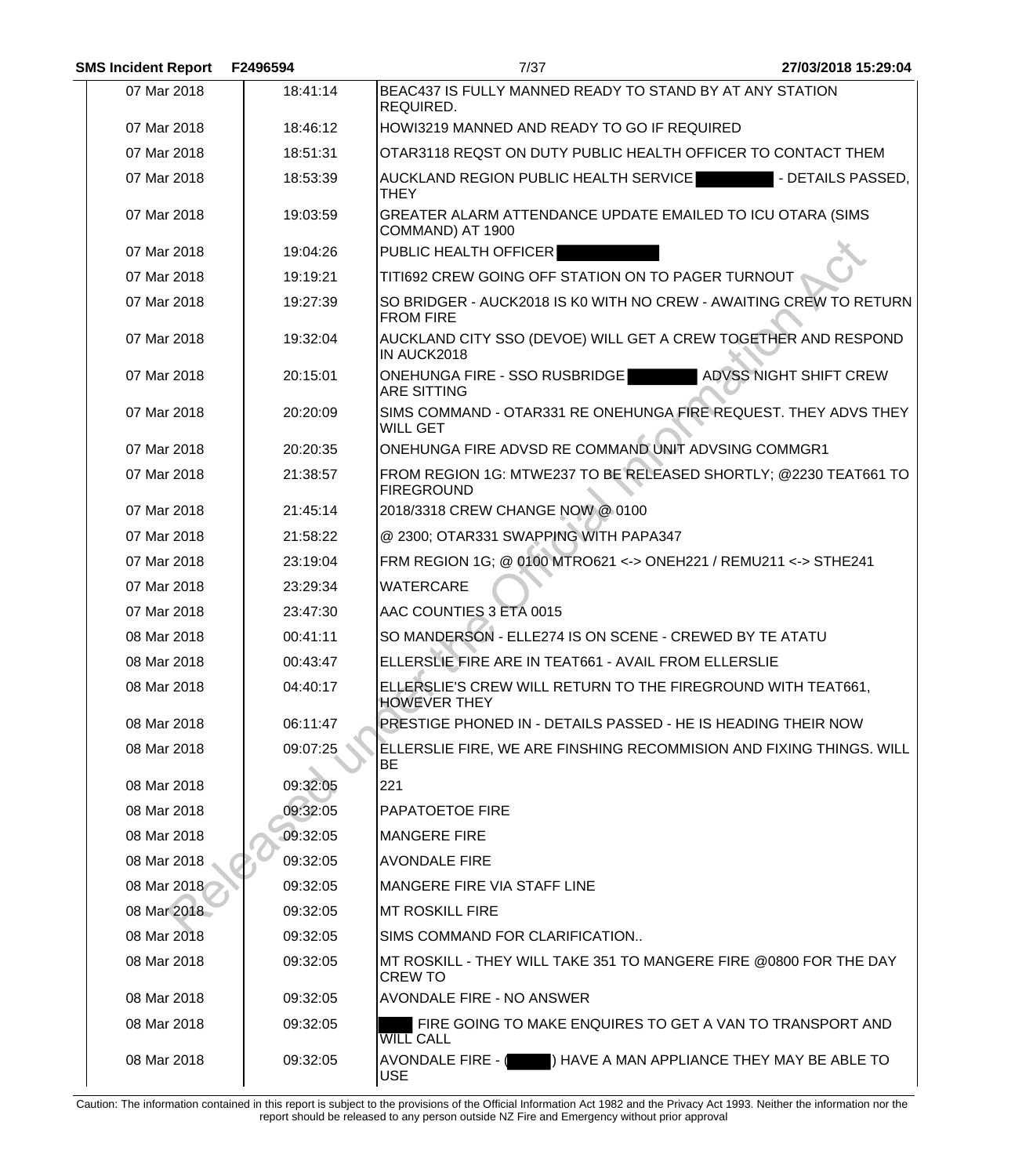| <b>SMS Incident Report</b> | F2496594 | 7/37                                                                                          | 27/03/2018 15:29:04    |
|----------------------------|----------|-----------------------------------------------------------------------------------------------|------------------------|
| 07 Mar 2018                | 18:41:14 | BEAC437 IS FULLY MANNED READY TO STAND BY AT ANY STATION<br>REQUIRED.                         |                        |
| 07 Mar 2018                | 18:46:12 | HOWI3219 MANNED AND READY TO GO IF REQUIRED                                                   |                        |
| 07 Mar 2018                | 18:51:31 | OTAR3118 REQST ON DUTY PUBLIC HEALTH OFFICER TO CONTACT THEM                                  |                        |
| 07 Mar 2018                | 18:53:39 | AUCKLAND REGION PUBLIC HEALTH SERVICE<br><b>THEY</b>                                          | - DETAILS PASSED,      |
| 07 Mar 2018                | 19:03:59 | GREATER ALARM ATTENDANCE UPDATE EMAILED TO ICU OTARA (SIMS<br>COMMAND) AT 1900                |                        |
| 07 Mar 2018                | 19:04:26 | PUBLIC HEALTH OFFICER                                                                         |                        |
| 07 Mar 2018                | 19:19:21 | TITI692 CREW GOING OFF STATION ON TO PAGER TURNOUT                                            |                        |
| 07 Mar 2018                | 19:27:39 | SO BRIDGER - AUCK2018 IS K0 WITH NO CREW - AWAITING CREW TO RETURN<br><b>FROM FIRE</b>        |                        |
| 07 Mar 2018                | 19:32:04 | AUCKLAND CITY SSO (DEVOE) WILL GET A CREW TOGETHER AND RESPOND<br>IN AUCK2018                 |                        |
| 07 Mar 2018                | 20:15:01 | <b>ONEHUNGA FIRE - SSO RUSBRIDGE</b><br><b>ARE SITTING</b>                                    | ADVSS NIGHT SHIFT CREW |
| 07 Mar 2018                | 20:20:09 | SIMS COMMAND - OTAR331 RE ONEHUNGA FIRE REQUEST. THEY ADVS THEY<br><b>WILL GET</b>            |                        |
| 07 Mar 2018                | 20:20:35 | ONEHUNGA FIRE ADVSD RE COMMAND UNIT ADVSING COMMGR1                                           |                        |
| 07 Mar 2018                | 21:38:57 | FROM REGION 1G: MTWE237 TO BE RELEASED SHORTLY; @2230 TEAT661 TO<br><b>FIREGROUND</b>         |                        |
| 07 Mar 2018                | 21:45:14 | 2018/3318 CREW CHANGE NOW @ 0100                                                              |                        |
| 07 Mar 2018                | 21:58:22 | @ 2300; OTAR331 SWAPPING WITH PAPA347                                                         |                        |
| 07 Mar 2018                | 23:19:04 | FRM REGION 1G; @ 0100 MTRO621 <-> ONEH221 / REMU211 <-> STHE241                               |                        |
| 07 Mar 2018                | 23:29:34 | <b>WATERCARE</b>                                                                              |                        |
| 07 Mar 2018                | 23:47:30 | AAC COUNTIES 3 ETA 0015                                                                       |                        |
| 08 Mar 2018                | 00:41:11 | SO MANDERSON - ELLE274 IS ON SCENE - CREWED BY TE ATATU                                       |                        |
| 08 Mar 2018                | 00:43:47 | ELLERSLIE FIRE ARE IN TEAT661 - AVAIL FROM ELLERSLIE                                          |                        |
| 08 Mar 2018                | 04:40:17 | ELLERSLIE'S CREW WILL RETURN TO THE FIREGROUND WITH TEAT661,<br><b>HOWEVER THEY</b>           |                        |
| 08 Mar 2018                | 06:11:47 | PRESTIGE PHONED IN - DETAILS PASSED - HE IS HEADING THEIR NOW                                 |                        |
| 08 Mar 2018                | 09:07:25 | ELLERSLIE FIRE, WE ARE FINSHING RECOMMISION AND FIXING THINGS. WILL<br>BE                     |                        |
| 08 Mar 2018                | 09:32:05 | 221                                                                                           |                        |
| 08 Mar 2018                | 09:32:05 | <b>PAPATOETOE FIRE</b>                                                                        |                        |
| 08 Mar 2018                | 09:32:05 | MANGERE FIRE                                                                                  |                        |
| 08 Mar 2018                | 09:32:05 | <b>AVONDALE FIRE</b>                                                                          |                        |
| 08 Mar 2018                | 09:32:05 | <b>MANGERE FIRE VIA STAFF LINE</b>                                                            |                        |
| 08 Mar 2018                | 09:32:05 | IMT ROSKILL FIRE                                                                              |                        |
| 08 Mar 2018                | 09:32:05 | SIMS COMMAND FOR CLARIFICATION                                                                |                        |
| 08 Mar 2018                | 09:32:05 | $\,$ MT ROSKILL - THEY WILL TAKE 351 TO MANGERE FIRE @0800 FOR THE DAY $\,$<br><b>CREW TO</b> |                        |
| 08 Mar 2018                | 09:32:05 | <b>AVONDALE FIRE - NO ANSWER</b>                                                              |                        |
| 08 Mar 2018                | 09:32:05 | FIRE GOING TO MAKE ENQUIRES TO GET A VAN TO TRANSPORT AND<br><b>WILL CALL</b>                 |                        |
| 08 Mar 2018                | 09:32:05 | AVONDALE FIRE - ( ) HAVE A MAN APPLIANCE THEY MAY BE ABLE TO<br><b>USE</b>                    |                        |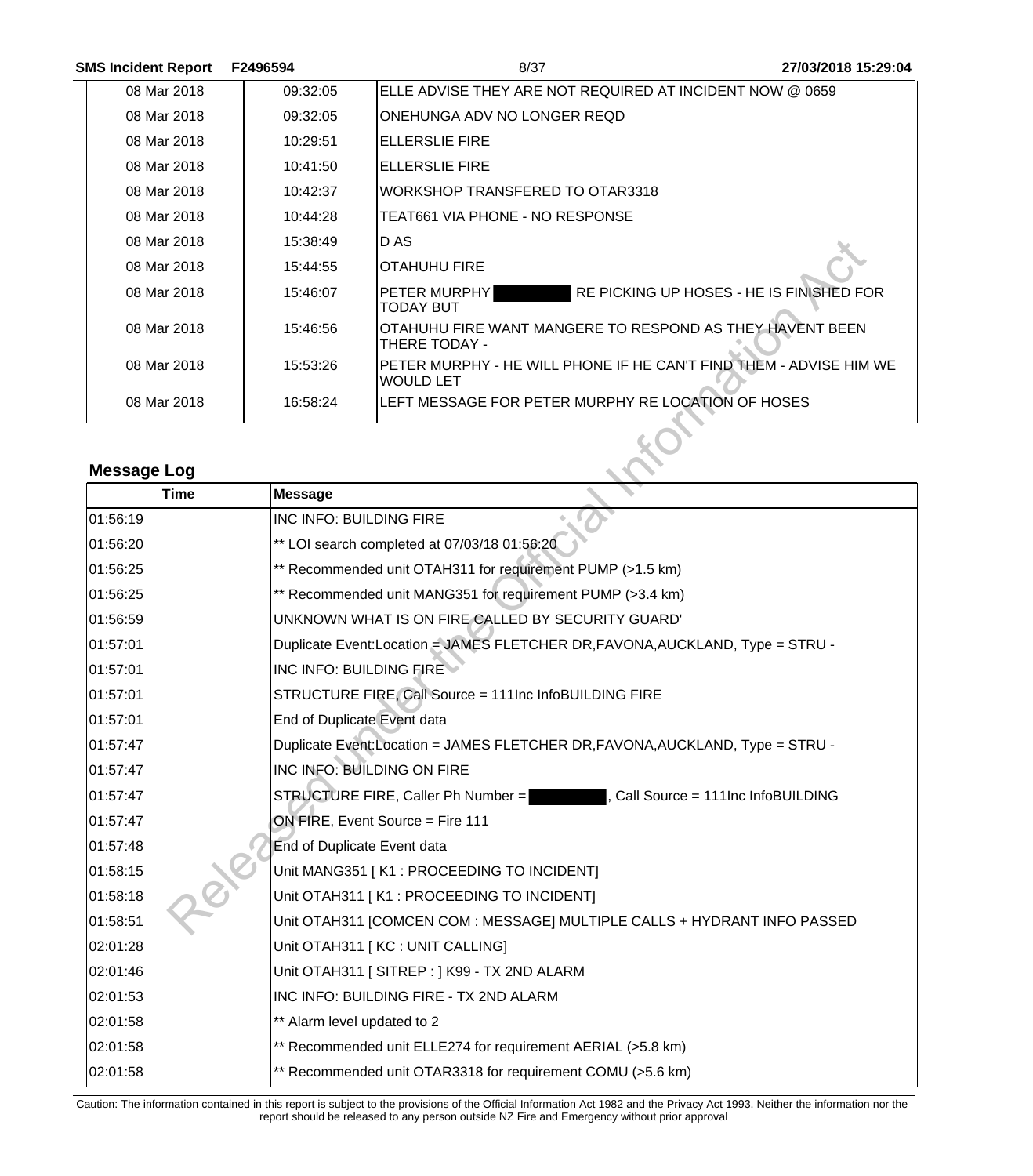| <b>SMS Incident Report</b> | F2496594 | 8/37                                                                            | 27/03/2018 15:29:04 |
|----------------------------|----------|---------------------------------------------------------------------------------|---------------------|
| 08 Mar 2018                | 09:32:05 | ELLE ADVISE THEY ARE NOT REQUIRED AT INCIDENT NOW @ 0659                        |                     |
| 08 Mar 2018                | 09:32:05 | ONEHUNGA ADV NO LONGER REQD                                                     |                     |
| 08 Mar 2018                | 10:29:51 | ELLERSLIE FIRE                                                                  |                     |
| 08 Mar 2018                | 10:41:50 | ELLERSLIE FIRE                                                                  |                     |
| 08 Mar 2018                | 10:42:37 | WORKSHOP TRANSFERED TO OTAR3318                                                 |                     |
| 08 Mar 2018                | 10:44:28 | TEAT661 VIA PHONE - NO RESPONSE                                                 |                     |
| 08 Mar 2018                | 15:38:49 | D AS                                                                            |                     |
| 08 Mar 2018                | 15:44:55 | IOTAHUHU FIRE                                                                   |                     |
| 08 Mar 2018                | 15:46:07 | RE PICKING UP HOSES - HE IS FINISHED FOR<br>IPETER MURPHYI<br><b>TODAY BUT</b>  |                     |
| 08 Mar 2018                | 15:46:56 | OTAHUHU FIRE WANT MANGERE TO RESPOND AS THEY HAVENT BEEN<br>THERE TODAY -       |                     |
| 08 Mar 2018                | 15:53:26 | PETER MURPHY - HE WILL PHONE IF HE CAN'T FIND THEM - ADVISE HIM WE<br>WOULD LET |                     |
| 08 Mar 2018                | 16:58:24 | LEFT MESSAGE FOR PETER MURPHY RE LOCATION OF HOSES                              |                     |

# **Message Log**

| 08 Mar 2018        | 15:38:49                    | D AS                                                                                   |
|--------------------|-----------------------------|----------------------------------------------------------------------------------------|
| 08 Mar 2018        | 15:44:55                    | <b>OTAHUHU FIRE</b>                                                                    |
| 08 Mar 2018        | 15:46:07                    | RE PICKING UP HOSES - HE IS FINISHED FOR<br>PETER MURPHY<br><b>TODAY BUT</b>           |
| 08 Mar 2018        | 15:46:56                    | OTAHUHU FIRE WANT MANGERE TO RESPOND AS THEY HAVENT BEEN<br>THERE TODAY -              |
| 08 Mar 2018        | 15:53:26                    | PETER MURPHY - HE WILL PHONE IF HE CAN'T FIND THEM - ADVISE HIM WE<br><b>WOULD LET</b> |
| 08 Mar 2018        | 16:58:24                    | LEFT MESSAGE FOR PETER MURPHY RE LOCATION OF HOSES                                     |
|                    |                             |                                                                                        |
| <b>Message Log</b> |                             |                                                                                        |
| <b>Time</b>        | <b>Message</b>              |                                                                                        |
| 01:56:19           | INC INFO: BUILDING FIRE     |                                                                                        |
| 01:56:20           |                             | ** LOI search completed at 07/03/18 01:56:20                                           |
| 01:56:25           |                             | ** Recommended unit OTAH311 for requirement PUMP (>1.5 km)                             |
| 01:56:25           |                             | ** Recommended unit MANG351 for requirement PUMP (>3.4 km)                             |
| 01:56:59           |                             | UNKNOWN WHAT IS ON FIRE CALLED BY SECURITY GUARD'                                      |
| 01:57:01           |                             | Duplicate Event:Location = JAMES FLETCHER DR, FAVONA, AUCKLAND, Type = STRU -          |
| 01:57:01           | INC INFO: BUILDING FIRE     |                                                                                        |
| 01:57:01           |                             | STRUCTURE FIRE, Call Source = 111Inc InfoBUILDING FIRE                                 |
| 01:57:01           | End of Duplicate Event data |                                                                                        |
| 01:57:47           |                             | Duplicate Event:Location = JAMES FLETCHER DR, FAVONA, AUCKLAND, Type = STRU -          |
| 01:57:47           |                             | INC INFO: BUILDING ON FIRE                                                             |
| 01:57:47           |                             | STRUCTURE FIRE, Caller Ph Number =<br>Call Source = 111Inc InfoBUILDING                |
| 01:57:47           |                             | ON FIRE, Event Source = Fire 111                                                       |
| 01:57:48           | End of Duplicate Event data |                                                                                        |
| 01:58:15           |                             | Unit MANG351 [K1 : PROCEEDING TO INCIDENT]                                             |
| 01:58:18           |                             | Unit OTAH311   K1 : PROCEEDING TO INCIDENT]                                            |
| 01:58:51           |                             | Unit OTAH311 [COMCEN COM : MESSAGE] MULTIPLE CALLS + HYDRANT INFO PASSED               |
| 02:01:28           |                             | Unit OTAH311 [KC : UNIT CALLING]                                                       |
| 02:01:46           |                             | Unit OTAH311 [SITREP: ] K99 - TX 2ND ALARM                                             |
| 02:01:53           |                             | INC INFO: BUILDING FIRE - TX 2ND ALARM                                                 |
| 02:01:58           | ** Alarm level updated to 2 |                                                                                        |
| 02:01:58           |                             | ** Recommended unit ELLE274 for requirement AERIAL (>5.8 km)                           |
| 02:01:58           |                             | ** Recommended unit OTAR3318 for requirement COMU (>5.6 km)                            |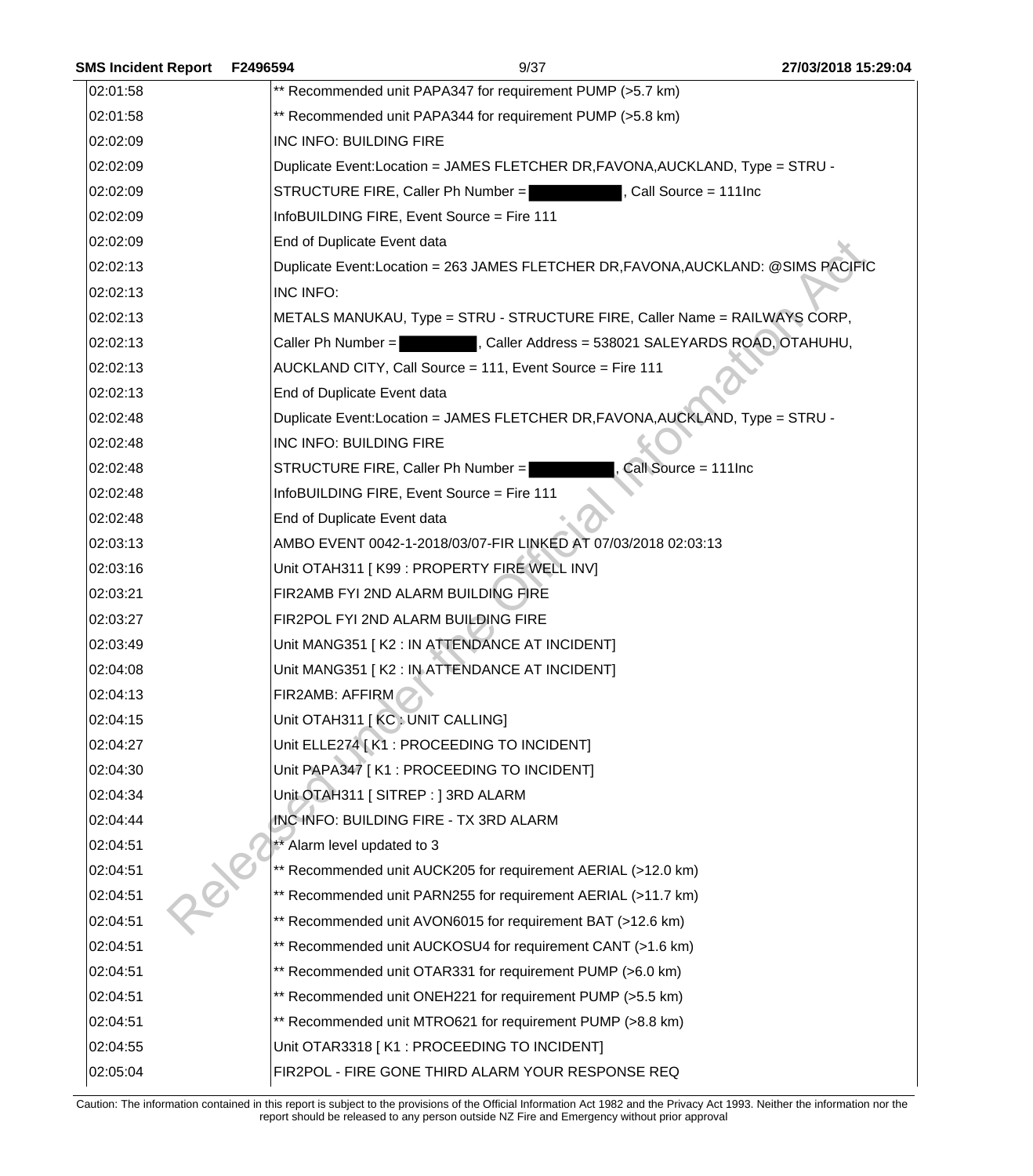| <b>SMS Incident Report</b> | F2496594  | 9/37                                                                              | 27/03/2018 15:29:04 |
|----------------------------|-----------|-----------------------------------------------------------------------------------|---------------------|
| 02:01:58                   |           | ** Recommended unit PAPA347 for requirement PUMP (>5.7 km)                        |                     |
| 02:01:58                   |           | ** Recommended unit PAPA344 for requirement PUMP (>5.8 km)                        |                     |
| 02:02:09                   |           | INC INFO: BUILDING FIRE                                                           |                     |
| 02:02:09                   |           | Duplicate Event: Location = JAMES FLETCHER DR, FAVONA, AUCKLAND, Type = STRU -    |                     |
| 02:02:09                   |           | STRUCTURE FIRE, Caller Ph Number =<br>, Call Source = 111Inc                      |                     |
| 02:02:09                   |           | InfoBUILDING FIRE, Event Source = Fire 111                                        |                     |
| 02:02:09                   |           | End of Duplicate Event data                                                       |                     |
| 02:02:13                   |           | Duplicate Event:Location = 263 JAMES FLETCHER DR, FAVONA, AUCKLAND: @SIMS PACIFIC |                     |
| 02:02:13                   | INC INFO: |                                                                                   |                     |
| 02:02:13                   |           | METALS MANUKAU, Type = STRU - STRUCTURE FIRE, Caller Name = RAILWAYS CORP,        |                     |
| 02:02:13                   |           | , Caller Address = 538021 SALEYARDS ROAD, OTAHUHU,<br>Caller Ph Number =          |                     |
| 02:02:13                   |           | AUCKLAND CITY, Call Source = 111, Event Source = Fire 111                         |                     |
| 02:02:13                   |           | End of Duplicate Event data                                                       |                     |
| 02:02:48                   |           | Duplicate Event:Location = JAMES FLETCHER DR, FAVONA, AUCKLAND, Type = STRU -     |                     |
| 02:02:48                   |           | INC INFO: BUILDING FIRE                                                           |                     |
| 02:02:48                   |           | Call Source = 111Inc<br>STRUCTURE FIRE, Caller Ph Number =                        |                     |
| 02:02:48                   |           | InfoBUILDING FIRE, Event Source = Fire 111                                        |                     |
| 02:02:48                   |           | End of Duplicate Event data                                                       |                     |
| 02:03:13                   |           | AMBO EVENT 0042-1-2018/03/07-FIR LINKED AT 07/03/2018 02:03:13                    |                     |
| 02:03:16                   |           | Unit OTAH311   K99 : PROPERTY FIRE WELL INV]                                      |                     |
| 02:03:21                   |           | FIR2AMB FYI 2ND ALARM BUILDING FIRE                                               |                     |
| 02:03:27                   |           | FIR2POL FYI 2ND ALARM BUILDING FIRE                                               |                     |
| 02:03:49                   |           | Unit MANG351 [K2 : IN ATTENDANCE AT INCIDENT]                                     |                     |
| 02:04:08                   |           | Unit MANG351 [K2 : IN ATTENDANCE AT INCIDENT]                                     |                     |
| 02:04:13                   |           | FIR2AMB: AFFIRM                                                                   |                     |
| 02:04:15                   |           | Unit OTAH311 [KC: UNIT CALLING]                                                   |                     |
| 02:04:27                   |           | Unit ELLE274 [ K1 : PROCEEDING TO INCIDENT]                                       |                     |
| 02:04:30                   |           | Unit PAPA347 [K1 : PROCEEDING TO INCIDENT]                                        |                     |
| 02:04:34                   |           | Unit OTAH311   SITREP : 13RD ALARM                                                |                     |
| 02:04:44                   |           | INC INFO: BUILDING FIRE - TX 3RD ALARM                                            |                     |
| 02:04:51                   |           | ** Alarm level updated to 3                                                       |                     |
| 02:04:51                   |           | ** Recommended unit AUCK205 for requirement AERIAL (>12.0 km)                     |                     |
| 02:04:51                   |           | ** Recommended unit PARN255 for requirement AERIAL (>11.7 km)                     |                     |
| 02:04:51                   |           | ** Recommended unit AVON6015 for requirement BAT (>12.6 km)                       |                     |
| 02:04:51                   |           | ** Recommended unit AUCKOSU4 for requirement CANT (>1.6 km)                       |                     |
| 02:04:51                   |           | ** Recommended unit OTAR331 for requirement PUMP (>6.0 km)                        |                     |
| 02:04:51                   |           | ** Recommended unit ONEH221 for requirement PUMP (>5.5 km)                        |                     |
| 02:04:51                   |           | ** Recommended unit MTRO621 for requirement PUMP (>8.8 km)                        |                     |
| 02:04:55                   |           | Unit OTAR3318 [K1 : PROCEEDING TO INCIDENT]                                       |                     |
| 02:05:04                   |           | FIR2POL - FIRE GONE THIRD ALARM YOUR RESPONSE REQ                                 |                     |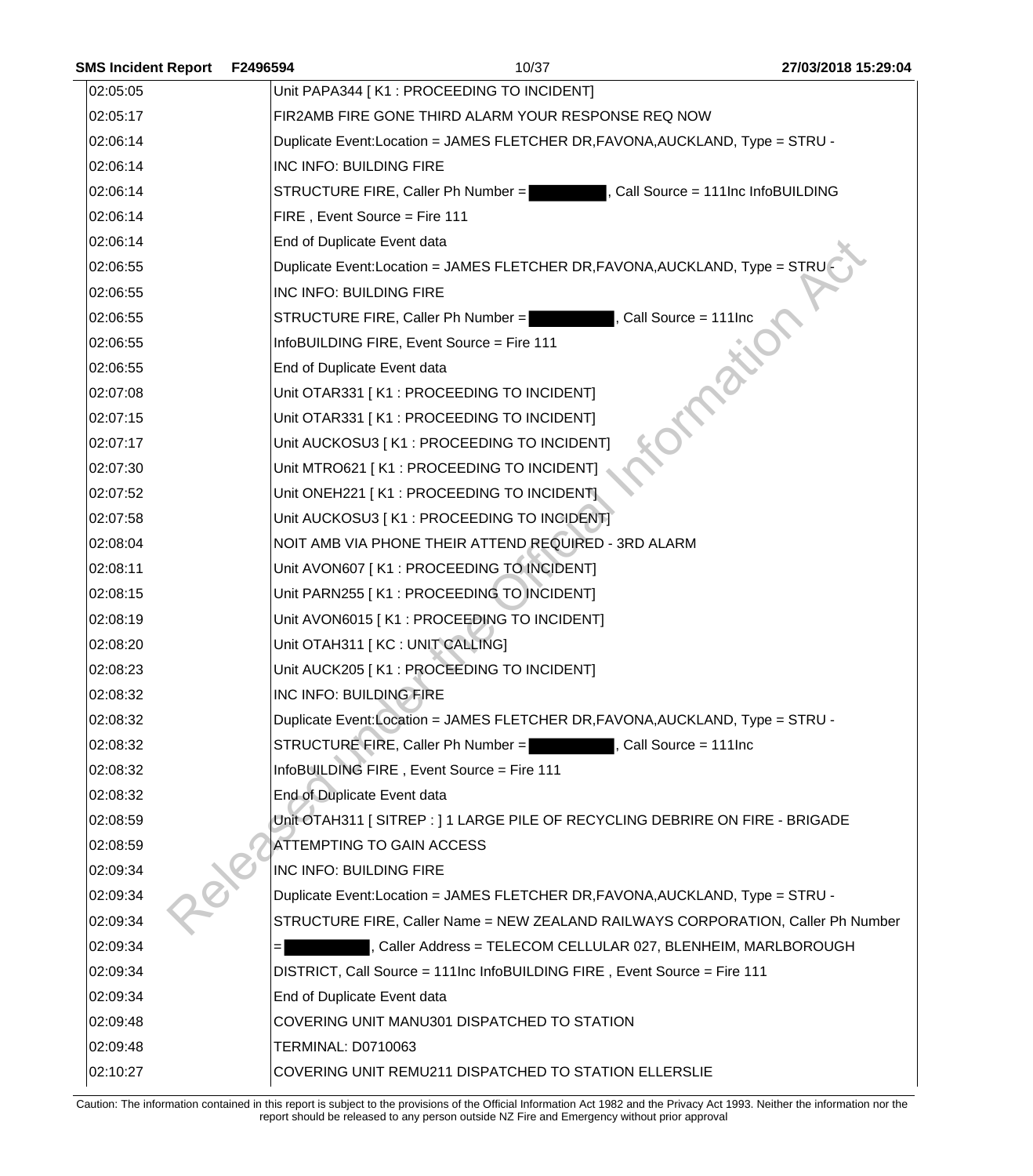| <b>SMS Incident Report</b> | F2496594                  | 10/37                                                                            | 27/03/2018 15:29:04               |
|----------------------------|---------------------------|----------------------------------------------------------------------------------|-----------------------------------|
| 02:05:05                   |                           | Unit PAPA344 [K1 : PROCEEDING TO INCIDENT]                                       |                                   |
| 02:05:17                   |                           | FIR2AMB FIRE GONE THIRD ALARM YOUR RESPONSE REQ NOW                              |                                   |
| 02:06:14                   |                           | Duplicate Event: Location = JAMES FLETCHER DR, FAVONA, AUCKLAND, Type = STRU -   |                                   |
| 02:06:14                   | INC INFO: BUILDING FIRE   |                                                                                  |                                   |
| 02:06:14                   |                           | STRUCTURE FIRE, Caller Ph Number =                                               | Call Source = 111Inc InfoBUILDING |
| 02:06:14                   |                           | FIRE, Event Source = Fire 111                                                    |                                   |
| 02:06:14                   |                           | End of Duplicate Event data                                                      |                                   |
| 02:06:55                   |                           | Duplicate Event:Location = JAMES FLETCHER DR, FAVONA, AUCKLAND, Type = STRU      |                                   |
| 02:06:55                   |                           | INC INFO: BUILDING FIRE                                                          |                                   |
| 02:06:55                   |                           | Call Source = 111Inc<br>STRUCTURE FIRE, Caller Ph Number =                       |                                   |
| 02:06:55                   |                           | InfoBUILDING FIRE, Event Source = Fire 111                                       |                                   |
| 02:06:55                   |                           | End of Duplicate Event data                                                      |                                   |
| 02:07:08                   |                           | Unit OTAR331 [K1 : PROCEEDING TO INCIDENT]                                       |                                   |
| 02:07:15                   |                           | Unit OTAR331 [K1 : PROCEEDING TO INCIDENT]                                       |                                   |
| 02:07:17                   |                           | Unit AUCKOSU3 [K1 : PROCEEDING TO INCIDENT]                                      |                                   |
| 02:07:30                   |                           | Unit MTRO621 [K1 : PROCEEDING TO INCIDENT]                                       |                                   |
| 02:07:52                   |                           | Unit ONEH221 [K1 : PROCEEDING TO INCIDENT]                                       |                                   |
| 02:07:58                   |                           | Unit AUCKOSU3 [K1 : PROCEEDING TO INCIDENT]                                      |                                   |
| 02:08:04                   |                           | NOIT AMB VIA PHONE THEIR ATTEND REQUIRED - 3RD ALARM                             |                                   |
| 02:08:11                   |                           | Unit AVON607 [K1 : PROCEEDING TO INCIDENT]                                       |                                   |
| 02:08:15                   |                           | Unit PARN255 [K1 : PROCEEDING TO INCIDENT]                                       |                                   |
| 02:08:19                   |                           | Unit AVON6015 [K1 : PROCEEDING TO INCIDENT]                                      |                                   |
| 02:08:20                   |                           | Unit OTAH311 [KC : UNIT CALLING]                                                 |                                   |
| 02:08:23                   |                           | Unit AUCK205 [K1 : PROCEEDING TO INCIDENT]                                       |                                   |
| 02:08:32                   |                           | INC INFO: BUILDING FIRE                                                          |                                   |
| 02:08:32                   |                           | Duplicate Event:Location = JAMES FLETCHER DR, FAVONA, AUCKLAND, Type = STRU -    |                                   |
| 02:08:32                   |                           | STRUCTURE FIRE, Caller Ph Number = , Call Source = 111Inc                        |                                   |
| 02:08:32                   |                           | InfoBUILDING FIRE, Event Source = Fire 111                                       |                                   |
| 02:08:32                   |                           | End of Duplicate Event data                                                      |                                   |
| 02:08:59                   |                           | Unit OTAH311   SITREP : 11 LARGE PILE OF RECYCLING DEBRIRE ON FIRE - BRIGADE     |                                   |
| 02:08:59                   |                           | <b>ATTEMPTING TO GAIN ACCESS</b>                                                 |                                   |
| 02:09:34                   |                           | INC INFO: BUILDING FIRE                                                          |                                   |
| 02:09:34                   |                           | Duplicate Event: Location = JAMES FLETCHER DR, FAVONA, AUCKLAND, Type = STRU -   |                                   |
| 02:09:34                   |                           | STRUCTURE FIRE, Caller Name = NEW ZEALAND RAILWAYS CORPORATION, Caller Ph Number |                                   |
| 02:09:34                   |                           | , Caller Address = TELECOM CELLULAR 027, BLENHEIM, MARLBOROUGH                   |                                   |
| 02:09:34                   |                           | DISTRICT, Call Source = 111Inc InfoBUILDING FIRE, Event Source = Fire 111        |                                   |
| 02:09:34                   |                           | End of Duplicate Event data                                                      |                                   |
| 02:09:48                   |                           | COVERING UNIT MANU301 DISPATCHED TO STATION                                      |                                   |
| 02:09:48                   | <b>TERMINAL: D0710063</b> |                                                                                  |                                   |
| 02:10:27                   |                           | COVERING UNIT REMU211 DISPATCHED TO STATION ELLERSLIE                            |                                   |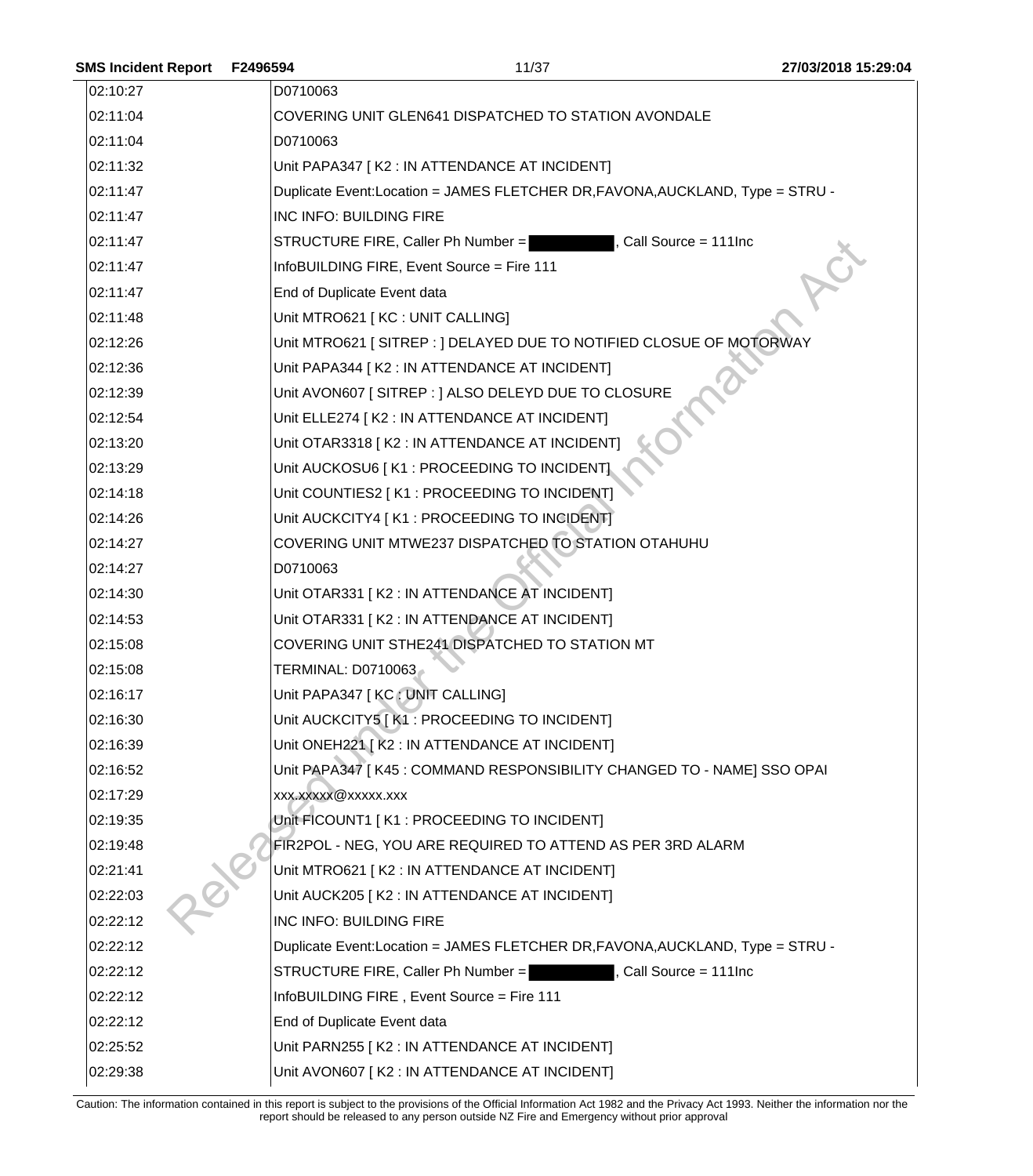| 02:10:27 | D0710063                                                                      |
|----------|-------------------------------------------------------------------------------|
| 02:11:04 | COVERING UNIT GLEN641 DISPATCHED TO STATION AVONDALE                          |
| 02:11:04 | D0710063                                                                      |
| 02:11:32 | Unit PAPA347 [K2 : IN ATTENDANCE AT INCIDENT]                                 |
| 02:11:47 | Duplicate Event:Location = JAMES FLETCHER DR, FAVONA, AUCKLAND, Type = STRU - |
| 02:11:47 | INC INFO: BUILDING FIRE                                                       |
| 02:11:47 | STRUCTURE FIRE, Caller Ph Number =<br>Call Source = 111Inc                    |
| 02:11:47 | InfoBUILDING FIRE, Event Source = Fire 111                                    |
| 02:11:47 | End of Duplicate Event data                                                   |
| 02:11:48 | Unit MTRO621 [KC : UNIT CALLING]                                              |
| 02:12:26 | Unit MTRO621 [SITREP : ] DELAYED DUE TO NOTIFIED CLOSUE OF MOTORWAY           |
| 02:12:36 | Unit PAPA344 [K2 : IN ATTENDANCE AT INCIDENT]                                 |
| 02:12:39 | Unit AVON607 [SITREP : ] ALSO DELEYD DUE TO CLOSURE                           |
| 02:12:54 | Unit ELLE274 [ K2 : IN ATTENDANCE AT INCIDENT]                                |
| 02:13:20 | Unit OTAR3318 [K2 : IN ATTENDANCE AT INCIDENT]                                |
| 02:13:29 | Unit AUCKOSU6   K1 : PROCEEDING TO INCIDENT]                                  |
| 02:14:18 | Unit COUNTIES2   K1 : PROCEEDING TO INCIDENT]                                 |
| 02:14:26 | Unit AUCKCITY4 [K1 : PROCEEDING TO INCIDENT]                                  |
| 02:14:27 | COVERING UNIT MTWE237 DISPATCHED TO STATION OTAHUHU                           |
| 02:14:27 | D0710063                                                                      |
| 02:14:30 | Unit OTAR331 [K2 : IN ATTENDANCE AT INCIDENT]                                 |
| 02:14:53 | Unit OTAR331 [K2 : IN ATTENDANCE AT INCIDENT]                                 |
| 02:15:08 | COVERING UNIT STHE241 DISPATCHED TO STATION MT                                |
| 02:15:08 | TERMINAL: D0710063                                                            |
| 02:16:17 | Unit PAPA347 [KC : UNIT CALLING]                                              |
| 02:16:30 | Unit AUCKCITY5 [K1: PROCEEDING TO INCIDENT]                                   |
| 02:16:39 | Unit ONEH221 [ K2 : IN ATTENDANCE AT INCIDENT]                                |
| 02:16:52 | Unit PAPA347 [K45 : COMMAND RESPONSIBILITY CHANGED TO - NAME] SSO OPAI        |
| 02:17:29 | xxx.xxxxx@xxxxx.xxx                                                           |
| 02:19:35 | Unit FICOUNT1 [K1 : PROCEEDING TO INCIDENT]                                   |
| 02:19:48 | FIR2POL - NEG, YOU ARE REQUIRED TO ATTEND AS PER 3RD ALARM                    |
| 02:21:41 | Unit MTRO621 [K2 : IN ATTENDANCE AT INCIDENT]                                 |
| 02:22:03 | Unit AUCK205 [K2 : IN ATTENDANCE AT INCIDENT]                                 |
| 02:22:12 | INC INFO: BUILDING FIRE                                                       |
| 02:22:12 | Duplicate Event:Location = JAMES FLETCHER DR, FAVONA, AUCKLAND, Type = STRU - |
| 02:22:12 | , Call Source = 111Inc<br>STRUCTURE FIRE, Caller Ph Number =                  |
| 02:22:12 | InfoBUILDING FIRE, Event Source = Fire 111                                    |
| 02:22:12 | End of Duplicate Event data                                                   |
| 02:25:52 | Unit PARN255 [K2 : IN ATTENDANCE AT INCIDENT]                                 |
| 02:29:38 | Unit AVON607 [K2 : IN ATTENDANCE AT INCIDENT]                                 |

**SMS Incident Report F2496594** 11/37 **27/03/2018 15:29:04**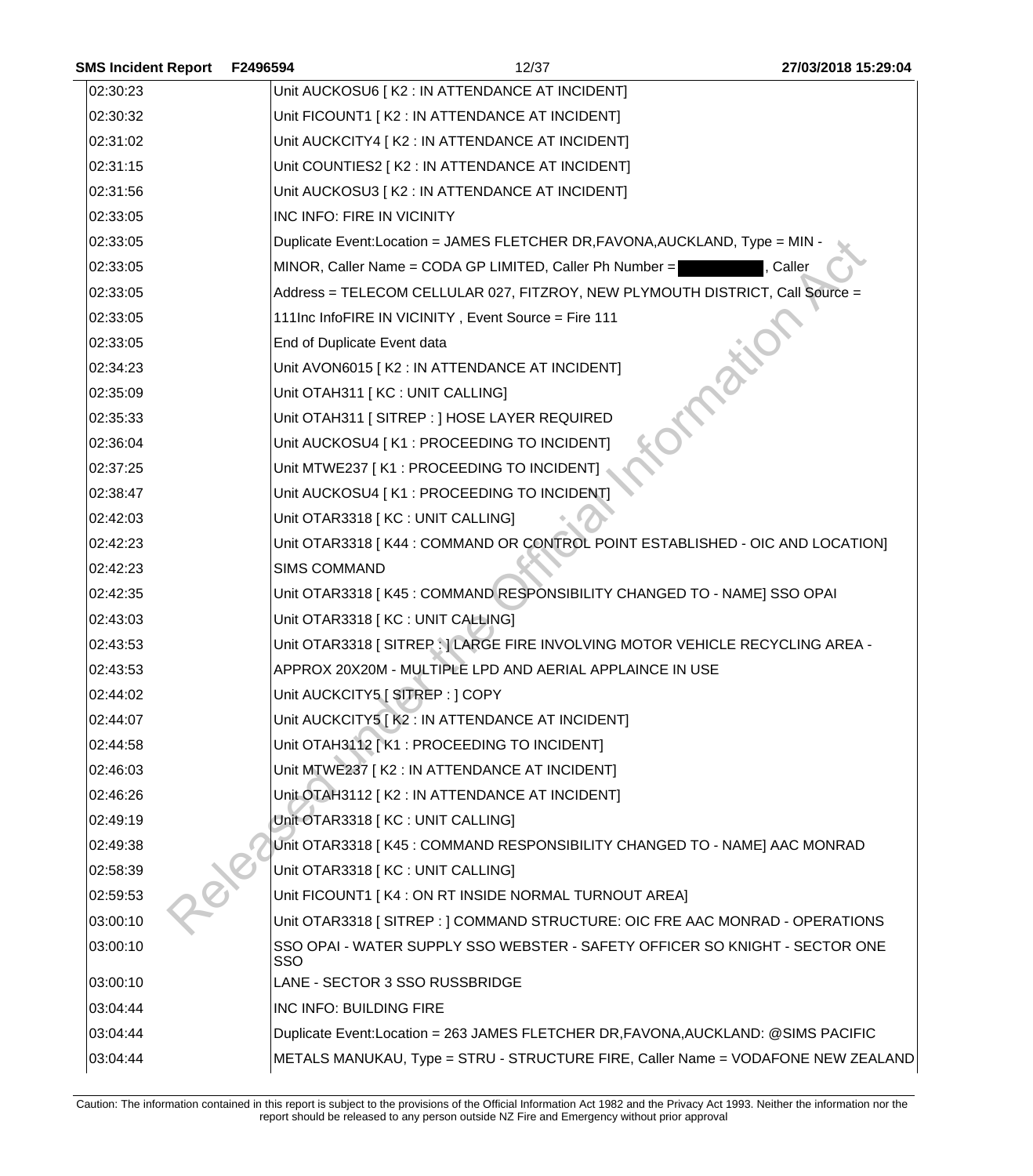| <b>SMS Incident Report</b> | F2496594            | 12/37                                                                             | 27/03/2018 15:29:04 |
|----------------------------|---------------------|-----------------------------------------------------------------------------------|---------------------|
| 02:30:23                   |                     | Unit AUCKOSU6   K2 : IN ATTENDANCE AT INCIDENT]                                   |                     |
| 02:30:32                   |                     | Unit FICOUNT1   K2 : IN ATTENDANCE AT INCIDENT]                                   |                     |
| 02:31:02                   |                     | Unit AUCKCITY4   K2 : IN ATTENDANCE AT INCIDENT]                                  |                     |
| 02:31:15                   |                     | Unit COUNTIES2 [ K2 : IN ATTENDANCE AT INCIDENT]                                  |                     |
| 02:31:56                   |                     | Unit AUCKOSU3   K2 : IN ATTENDANCE AT INCIDENT]                                   |                     |
| 02:33:05                   |                     | INC INFO: FIRE IN VICINITY                                                        |                     |
| 02:33:05                   |                     | Duplicate Event: Location = JAMES FLETCHER DR, FAVONA, AUCKLAND, Type = MIN -     |                     |
| 02:33:05                   |                     | MINOR, Caller Name = CODA GP LIMITED, Caller Ph Number =                          | Caller              |
| 02:33:05                   |                     | Address = TELECOM CELLULAR 027, FITZROY, NEW PLYMOUTH DISTRICT, Call Source =     |                     |
| 02:33:05                   |                     | 111Inc InfoFIRE IN VICINITY, Event Source = Fire 111                              |                     |
| 02:33:05                   |                     | End of Duplicate Event data                                                       |                     |
| 02:34:23                   |                     | Unit AVON6015 [K2 : IN ATTENDANCE AT INCIDENT]                                    |                     |
| 02:35:09                   |                     | Unit OTAH311   KC : UNIT CALLING]                                                 |                     |
| 02:35:33                   |                     | Unit OTAH311   SITREP : ] HOSE LAYER REQUIRED                                     |                     |
| 02:36:04                   |                     | Unit AUCKOSU4 [K1 : PROCEEDING TO INCIDENT]                                       |                     |
| 02:37:25                   |                     | Unit MTWE237 [K1 : PROCEEDING TO INCIDENT]                                        |                     |
| 02:38:47                   |                     | Unit AUCKOSU4   K1 : PROCEEDING TO INCIDENT]                                      |                     |
| 02:42:03                   |                     | Unit OTAR3318 [KC : UNIT CALLING]                                                 |                     |
| 02:42:23                   |                     | Unit OTAR3318 [K44: COMMAND OR CONTROL POINT ESTABLISHED - OIC AND LOCATION]      |                     |
| 02:42:23                   | <b>SIMS COMMAND</b> |                                                                                   |                     |
| 02:42:35                   |                     | Unit OTAR3318 [K45 : COMMAND RESPONSIBILITY CHANGED TO - NAME] SSO OPAI           |                     |
| 02:43:03                   |                     | Unit OTAR3318 [KC : UNIT CALLING]                                                 |                     |
| 02:43:53                   |                     | Unit OTAR3318 [SITREP : ] LARGE FIRE INVOLVING MOTOR VEHICLE RECYCLING AREA -     |                     |
| 02:43:53                   |                     | APPROX 20X20M - MULTIPLE LPD AND AERIAL APPLAINCE IN USE                          |                     |
| 02:44:02                   |                     | Unit AUCKCITY5   SITREP : ] COPY                                                  |                     |
| 02:44:07                   |                     | Unit AUCKCITY5 [K2: IN ATTENDANCE AT INCIDENT]                                    |                     |
| 02:44:58                   |                     | Unit OTAH3112 [K1: PROCEEDING TO INCIDENT]                                        |                     |
| 02:46:03                   |                     | Unit MTWE237 [K2 : IN ATTENDANCE AT INCIDENT]                                     |                     |
| 02:46:26                   |                     | Unit OTAH3112 [K2 : IN ATTENDANCE AT INCIDENT]                                    |                     |
| 02:49:19                   |                     | Unit OTAR3318   KC : UNIT CALLING]                                                |                     |
| 02:49:38                   |                     | Unit OTAR3318 [K45 : COMMAND RESPONSIBILITY CHANGED TO - NAME] AAC MONRAD         |                     |
| 02:58:39                   |                     | Unit OTAR3318 [ KC : UNIT CALLING]                                                |                     |
| 02:59:53                   |                     | Unit FICOUNT1 [K4 : ON RT INSIDE NORMAL TURNOUT AREA]                             |                     |
| 03:00:10                   |                     | Unit OTAR3318 [SITREP : ] COMMAND STRUCTURE: OIC FRE AAC MONRAD - OPERATIONS      |                     |
| 03:00:10                   | SSO                 | SSO OPAI - WATER SUPPLY SSO WEBSTER - SAFETY OFFICER SO KNIGHT - SECTOR ONE       |                     |
| 03:00:10                   |                     | LANE - SECTOR 3 SSO RUSSBRIDGE                                                    |                     |
| 03:04:44                   |                     | INC INFO: BUILDING FIRE                                                           |                     |
| 03:04:44                   |                     | Duplicate Event:Location = 263 JAMES FLETCHER DR, FAVONA, AUCKLAND: @SIMS PACIFIC |                     |
| 03:04:44                   |                     | METALS MANUKAU, Type = STRU - STRUCTURE FIRE, Caller Name = VODAFONE NEW ZEALAND  |                     |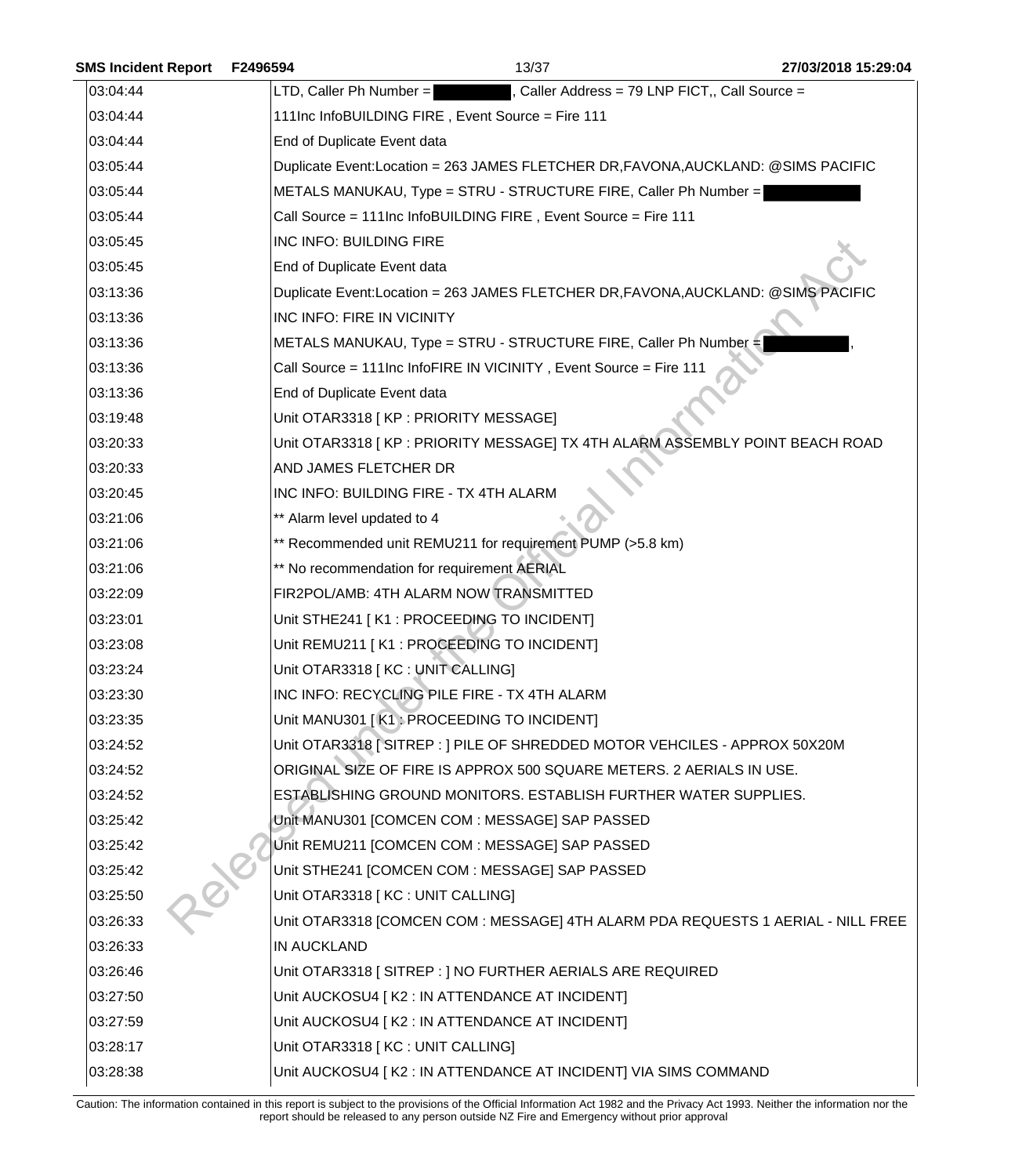| <b>SMS Incident Report</b> | F2496594                                    | 13/37                                                                             | 27/03/2018 15:29:04                                                              |
|----------------------------|---------------------------------------------|-----------------------------------------------------------------------------------|----------------------------------------------------------------------------------|
| 03:04:44                   | $LTD$ , Caller Ph Number =                  |                                                                                   | Caller Address = 79 LNP FICT,, Call Source =                                     |
| 03:04:44                   |                                             | 111Inc InfoBUILDING FIRE, Event Source = Fire 111                                 |                                                                                  |
| 03:04:44                   | End of Duplicate Event data                 |                                                                                   |                                                                                  |
| 03:05:44                   |                                             | Duplicate Event:Location = 263 JAMES FLETCHER DR, FAVONA, AUCKLAND: @SIMS PACIFIC |                                                                                  |
| 03:05:44                   |                                             | METALS MANUKAU, Type = STRU - STRUCTURE FIRE, Caller Ph Number =                  |                                                                                  |
| 03:05:44                   |                                             | Call Source = 111Inc InfoBUILDING FIRE, Event Source = Fire 111                   |                                                                                  |
| 03:05:45                   | INC INFO: BUILDING FIRE                     |                                                                                   |                                                                                  |
| 03:05:45                   | End of Duplicate Event data                 |                                                                                   |                                                                                  |
| 03:13:36                   |                                             | Duplicate Event:Location = 263 JAMES FLETCHER DR, FAVONA, AUCKLAND: @SIMS PACIFIC |                                                                                  |
| 03:13:36                   | INC INFO: FIRE IN VICINITY                  |                                                                                   |                                                                                  |
| 03:13:36                   |                                             | METALS MANUKAU, Type = STRU - STRUCTURE FIRE, Caller Ph Number =                  |                                                                                  |
| 03:13:36                   |                                             | Call Source = 111Inc InfoFIRE IN VICINITY, Event Source = Fire 111                |                                                                                  |
| 03:13:36                   | End of Duplicate Event data                 |                                                                                   |                                                                                  |
| 03:19:48                   | Unit OTAR3318 [ KP : PRIORITY MESSAGE]      |                                                                                   |                                                                                  |
| 03:20:33                   |                                             | Unit OTAR3318 [ KP : PRIORITY MESSAGE] TX 4TH ALARM ASSEMBLY POINT BEACH ROAD     |                                                                                  |
| 03:20:33                   | AND JAMES FLETCHER DR                       |                                                                                   |                                                                                  |
| 03:20:45                   | INC INFO: BUILDING FIRE - TX 4TH ALARM      |                                                                                   |                                                                                  |
| 03:21:06                   | ** Alarm level updated to 4                 |                                                                                   |                                                                                  |
| 03:21:06                   |                                             | ** Recommended unit REMU211 for requirement PUMP (>5.8 km)                        |                                                                                  |
| 03:21:06                   | ** No recommendation for requirement AERIAL |                                                                                   |                                                                                  |
| 03:22:09                   |                                             | FIR2POL/AMB: 4TH ALARM NOW TRANSMITTED                                            |                                                                                  |
| 03:23:01                   |                                             | Unit STHE241 [K1 : PROCEEDING TO INCIDENT]                                        |                                                                                  |
| 03:23:08                   |                                             | Unit REMU211   K1 : PROCEEDING TO INCIDENT]                                       |                                                                                  |
| 03:23:24                   | Unit OTAR3318 [KC : UNIT CALLING]           |                                                                                   |                                                                                  |
| 03:23:30                   |                                             | INC INFO: RECYCLING PILE FIRE - TX 4TH ALARM                                      |                                                                                  |
| 03:23:35                   |                                             | Unit MANU301   K1 : PROCEEDING TO INCIDENT]                                       |                                                                                  |
| 03:24:52                   |                                             | Unit OTAR3318 [SITREP : ] PILE OF SHREDDED MOTOR VEHCILES - APPROX 50X20M         |                                                                                  |
| 03:24:52                   |                                             | ORIGINAL SIZE OF FIRE IS APPROX 500 SQUARE METERS. 2 AERIALS IN USE.              |                                                                                  |
| 03:24:52                   |                                             | ESTABLISHING GROUND MONITORS. ESTABLISH FURTHER WATER SUPPLIES.                   |                                                                                  |
| 03:25:42                   |                                             | Unit MANU301 [COMCEN COM : MESSAGE] SAP PASSED                                    |                                                                                  |
| 03:25:42                   |                                             | Unit REMU211 [COMCEN COM : MESSAGE] SAP PASSED                                    |                                                                                  |
| 03:25:42                   |                                             | Unit STHE241 [COMCEN COM: MESSAGE] SAP PASSED                                     |                                                                                  |
| 03:25:50                   | Unit OTAR3318 [KC : UNIT CALLING]           |                                                                                   |                                                                                  |
| 03:26:33                   |                                             |                                                                                   | Unit OTAR3318 [COMCEN COM : MESSAGE] 4TH ALARM PDA REQUESTS 1 AERIAL - NILL FREE |
| 03:26:33                   | <b>IN AUCKLAND</b>                          |                                                                                   |                                                                                  |
| 03:26:46                   |                                             | Unit OTAR3318 [ SITREP : ] NO FURTHER AERIALS ARE REQUIRED                        |                                                                                  |
| 03:27:50                   |                                             | Unit AUCKOSU4 [ K2 : IN ATTENDANCE AT INCIDENT]                                   |                                                                                  |
| 03:27:59                   |                                             | Unit AUCKOSU4 [ K2 : IN ATTENDANCE AT INCIDENT]                                   |                                                                                  |
| 03:28:17                   | Unit OTAR3318 [KC : UNIT CALLING]           |                                                                                   |                                                                                  |
| 03:28:38                   |                                             | Unit AUCKOSU4 [K2 : IN ATTENDANCE AT INCIDENT] VIA SIMS COMMAND                   |                                                                                  |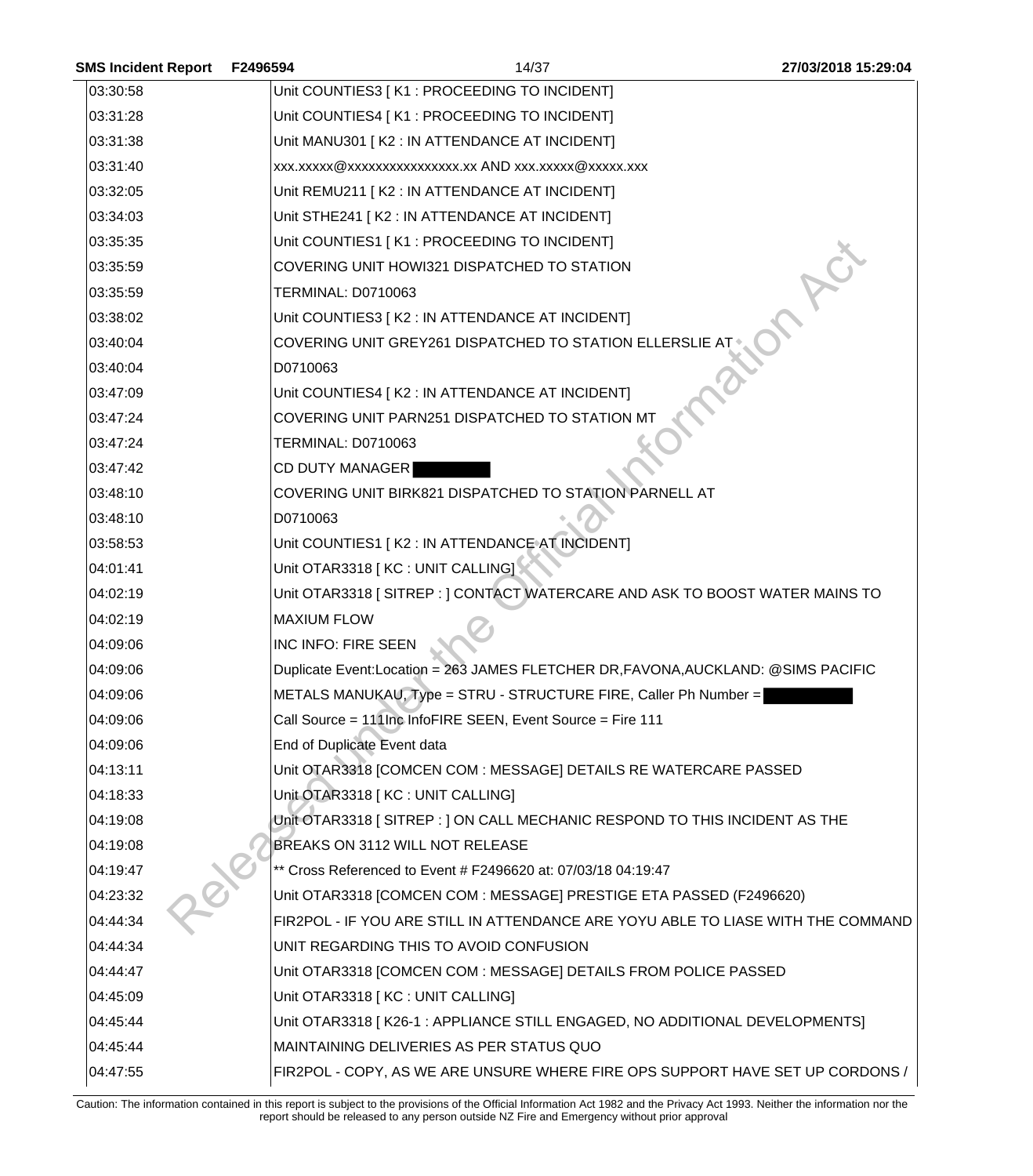| <b>SMS Incident Report</b> | F2496594                  | 14/37                                                                             | 27/03/2018 15:29:04 |
|----------------------------|---------------------------|-----------------------------------------------------------------------------------|---------------------|
| 03:30:58                   |                           | Unit COUNTIES3 [ K1 : PROCEEDING TO INCIDENT]                                     |                     |
| 03:31:28                   |                           | Unit COUNTIES4   K1 : PROCEEDING TO INCIDENT]                                     |                     |
| 03:31:38                   |                           | Unit MANU301 [K2 : IN ATTENDANCE AT INCIDENT]                                     |                     |
| 03:31:40                   |                           | xxx.xxxxx@xxxxxxxxxxxxxxx.xx AND xxx.xxxxx@xxxxx.xxx                              |                     |
| 03:32:05                   |                           | Unit REMU211 [K2 : IN ATTENDANCE AT INCIDENT]                                     |                     |
| 03:34:03                   |                           | Unit STHE241 [K2 : IN ATTENDANCE AT INCIDENT]                                     |                     |
| 03:35:35                   |                           | Unit COUNTIES1 [K1 : PROCEEDING TO INCIDENT]                                      |                     |
| 03:35:59                   |                           | COVERING UNIT HOWI321 DISPATCHED TO STATION                                       |                     |
| 03:35:59                   | <b>TERMINAL: D0710063</b> |                                                                                   |                     |
| 03:38:02                   |                           | Unit COUNTIES3 [ K2 : IN ATTENDANCE AT INCIDENT]                                  |                     |
| 03:40:04                   |                           | COVERING UNIT GREY261 DISPATCHED TO STATION ELLERSLIE AT                          |                     |
| 03:40:04                   | D0710063                  |                                                                                   |                     |
| 03:47:09                   |                           | Unit COUNTIES4 [ K2 : IN ATTENDANCE AT INCIDENT]                                  |                     |
| 03:47:24                   |                           | COVERING UNIT PARN251 DISPATCHED TO STATION MT                                    |                     |
| 03:47:24                   | <b>TERMINAL: D0710063</b> |                                                                                   |                     |
| 03:47:42                   | <b>CD DUTY MANAGER</b>    |                                                                                   |                     |
| 03:48:10                   |                           | COVERING UNIT BIRK821 DISPATCHED TO STATION PARNELL AT                            |                     |
| 03:48:10                   | D0710063                  |                                                                                   |                     |
| 03:58:53                   |                           | Unit COUNTIES1 [K2 : IN ATTENDANCE AT INCIDENT]                                   |                     |
| 04:01:41                   |                           | Unit OTAR3318 [KC : UNIT CALLING]                                                 |                     |
| 04:02:19                   |                           | Unit OTAR3318 [SITREP : ] CONTACT WATERCARE AND ASK TO BOOST WATER MAINS TO       |                     |
| 04:02:19                   | <b>MAXIUM FLOW</b>        |                                                                                   |                     |
| 04:09:06                   | INC INFO: FIRE SEEN       |                                                                                   |                     |
| 04:09:06                   |                           | Duplicate Event:Location = 263 JAMES FLETCHER DR, FAVONA, AUCKLAND: @SIMS PACIFIC |                     |
| 04:09:06                   |                           | METALS MANUKAU, Type = STRU - STRUCTURE FIRE, Caller Ph Number =                  |                     |
| 04:09:06                   |                           | Call Source = 111Inc InfoFIRE SEEN, Event Source = Fire 111                       |                     |
| 04:09:06                   |                           | End of Duplicate Event data                                                       |                     |
| 04:13:11                   |                           | Unit OTAR3318 [COMCEN COM : MESSAGE] DETAILS RE WATERCARE PASSED                  |                     |
| 04:18:33                   |                           | Unit OTAR3318 [ KC : UNIT CALLING]                                                |                     |
| 04:19:08                   |                           | Unit OTAR3318 [SITREP : ] ON CALL MECHANIC RESPOND TO THIS INCIDENT AS THE        |                     |
| 04:19:08                   |                           | BREAKS ON 3112 WILL NOT RELEASE                                                   |                     |
| 04:19:47                   |                           | ** Cross Referenced to Event # F2496620 at: 07/03/18 04:19:47                     |                     |
| 04:23:32                   |                           | Unit OTAR3318 [COMCEN COM : MESSAGE] PRESTIGE ETA PASSED (F2496620)               |                     |
| 04:44:34                   |                           | FIR2POL - IF YOU ARE STILL IN ATTENDANCE ARE YOYU ABLE TO LIASE WITH THE COMMAND  |                     |
| 04:44:34                   |                           | UNIT REGARDING THIS TO AVOID CONFUSION                                            |                     |
| 04:44:47                   |                           | Unit OTAR3318 [COMCEN COM : MESSAGE] DETAILS FROM POLICE PASSED                   |                     |
| 04:45:09                   |                           | Unit OTAR3318 [KC : UNIT CALLING]                                                 |                     |
| 04:45:44                   |                           | Unit OTAR3318 [K26-1 : APPLIANCE STILL ENGAGED, NO ADDITIONAL DEVELOPMENTS]       |                     |
| 04:45:44                   |                           | MAINTAINING DELIVERIES AS PER STATUS QUO                                          |                     |
| 04:47:55                   |                           | FIR2POL - COPY, AS WE ARE UNSURE WHERE FIRE OPS SUPPORT HAVE SET UP CORDONS /     |                     |

Caution: The information contained in this report is subject to the provisions of the Official Information Act 1982 and the Privacy Act 1993. Neither the information nor the report should be released to any person outside NZ Fire and Emergency without prior approval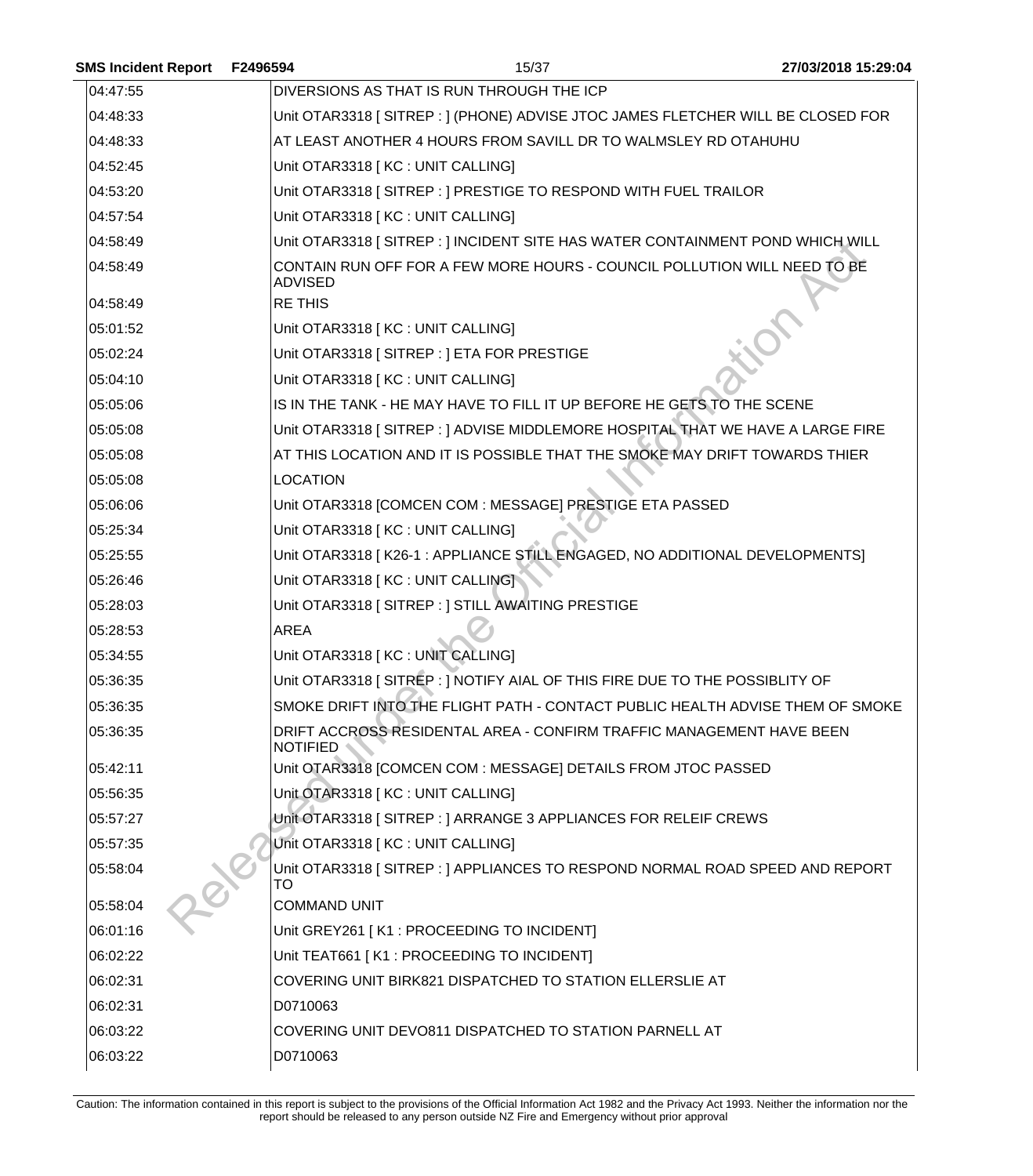| <b>SMS Incident Report</b> | F2496594<br>27/03/2018 15:29:04<br>15/37                                                   |  |
|----------------------------|--------------------------------------------------------------------------------------------|--|
| 04:47:55                   | DIVERSIONS AS THAT IS RUN THROUGH THE ICP                                                  |  |
| 04:48:33                   | Unit OTAR3318 [SITREP : ] (PHONE) ADVISE JTOC JAMES FLETCHER WILL BE CLOSED FOR            |  |
| 04:48:33                   | AT LEAST ANOTHER 4 HOURS FROM SAVILL DR TO WALMSLEY RD OTAHUHU                             |  |
| 04:52:45                   | Unit OTAR3318 [KC : UNIT CALLING]                                                          |  |
| 04:53:20                   | Unit OTAR3318 [SITREP : ] PRESTIGE TO RESPOND WITH FUEL TRAILOR                            |  |
| 04:57:54                   | Unit OTAR3318 [ KC : UNIT CALLING]                                                         |  |
| 04:58:49                   | Unit OTAR3318 [SITREP : ] INCIDENT SITE HAS WATER CONTAINMENT POND WHICH WILL              |  |
| 04:58:49                   | CONTAIN RUN OFF FOR A FEW MORE HOURS - COUNCIL POLLUTION WILL NEED TO BE<br><b>ADVISED</b> |  |
| 04:58:49                   | <b>RE THIS</b>                                                                             |  |
| 05:01:52                   | Unit OTAR3318 [ KC : UNIT CALLING]                                                         |  |
| 05:02:24                   | Unit OTAR3318 [ SITREP : ] ETA FOR PRESTIGE                                                |  |
| 05:04:10                   | Unit OTAR3318 [ KC : UNIT CALLING]                                                         |  |
| 05:05:06                   | IS IN THE TANK - HE MAY HAVE TO FILL IT UP BEFORE HE GETS TO THE SCENE                     |  |
| 05:05:08                   | Unit OTAR3318 [ SITREP : ] ADVISE MIDDLEMORE HOSPITAL THAT WE HAVE A LARGE FIRE            |  |
| 05:05:08                   | AT THIS LOCATION AND IT IS POSSIBLE THAT THE SMOKE MAY DRIFT TOWARDS THIER                 |  |
| 05:05:08                   | <b>LOCATION</b>                                                                            |  |
| 05:06:06                   | Unit OTAR3318 [COMCEN COM : MESSAGE] PRESTIGE ETA PASSED                                   |  |
| 05:25:34                   | Unit OTAR3318 [KC : UNIT CALLING]                                                          |  |
| 05:25:55                   | Unit OTAR3318 [K26-1 : APPLIANCE STILL ENGAGED, NO ADDITIONAL DEVELOPMENTS]                |  |
| 05:26:46                   | Unit OTAR3318 [ KC : UNIT CALLING]                                                         |  |
| 05:28:03                   | Unit OTAR3318 [ SITREP : ] STILL AWAITING PRESTIGE                                         |  |
| 05:28:53                   | <b>AREA</b>                                                                                |  |
| 05:34:55                   | Unit OTAR3318 [KC : UNIT CALLING]                                                          |  |
| 05:36:35                   | Unit OTAR3318 [SITREP: ] NOTIFY AIAL OF THIS FIRE DUE TO THE POSSIBLITY OF                 |  |
| 05:36:35                   | SMOKE DRIFT INTO THE FLIGHT PATH - CONTACT PUBLIC HEALTH ADVISE THEM OF SMOKE              |  |
| 05:36:35                   | DRIFT ACCROSS RESIDENTAL AREA - CONFIRM TRAFFIC MANAGEMENT HAVE BEEN<br><b>NOTIFIED</b>    |  |
| 05:42:11                   | Unit OTAR3318 [COMCEN COM : MESSAGE] DETAILS FROM JTOC PASSED                              |  |
| 05:56:35                   | Unit OTAR3318 [ KC : UNIT CALLING]                                                         |  |
| 05:57:27                   | Unit OTAR3318 [SITREP : ] ARRANGE 3 APPLIANCES FOR RELEIF CREWS                            |  |
| 05:57:35                   | Unit OTAR3318   KC : UNIT CALLING]                                                         |  |
| 05:58:04                   | Unit OTAR3318 [SITREP : ] APPLIANCES TO RESPOND NORMAL ROAD SPEED AND REPORT<br>TO         |  |
| 05:58:04                   | <b>COMMAND UNIT</b>                                                                        |  |
| 06:01:16                   | Unit GREY261 [K1 : PROCEEDING TO INCIDENT]                                                 |  |
| 06:02:22                   | Unit TEAT661 [K1 : PROCEEDING TO INCIDENT]                                                 |  |
| 06:02:31                   | COVERING UNIT BIRK821 DISPATCHED TO STATION ELLERSLIE AT                                   |  |
| 06:02:31                   | D0710063                                                                                   |  |
| 06:03:22                   | COVERING UNIT DEVO811 DISPATCHED TO STATION PARNELL AT                                     |  |
| 06:03:22                   | D0710063                                                                                   |  |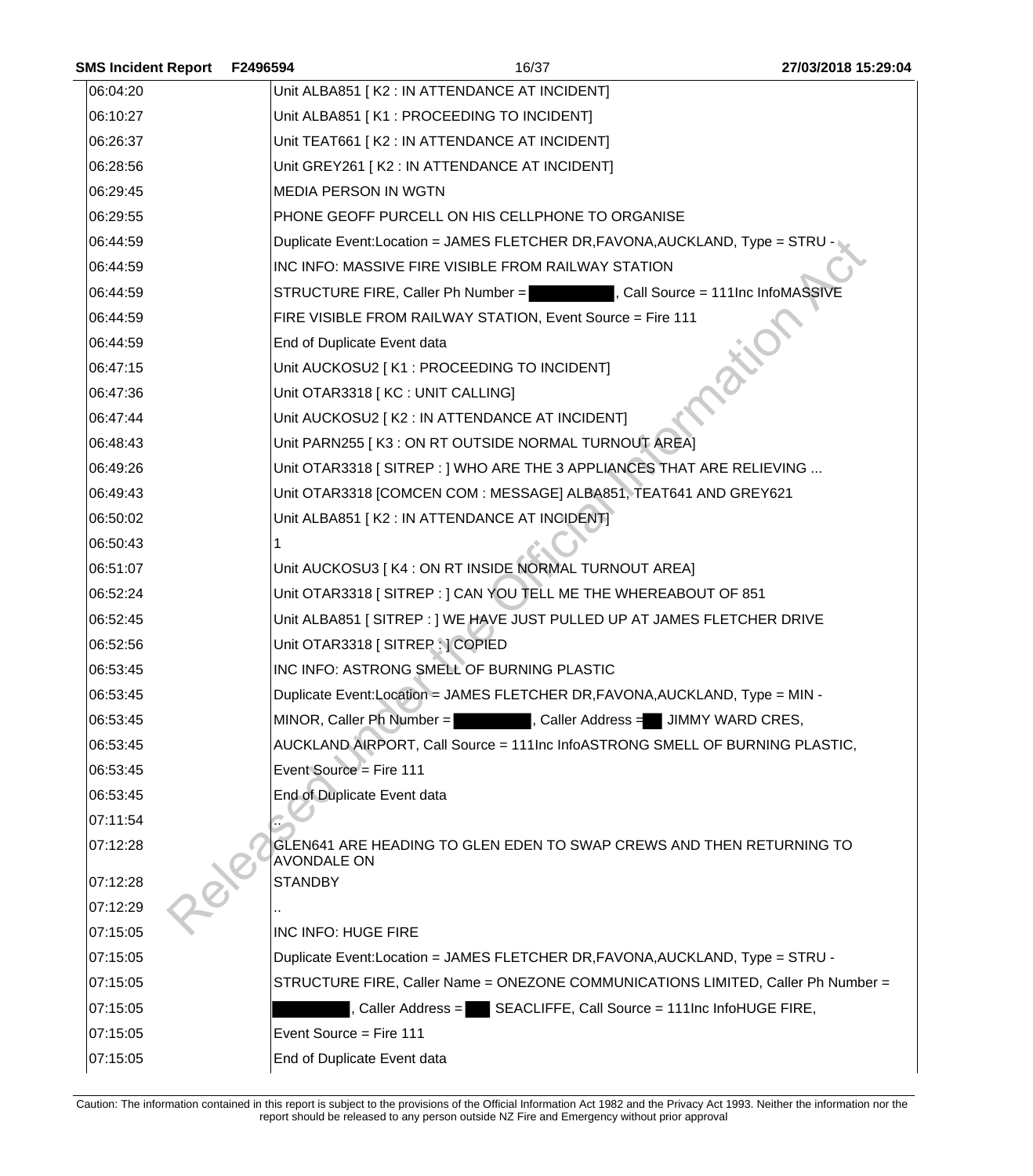| <b>SMS Incident Report</b> | F2496594                | 16/37                                                                            | 27/03/2018 15:29:04 |
|----------------------------|-------------------------|----------------------------------------------------------------------------------|---------------------|
| 06:04:20                   |                         | Unit ALBA851 [K2 : IN ATTENDANCE AT INCIDENT]                                    |                     |
| 06:10:27                   |                         | Unit ALBA851 [K1 : PROCEEDING TO INCIDENT]                                       |                     |
| 06:26:37                   |                         | Unit TEAT661   K2 : IN ATTENDANCE AT INCIDENT]                                   |                     |
| 06:28:56                   |                         | Unit GREY261   K2 : IN ATTENDANCE AT INCIDENT]                                   |                     |
| 06:29:45                   |                         | <b>MEDIA PERSON IN WGTN</b>                                                      |                     |
| 06:29:55                   |                         | PHONE GEOFF PURCELL ON HIS CELLPHONE TO ORGANISE                                 |                     |
| 06:44:59                   |                         | Duplicate Event:Location = JAMES FLETCHER DR, FAVONA, AUCKLAND, Type = STRU -    |                     |
| 06:44:59                   |                         | INC INFO: MASSIVE FIRE VISIBLE FROM RAILWAY STATION                              |                     |
| 06:44:59                   |                         | STRUCTURE FIRE, Caller Ph Number = The Real Source = 111Inc InfoMASSIVE          |                     |
| 06:44:59                   |                         | FIRE VISIBLE FROM RAILWAY STATION, Event Source = Fire 111                       |                     |
| 06:44:59                   |                         | End of Duplicate Event data                                                      |                     |
| 06:47:15                   |                         | Unit AUCKOSU2 [K1 : PROCEEDING TO INCIDENT]                                      |                     |
| 06:47:36                   |                         | Unit OTAR3318 [KC : UNIT CALLING]                                                |                     |
| 06:47:44                   |                         | Unit AUCKOSU2 [ K2 : IN ATTENDANCE AT INCIDENT]                                  |                     |
| 06:48:43                   |                         | Unit PARN255 [K3 : ON RT OUTSIDE NORMAL TURNOUT AREA]                            |                     |
| 06:49:26                   |                         | Unit OTAR3318 [SITREP : ] WHO ARE THE 3 APPLIANCES THAT ARE RELIEVING            |                     |
| 06:49:43                   |                         | Unit OTAR3318 [COMCEN COM : MESSAGE] ALBA851, TEAT641 AND GREY621                |                     |
| 06:50:02                   |                         | Unit ALBA851 [K2 : IN ATTENDANCE AT INCIDENT]                                    |                     |
| 06:50:43                   |                         |                                                                                  |                     |
| 06:51:07                   |                         | Unit AUCKOSU3 [ K4 : ON RT INSIDE NORMAL TURNOUT AREA]                           |                     |
| 06:52:24                   |                         | Unit OTAR3318 [SITREP : ] CAN YOU TELL ME THE WHEREABOUT OF 851                  |                     |
| 06:52:45                   |                         | Unit ALBA851 [ SITREP : ] WE HAVE JUST PULLED UP AT JAMES FLETCHER DRIVE         |                     |
| 06:52:56                   |                         | Unit OTAR3318 [SITREP : ] COPIED                                                 |                     |
| 06:53:45                   |                         | INC INFO: ASTRONG SMELL OF BURNING PLASTIC                                       |                     |
| 06:53:45                   |                         | Duplicate Event:Location = JAMES FLETCHER DR, FAVONA, AUCKLAND, Type = MIN -     |                     |
| 06:53:45                   |                         | MINOR, Caller Ph Number =<br>, Caller Address = JIMMY WARD CRES,                 |                     |
| 06:53:45                   |                         | AUCKLAND AIRPORT, Call Source = 111Inc InfoASTRONG SMELL OF BURNING PLASTIC,     |                     |
| 06:53:45                   | Event Source = Fire 111 |                                                                                  |                     |
| 06:53:45                   |                         | End of Duplicate Event data                                                      |                     |
| 07:11:54                   |                         |                                                                                  |                     |
| 07:12:28                   | <b>AVONDALE ON</b>      | GLEN641 ARE HEADING TO GLEN EDEN TO SWAP CREWS AND THEN RETURNING TO             |                     |
| 07:12:28                   | <b>STANDBY</b>          |                                                                                  |                     |
| 07:12:29                   |                         |                                                                                  |                     |
| 07:15:05                   | INC INFO: HUGE FIRE     |                                                                                  |                     |
| 07:15:05                   |                         | Duplicate Event:Location = JAMES FLETCHER DR, FAVONA, AUCKLAND, Type = STRU -    |                     |
| 07:15:05                   |                         | STRUCTURE FIRE, Caller Name = ONEZONE COMMUNICATIONS LIMITED, Caller Ph Number = |                     |
| 07:15:05                   |                         | Caller Address = SEACLIFFE, Call Source = 111Inc InfoHUGE FIRE,                  |                     |
| 07:15:05                   | Event Source = Fire 111 |                                                                                  |                     |
| 07:15:05                   |                         | End of Duplicate Event data                                                      |                     |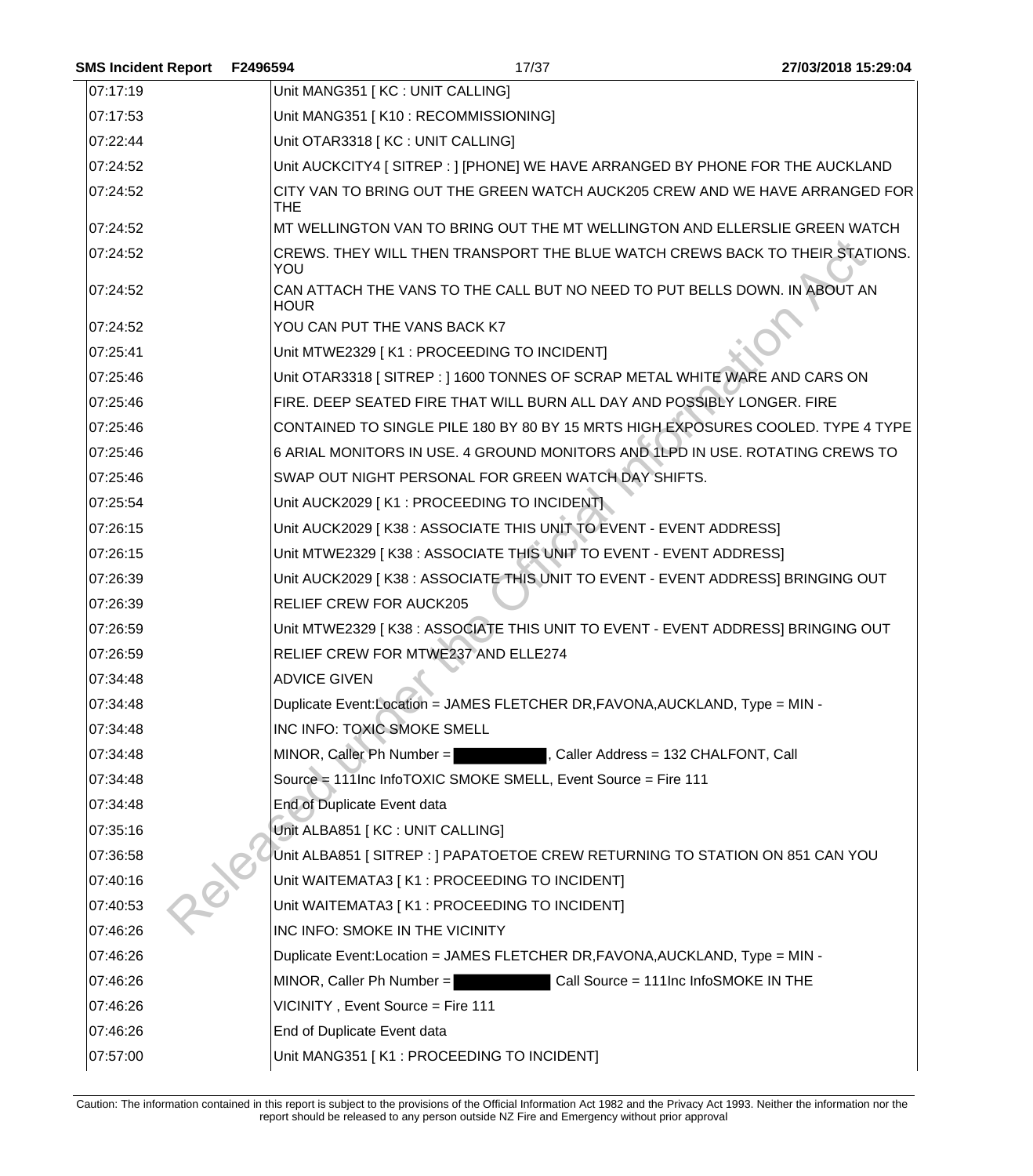| SMS Incident Report F2496594 |                     | 17/37                                                                            | 27/03/2018 15:29:04 |
|------------------------------|---------------------|----------------------------------------------------------------------------------|---------------------|
| 07:17:19                     |                     | Unit MANG351 [KC : UNIT CALLING]                                                 |                     |
| 07:17:53                     |                     | Unit MANG351 [K10 : RECOMMISSIONING]                                             |                     |
| 07:22:44                     |                     | Unit OTAR3318 [ KC : UNIT CALLING]                                               |                     |
| 07:24:52                     |                     | Unit AUCKCITY4 [ SITREP : ] [PHONE] WE HAVE ARRANGED BY PHONE FOR THE AUCKLAND   |                     |
| 07:24:52                     | THE.                | CITY VAN TO BRING OUT THE GREEN WATCH AUCK205 CREW AND WE HAVE ARRANGED FOR      |                     |
| 07:24:52                     |                     | MT WELLINGTON VAN TO BRING OUT THE MT WELLINGTON AND ELLERSLIE GREEN WATCH       |                     |
| 07:24:52                     | YOU                 | CREWS. THEY WILL THEN TRANSPORT THE BLUE WATCH CREWS BACK TO THEIR STATIONS.     |                     |
| 07:24:52                     | <b>HOUR</b>         | CAN ATTACH THE VANS TO THE CALL BUT NO NEED TO PUT BELLS DOWN. IN ABOUT AN       |                     |
| 07:24:52                     |                     | YOU CAN PUT THE VANS BACK K7                                                     |                     |
| 07:25:41                     |                     | Unit MTWE2329 [K1 : PROCEEDING TO INCIDENT]                                      |                     |
| 07:25:46                     |                     | Unit OTAR3318 [SITREP: ] 1600 TONNES OF SCRAP METAL WHITE WARE AND CARS ON       |                     |
| 07:25:46                     |                     | FIRE. DEEP SEATED FIRE THAT WILL BURN ALL DAY AND POSSIBLY LONGER. FIRE          |                     |
| 07:25:46                     |                     | CONTAINED TO SINGLE PILE 180 BY 80 BY 15 MRTS HIGH EXPOSURES COOLED. TYPE 4 TYPE |                     |
| 07:25:46                     |                     | 6 ARIAL MONITORS IN USE. 4 GROUND MONITORS AND 1LPD IN USE. ROTATING CREWS TO    |                     |
| 07:25:46                     |                     | SWAP OUT NIGHT PERSONAL FOR GREEN WATCH DAY SHIFTS.                              |                     |
| 07:25:54                     |                     | Unit AUCK2029 [K1 : PROCEEDING TO INCIDENT]                                      |                     |
| 07:26:15                     |                     | Unit AUCK2029   K38 : ASSOCIATE THIS UNIT TO EVENT - EVENT ADDRESS]              |                     |
| 07:26:15                     |                     | Unit MTWE2329   K38 : ASSOCIATE THIS UNIT TO EVENT - EVENT ADDRESS]              |                     |
| 07:26:39                     |                     | Unit AUCK2029   K38 : ASSOCIATE THIS UNIT TO EVENT - EVENT ADDRESS] BRINGING OUT |                     |
| 07:26:39                     |                     | RELIEF CREW FOR AUCK205                                                          |                     |
| 07:26:59                     |                     | Unit MTWE2329   K38 : ASSOCIATE THIS UNIT TO EVENT - EVENT ADDRESS] BRINGING OUT |                     |
| 07:26:59                     |                     | RELIEF CREW FOR MTWE237 AND ELLE274                                              |                     |
| 07:34:48                     | <b>ADVICE GIVEN</b> |                                                                                  |                     |
| 07:34:48                     |                     | Duplicate Event:Location = JAMES FLETCHER DR, FAVONA, AUCKLAND, Type = MIN -     |                     |
| 07:34:48                     |                     | INC INFO: TOXIC SMOKE SMELL                                                      |                     |
| 07:34:48                     |                     | MINOR, Caller Ph Number =<br>, Caller Address = 132 CHALFONT, Call               |                     |
| 07:34:48                     |                     | Source = 111Inc InfoTOXIC SMOKE SMELL, Event Source = Fire 111                   |                     |
| 07:34:48                     |                     | End of Duplicate Event data                                                      |                     |
| 07:35:16                     |                     | Unit ALBA851 [KC : UNIT CALLING]                                                 |                     |
| 07:36:58                     |                     | Unit ALBA851 [SITREP : ] PAPATOETOE CREW RETURNING TO STATION ON 851 CAN YOU     |                     |
| 07:40:16                     |                     | Unit WAITEMATA3 [ K1 : PROCEEDING TO INCIDENT]                                   |                     |
| 07:40:53                     |                     | Unit WAITEMATA3 [ K1 : PROCEEDING TO INCIDENT]                                   |                     |
| 07:46:26                     |                     | INC INFO: SMOKE IN THE VICINITY                                                  |                     |
| 07:46:26                     |                     | Duplicate Event: Location = JAMES FLETCHER DR, FAVONA, AUCKLAND, Type = MIN -    |                     |
| 07:46:26                     |                     | Call Source = 111Inc InfoSMOKE IN THE<br>MINOR, Caller Ph Number =               |                     |
| 07:46:26                     |                     | VICINITY, Event Source = Fire 111                                                |                     |
| 07:46:26                     |                     | End of Duplicate Event data                                                      |                     |
| 07:57:00                     |                     | Unit MANG351 [K1 : PROCEEDING TO INCIDENT]                                       |                     |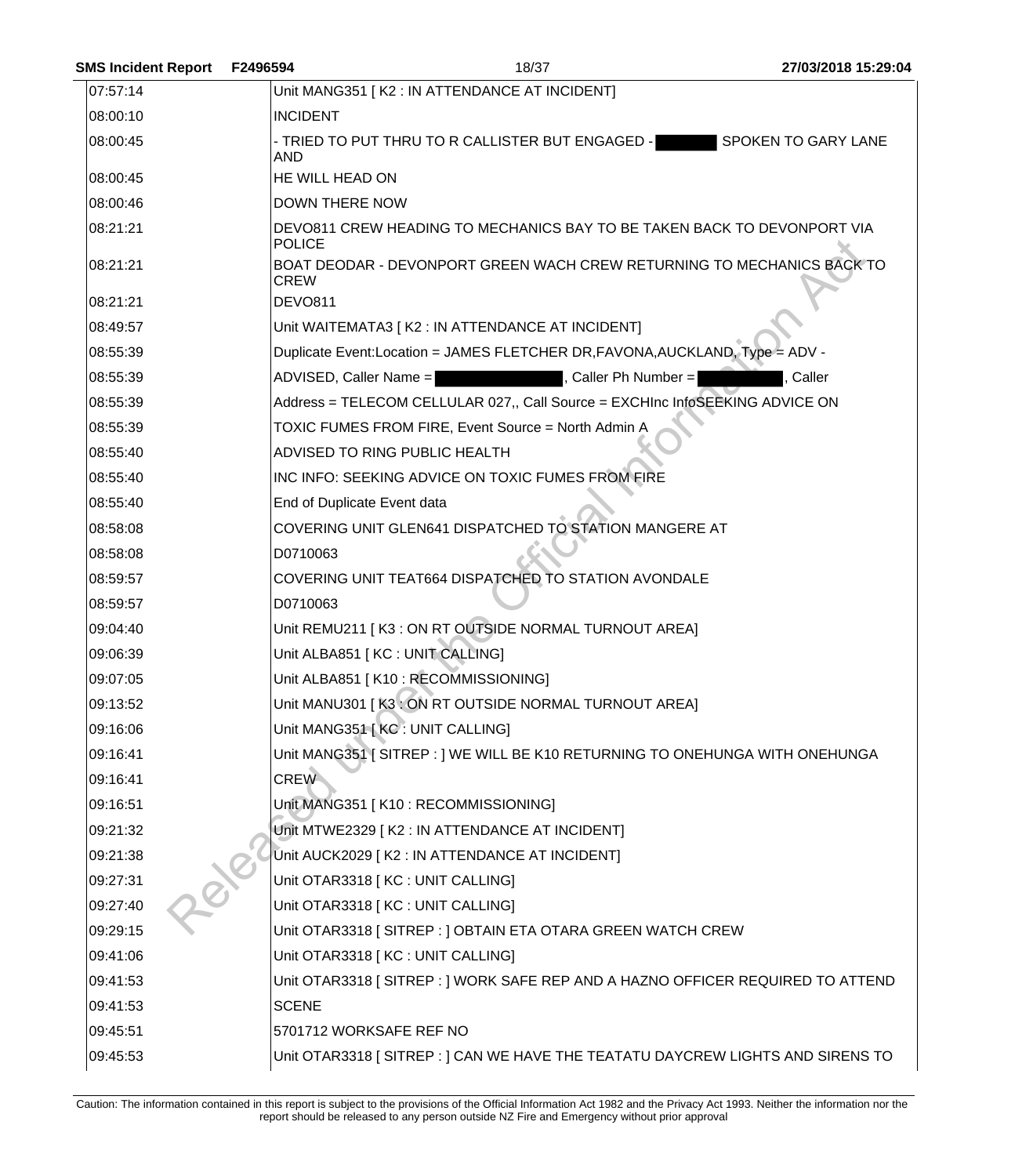| <b>SMS Incident Report</b> | F2496594              | 18/37                                                                          | 27/03/2018 15:29:04 |
|----------------------------|-----------------------|--------------------------------------------------------------------------------|---------------------|
| 07:57:14                   |                       | Unit MANG351 [K2 : IN ATTENDANCE AT INCIDENT]                                  |                     |
| 08:00:10                   | <b>INCIDENT</b>       |                                                                                |                     |
| 08:00:45                   | AND                   | - TRIED TO PUT THRU TO R CALLISTER BUT ENGAGED -                               | SPOKEN TO GARY LANE |
| 08:00:45                   | HE WILL HEAD ON       |                                                                                |                     |
| 08:00:46                   | <b>DOWN THERE NOW</b> |                                                                                |                     |
| 08:21:21                   | <b>POLICE</b>         | DEVO811 CREW HEADING TO MECHANICS BAY TO BE TAKEN BACK TO DEVONPORT VIA        |                     |
| 08:21:21                   | <b>CREW</b>           | BOAT DEODAR - DEVONPORT GREEN WACH CREW RETURNING TO MECHANICS BACK TO         |                     |
| 08:21:21                   | <b>DEVO811</b>        |                                                                                |                     |
| 08:49:57                   |                       | Unit WAITEMATA3   K2 : IN ATTENDANCE AT INCIDENT]                              |                     |
| 08:55:39                   |                       | Duplicate Event:Location = JAMES FLETCHER DR, FAVONA, AUCKLAND, Type = ADV -   |                     |
| 08:55:39                   |                       | ADVISED, Caller Name =<br>, Caller Ph Number =                                 | Caller              |
| 08:55:39                   |                       | Address = TELECOM CELLULAR 027,, Call Source = EXCHInc InfoSEEKING ADVICE ON   |                     |
| 08:55:39                   |                       | TOXIC FUMES FROM FIRE, Event Source = North Admin A                            |                     |
| 08:55:40                   |                       | ADVISED TO RING PUBLIC HEALTH                                                  |                     |
| 08:55:40                   |                       | INC INFO: SEEKING ADVICE ON TOXIC FUMES FROM FIRE                              |                     |
| 08:55:40                   |                       | End of Duplicate Event data                                                    |                     |
| 08:58:08                   |                       | COVERING UNIT GLEN641 DISPATCHED TO STATION MANGERE AT                         |                     |
| 08:58:08                   | D0710063              |                                                                                |                     |
| 08:59:57                   |                       | COVERING UNIT TEAT664 DISPATCHED TO STATION AVONDALE                           |                     |
| 08:59:57                   | D0710063              |                                                                                |                     |
| 09:04:40                   |                       | Unit REMU211   K3 : ON RT OUTSIDE NORMAL TURNOUT AREA]                         |                     |
| 09:06:39                   |                       | Unit ALBA851 [KC : UNIT CALLING]                                               |                     |
| 09:07:05                   |                       | Unit ALBA851 [K10: RECOMMISSIONING]                                            |                     |
| 09:13:52                   |                       | Unit MANU301 [K3: ON RT OUTSIDE NORMAL TURNOUT AREA]                           |                     |
| 09:16:06                   |                       | Unit MANG351 [KC : UNIT CALLING]                                               |                     |
| 09:16:41                   |                       | Unit MANG351   SITREP : 1 WE WILL BE K10 RETURNING TO ONEHUNGA WITH ONEHUNGA   |                     |
| 09:16:41                   | <b>CREW</b>           |                                                                                |                     |
| 09:16:51                   |                       | Unit MANG351   K10 : RECOMMISSIONING]                                          |                     |
| 09:21:32                   |                       | Unit MTWE2329 [K2 : IN ATTENDANCE AT INCIDENT]                                 |                     |
| 09:21:38                   |                       | Unit AUCK2029 [K2 : IN ATTENDANCE AT INCIDENT]                                 |                     |
| 09:27:31                   |                       | Unit OTAR3318 [KC : UNIT CALLING]                                              |                     |
| 09:27:40                   |                       | Unit OTAR3318 [ KC : UNIT CALLING]                                             |                     |
| 09:29:15                   |                       | Unit OTAR3318 [SITREP : ] OBTAIN ETA OTARA GREEN WATCH CREW                    |                     |
| 09:41:06                   |                       | Unit OTAR3318 [ KC : UNIT CALLING]                                             |                     |
| 09:41:53                   |                       | Unit OTAR3318 [SITREP : ] WORK SAFE REP AND A HAZNO OFFICER REQUIRED TO ATTEND |                     |
| 09:41:53                   | <b>SCENE</b>          |                                                                                |                     |
| 09:45:51                   |                       | 5701712 WORKSAFE REF NO                                                        |                     |
| 09:45:53                   |                       | Unit OTAR3318 [SITREP : ] CAN WE HAVE THE TEATATU DAYCREW LIGHTS AND SIRENS TO |                     |
|                            |                       |                                                                                |                     |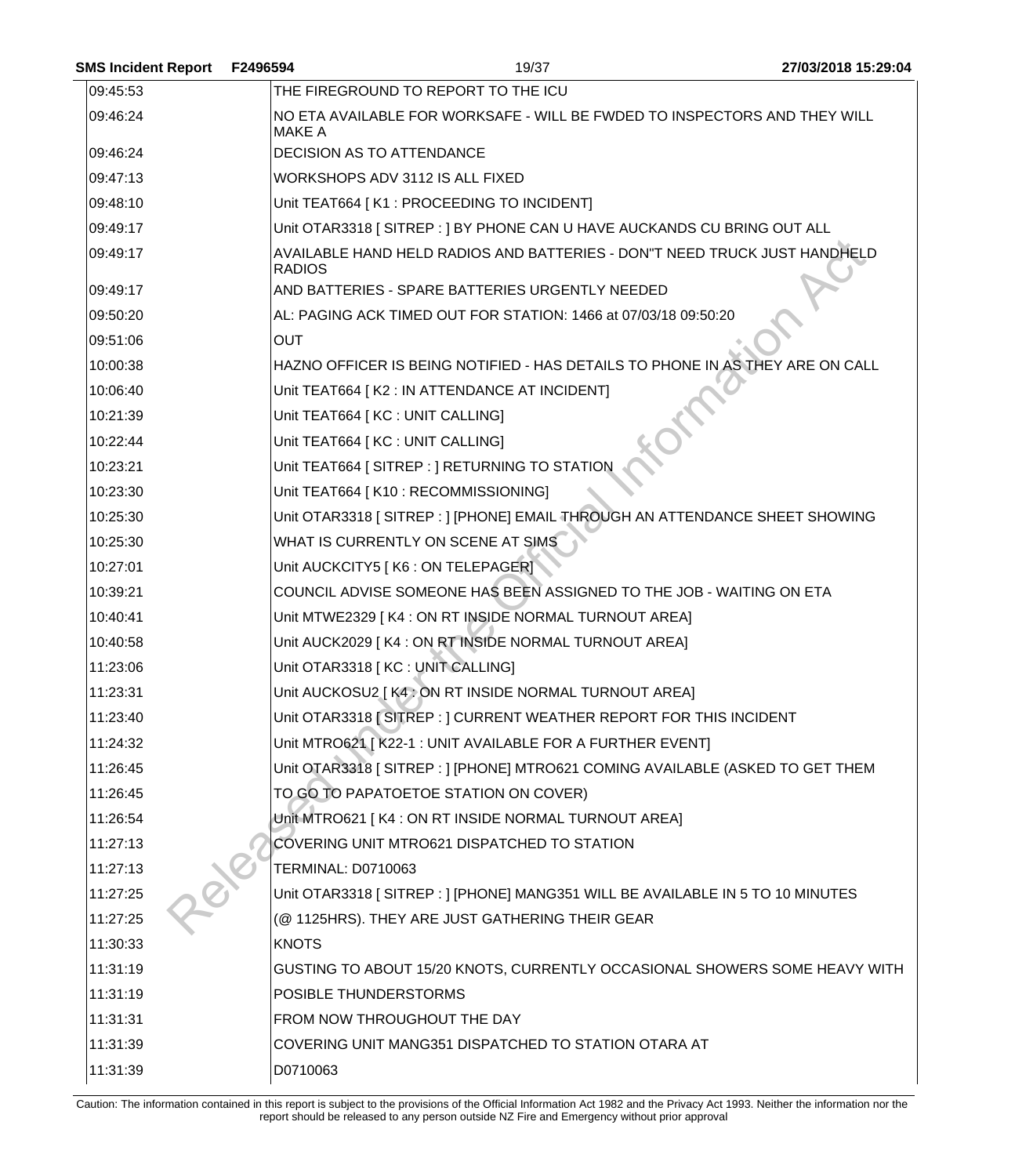| F2496594      | 19/37 | 27/03/2018 15:29:04                                                                                                                                                                                                                                                                                                                                                                                                                                                                                                                                                                                                                                                                                                                                                                                                                                                                                                                                                                                                                                                                                                                                                                                                                                                                                                                                                                                                                                                                                                                                                                                                                                                                                                                                                                                                                                                                                                                                                                                                     |
|---------------|-------|-------------------------------------------------------------------------------------------------------------------------------------------------------------------------------------------------------------------------------------------------------------------------------------------------------------------------------------------------------------------------------------------------------------------------------------------------------------------------------------------------------------------------------------------------------------------------------------------------------------------------------------------------------------------------------------------------------------------------------------------------------------------------------------------------------------------------------------------------------------------------------------------------------------------------------------------------------------------------------------------------------------------------------------------------------------------------------------------------------------------------------------------------------------------------------------------------------------------------------------------------------------------------------------------------------------------------------------------------------------------------------------------------------------------------------------------------------------------------------------------------------------------------------------------------------------------------------------------------------------------------------------------------------------------------------------------------------------------------------------------------------------------------------------------------------------------------------------------------------------------------------------------------------------------------------------------------------------------------------------------------------------------------|
|               |       |                                                                                                                                                                                                                                                                                                                                                                                                                                                                                                                                                                                                                                                                                                                                                                                                                                                                                                                                                                                                                                                                                                                                                                                                                                                                                                                                                                                                                                                                                                                                                                                                                                                                                                                                                                                                                                                                                                                                                                                                                         |
| <b>MAKE A</b> |       |                                                                                                                                                                                                                                                                                                                                                                                                                                                                                                                                                                                                                                                                                                                                                                                                                                                                                                                                                                                                                                                                                                                                                                                                                                                                                                                                                                                                                                                                                                                                                                                                                                                                                                                                                                                                                                                                                                                                                                                                                         |
|               |       |                                                                                                                                                                                                                                                                                                                                                                                                                                                                                                                                                                                                                                                                                                                                                                                                                                                                                                                                                                                                                                                                                                                                                                                                                                                                                                                                                                                                                                                                                                                                                                                                                                                                                                                                                                                                                                                                                                                                                                                                                         |
|               |       |                                                                                                                                                                                                                                                                                                                                                                                                                                                                                                                                                                                                                                                                                                                                                                                                                                                                                                                                                                                                                                                                                                                                                                                                                                                                                                                                                                                                                                                                                                                                                                                                                                                                                                                                                                                                                                                                                                                                                                                                                         |
|               |       |                                                                                                                                                                                                                                                                                                                                                                                                                                                                                                                                                                                                                                                                                                                                                                                                                                                                                                                                                                                                                                                                                                                                                                                                                                                                                                                                                                                                                                                                                                                                                                                                                                                                                                                                                                                                                                                                                                                                                                                                                         |
|               |       |                                                                                                                                                                                                                                                                                                                                                                                                                                                                                                                                                                                                                                                                                                                                                                                                                                                                                                                                                                                                                                                                                                                                                                                                                                                                                                                                                                                                                                                                                                                                                                                                                                                                                                                                                                                                                                                                                                                                                                                                                         |
| <b>RADIOS</b> |       |                                                                                                                                                                                                                                                                                                                                                                                                                                                                                                                                                                                                                                                                                                                                                                                                                                                                                                                                                                                                                                                                                                                                                                                                                                                                                                                                                                                                                                                                                                                                                                                                                                                                                                                                                                                                                                                                                                                                                                                                                         |
|               |       |                                                                                                                                                                                                                                                                                                                                                                                                                                                                                                                                                                                                                                                                                                                                                                                                                                                                                                                                                                                                                                                                                                                                                                                                                                                                                                                                                                                                                                                                                                                                                                                                                                                                                                                                                                                                                                                                                                                                                                                                                         |
|               |       |                                                                                                                                                                                                                                                                                                                                                                                                                                                                                                                                                                                                                                                                                                                                                                                                                                                                                                                                                                                                                                                                                                                                                                                                                                                                                                                                                                                                                                                                                                                                                                                                                                                                                                                                                                                                                                                                                                                                                                                                                         |
| <b>OUT</b>    |       |                                                                                                                                                                                                                                                                                                                                                                                                                                                                                                                                                                                                                                                                                                                                                                                                                                                                                                                                                                                                                                                                                                                                                                                                                                                                                                                                                                                                                                                                                                                                                                                                                                                                                                                                                                                                                                                                                                                                                                                                                         |
|               |       |                                                                                                                                                                                                                                                                                                                                                                                                                                                                                                                                                                                                                                                                                                                                                                                                                                                                                                                                                                                                                                                                                                                                                                                                                                                                                                                                                                                                                                                                                                                                                                                                                                                                                                                                                                                                                                                                                                                                                                                                                         |
|               |       |                                                                                                                                                                                                                                                                                                                                                                                                                                                                                                                                                                                                                                                                                                                                                                                                                                                                                                                                                                                                                                                                                                                                                                                                                                                                                                                                                                                                                                                                                                                                                                                                                                                                                                                                                                                                                                                                                                                                                                                                                         |
|               |       |                                                                                                                                                                                                                                                                                                                                                                                                                                                                                                                                                                                                                                                                                                                                                                                                                                                                                                                                                                                                                                                                                                                                                                                                                                                                                                                                                                                                                                                                                                                                                                                                                                                                                                                                                                                                                                                                                                                                                                                                                         |
|               |       |                                                                                                                                                                                                                                                                                                                                                                                                                                                                                                                                                                                                                                                                                                                                                                                                                                                                                                                                                                                                                                                                                                                                                                                                                                                                                                                                                                                                                                                                                                                                                                                                                                                                                                                                                                                                                                                                                                                                                                                                                         |
|               |       |                                                                                                                                                                                                                                                                                                                                                                                                                                                                                                                                                                                                                                                                                                                                                                                                                                                                                                                                                                                                                                                                                                                                                                                                                                                                                                                                                                                                                                                                                                                                                                                                                                                                                                                                                                                                                                                                                                                                                                                                                         |
|               |       |                                                                                                                                                                                                                                                                                                                                                                                                                                                                                                                                                                                                                                                                                                                                                                                                                                                                                                                                                                                                                                                                                                                                                                                                                                                                                                                                                                                                                                                                                                                                                                                                                                                                                                                                                                                                                                                                                                                                                                                                                         |
|               |       |                                                                                                                                                                                                                                                                                                                                                                                                                                                                                                                                                                                                                                                                                                                                                                                                                                                                                                                                                                                                                                                                                                                                                                                                                                                                                                                                                                                                                                                                                                                                                                                                                                                                                                                                                                                                                                                                                                                                                                                                                         |
|               |       |                                                                                                                                                                                                                                                                                                                                                                                                                                                                                                                                                                                                                                                                                                                                                                                                                                                                                                                                                                                                                                                                                                                                                                                                                                                                                                                                                                                                                                                                                                                                                                                                                                                                                                                                                                                                                                                                                                                                                                                                                         |
|               |       |                                                                                                                                                                                                                                                                                                                                                                                                                                                                                                                                                                                                                                                                                                                                                                                                                                                                                                                                                                                                                                                                                                                                                                                                                                                                                                                                                                                                                                                                                                                                                                                                                                                                                                                                                                                                                                                                                                                                                                                                                         |
|               |       |                                                                                                                                                                                                                                                                                                                                                                                                                                                                                                                                                                                                                                                                                                                                                                                                                                                                                                                                                                                                                                                                                                                                                                                                                                                                                                                                                                                                                                                                                                                                                                                                                                                                                                                                                                                                                                                                                                                                                                                                                         |
|               |       |                                                                                                                                                                                                                                                                                                                                                                                                                                                                                                                                                                                                                                                                                                                                                                                                                                                                                                                                                                                                                                                                                                                                                                                                                                                                                                                                                                                                                                                                                                                                                                                                                                                                                                                                                                                                                                                                                                                                                                                                                         |
|               |       |                                                                                                                                                                                                                                                                                                                                                                                                                                                                                                                                                                                                                                                                                                                                                                                                                                                                                                                                                                                                                                                                                                                                                                                                                                                                                                                                                                                                                                                                                                                                                                                                                                                                                                                                                                                                                                                                                                                                                                                                                         |
|               |       |                                                                                                                                                                                                                                                                                                                                                                                                                                                                                                                                                                                                                                                                                                                                                                                                                                                                                                                                                                                                                                                                                                                                                                                                                                                                                                                                                                                                                                                                                                                                                                                                                                                                                                                                                                                                                                                                                                                                                                                                                         |
|               |       |                                                                                                                                                                                                                                                                                                                                                                                                                                                                                                                                                                                                                                                                                                                                                                                                                                                                                                                                                                                                                                                                                                                                                                                                                                                                                                                                                                                                                                                                                                                                                                                                                                                                                                                                                                                                                                                                                                                                                                                                                         |
|               |       |                                                                                                                                                                                                                                                                                                                                                                                                                                                                                                                                                                                                                                                                                                                                                                                                                                                                                                                                                                                                                                                                                                                                                                                                                                                                                                                                                                                                                                                                                                                                                                                                                                                                                                                                                                                                                                                                                                                                                                                                                         |
|               |       |                                                                                                                                                                                                                                                                                                                                                                                                                                                                                                                                                                                                                                                                                                                                                                                                                                                                                                                                                                                                                                                                                                                                                                                                                                                                                                                                                                                                                                                                                                                                                                                                                                                                                                                                                                                                                                                                                                                                                                                                                         |
|               |       |                                                                                                                                                                                                                                                                                                                                                                                                                                                                                                                                                                                                                                                                                                                                                                                                                                                                                                                                                                                                                                                                                                                                                                                                                                                                                                                                                                                                                                                                                                                                                                                                                                                                                                                                                                                                                                                                                                                                                                                                                         |
|               |       |                                                                                                                                                                                                                                                                                                                                                                                                                                                                                                                                                                                                                                                                                                                                                                                                                                                                                                                                                                                                                                                                                                                                                                                                                                                                                                                                                                                                                                                                                                                                                                                                                                                                                                                                                                                                                                                                                                                                                                                                                         |
|               |       |                                                                                                                                                                                                                                                                                                                                                                                                                                                                                                                                                                                                                                                                                                                                                                                                                                                                                                                                                                                                                                                                                                                                                                                                                                                                                                                                                                                                                                                                                                                                                                                                                                                                                                                                                                                                                                                                                                                                                                                                                         |
|               |       |                                                                                                                                                                                                                                                                                                                                                                                                                                                                                                                                                                                                                                                                                                                                                                                                                                                                                                                                                                                                                                                                                                                                                                                                                                                                                                                                                                                                                                                                                                                                                                                                                                                                                                                                                                                                                                                                                                                                                                                                                         |
|               |       |                                                                                                                                                                                                                                                                                                                                                                                                                                                                                                                                                                                                                                                                                                                                                                                                                                                                                                                                                                                                                                                                                                                                                                                                                                                                                                                                                                                                                                                                                                                                                                                                                                                                                                                                                                                                                                                                                                                                                                                                                         |
|               |       |                                                                                                                                                                                                                                                                                                                                                                                                                                                                                                                                                                                                                                                                                                                                                                                                                                                                                                                                                                                                                                                                                                                                                                                                                                                                                                                                                                                                                                                                                                                                                                                                                                                                                                                                                                                                                                                                                                                                                                                                                         |
|               |       |                                                                                                                                                                                                                                                                                                                                                                                                                                                                                                                                                                                                                                                                                                                                                                                                                                                                                                                                                                                                                                                                                                                                                                                                                                                                                                                                                                                                                                                                                                                                                                                                                                                                                                                                                                                                                                                                                                                                                                                                                         |
| <b>KNOTS</b>  |       |                                                                                                                                                                                                                                                                                                                                                                                                                                                                                                                                                                                                                                                                                                                                                                                                                                                                                                                                                                                                                                                                                                                                                                                                                                                                                                                                                                                                                                                                                                                                                                                                                                                                                                                                                                                                                                                                                                                                                                                                                         |
|               |       |                                                                                                                                                                                                                                                                                                                                                                                                                                                                                                                                                                                                                                                                                                                                                                                                                                                                                                                                                                                                                                                                                                                                                                                                                                                                                                                                                                                                                                                                                                                                                                                                                                                                                                                                                                                                                                                                                                                                                                                                                         |
|               |       |                                                                                                                                                                                                                                                                                                                                                                                                                                                                                                                                                                                                                                                                                                                                                                                                                                                                                                                                                                                                                                                                                                                                                                                                                                                                                                                                                                                                                                                                                                                                                                                                                                                                                                                                                                                                                                                                                                                                                                                                                         |
|               |       |                                                                                                                                                                                                                                                                                                                                                                                                                                                                                                                                                                                                                                                                                                                                                                                                                                                                                                                                                                                                                                                                                                                                                                                                                                                                                                                                                                                                                                                                                                                                                                                                                                                                                                                                                                                                                                                                                                                                                                                                                         |
|               |       |                                                                                                                                                                                                                                                                                                                                                                                                                                                                                                                                                                                                                                                                                                                                                                                                                                                                                                                                                                                                                                                                                                                                                                                                                                                                                                                                                                                                                                                                                                                                                                                                                                                                                                                                                                                                                                                                                                                                                                                                                         |
| D0710063      |       |                                                                                                                                                                                                                                                                                                                                                                                                                                                                                                                                                                                                                                                                                                                                                                                                                                                                                                                                                                                                                                                                                                                                                                                                                                                                                                                                                                                                                                                                                                                                                                                                                                                                                                                                                                                                                                                                                                                                                                                                                         |
|               |       | THE FIREGROUND TO REPORT TO THE ICU<br>NO ETA AVAILABLE FOR WORKSAFE - WILL BE FWDED TO INSPECTORS AND THEY WILL<br><b>DECISION AS TO ATTENDANCE</b><br>WORKSHOPS ADV 3112 IS ALL FIXED<br>Unit TEAT664 [K1 : PROCEEDING TO INCIDENT]<br>Unit OTAR3318 [ SITREP : ] BY PHONE CAN U HAVE AUCKANDS CU BRING OUT ALL<br>AVAILABLE HAND HELD RADIOS AND BATTERIES - DON'T NEED TRUCK JUST HANDHELD<br>AND BATTERIES - SPARE BATTERIES URGENTLY NEEDED<br>AL: PAGING ACK TIMED OUT FOR STATION: 1466 at 07/03/18 09:50:20<br>HAZNO OFFICER IS BEING NOTIFIED - HAS DETAILS TO PHONE IN AS THEY ARE ON CALL<br>Unit TEAT664 [ K2 : IN ATTENDANCE AT INCIDENT]<br>Unit TEAT664   KC : UNIT CALLING]<br>Unit TEAT664 [ KC : UNIT CALLING]<br>Unit TEAT664 [ SITREP : ] RETURNING TO STATION<br>Unit TEAT664 [K10 : RECOMMISSIONING]<br>Unit OTAR3318 [ SITREP : ] [PHONE] EMAIL THROUGH AN ATTENDANCE SHEET SHOWING<br>WHAT IS CURRENTLY ON SCENE AT SIMS<br>Unit AUCKCITY5   K6 : ON TELEPAGERI<br>COUNCIL ADVISE SOMEONE HAS BEEN ASSIGNED TO THE JOB - WAITING ON ETA<br>Unit MTWE2329 [K4 : ON RT INSIDE NORMAL TURNOUT AREA]<br>Unit AUCK2029 [K4 : ON RT INSIDE NORMAL TURNOUT AREA]<br>Unit OTAR3318 [KC : UNIT CALLING]<br>Unit AUCKOSU2   K4 : ON RT INSIDE NORMAL TURNOUT AREA]<br>Unit OTAR3318 [SITREP : ] CURRENT WEATHER REPORT FOR THIS INCIDENT<br>Unit MTRO621 [ K22-1 : UNIT AVAILABLE FOR A FURTHER EVENT]<br>Unit OTAR3318 [ SITREP : ] [PHONE] MTRO621 COMING AVAILABLE (ASKED TO GET THEM<br>TO GO TO PAPATOETOE STATION ON COVER)<br>Unit MTRO621 [K4 : ON RT INSIDE NORMAL TURNOUT AREA]<br>COVERING UNIT MTRO621 DISPATCHED TO STATION<br><b>TERMINAL: D0710063</b><br>Unit OTAR3318 [SITREP : ] [PHONE] MANG351 WILL BE AVAILABLE IN 5 TO 10 MINUTES<br>(@ 1125HRS). THEY ARE JUST GATHERING THEIR GEAR<br>GUSTING TO ABOUT 15/20 KNOTS, CURRENTLY OCCASIONAL SHOWERS SOME HEAVY WITH<br>POSIBLE THUNDERSTORMS<br>FROM NOW THROUGHOUT THE DAY<br>COVERING UNIT MANG351 DISPATCHED TO STATION OTARA AT |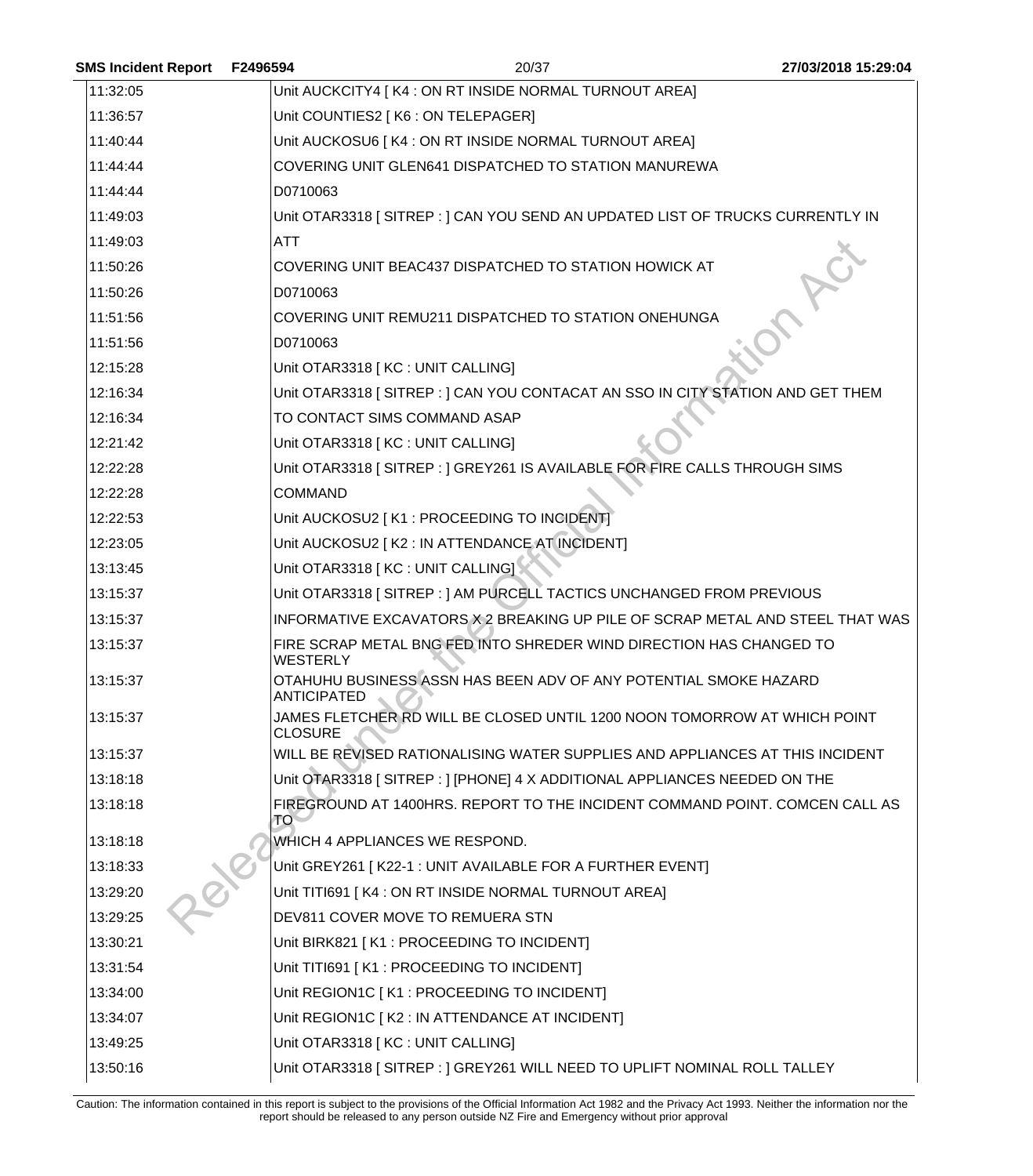| <b>SMS Incident Report</b> | F2496594           | 20/37                                                                          | 27/03/2018 15:29:04 |
|----------------------------|--------------------|--------------------------------------------------------------------------------|---------------------|
| 11:32:05                   |                    | Unit AUCKCITY4   K4 : ON RT INSIDE NORMAL TURNOUT AREA]                        |                     |
| 11:36:57                   |                    | Unit COUNTIES2   K6 : ON TELEPAGER]                                            |                     |
| 11:40:44                   |                    | Unit AUCKOSU6   K4 : ON RT INSIDE NORMAL TURNOUT AREA]                         |                     |
| 11:44:44                   |                    | COVERING UNIT GLEN641 DISPATCHED TO STATION MANUREWA                           |                     |
| 11:44:44                   | D0710063           |                                                                                |                     |
| 11:49:03                   |                    | Unit OTAR3318 [SITREP : ] CAN YOU SEND AN UPDATED LIST OF TRUCKS CURRENTLY IN  |                     |
| 11:49:03                   | ATT                |                                                                                |                     |
| 11:50:26                   |                    | COVERING UNIT BEAC437 DISPATCHED TO STATION HOWICK AT                          |                     |
| 11:50:26                   | D0710063           |                                                                                |                     |
| 11:51:56                   |                    | COVERING UNIT REMU211 DISPATCHED TO STATION ONEHUNGA                           |                     |
| 11:51:56                   | D0710063           |                                                                                |                     |
| 12:15:28                   |                    | Unit OTAR3318 [KC : UNIT CALLING]                                              |                     |
| 12:16:34                   |                    | Unit OTAR3318 [SITREP : ] CAN YOU CONTACAT AN SSO IN CITY STATION AND GET THEM |                     |
| 12:16:34                   |                    | TO CONTACT SIMS COMMAND ASAP                                                   |                     |
| 12:21:42                   |                    | Unit OTAR3318 [KC : UNIT CALLING]                                              |                     |
| 12:22:28                   |                    | Unit OTAR3318 [SITREP : ] GREY261 IS AVAILABLE FOR FIRE CALLS THROUGH SIMS     |                     |
| 12:22:28                   | <b>COMMAND</b>     |                                                                                |                     |
| 12:22:53                   |                    | Unit AUCKOSU2 [ K1 : PROCEEDING TO INCIDENT]                                   |                     |
| 12:23:05                   |                    | Unit AUCKOSU2 [ K2 : IN ATTENDANCE AT INCIDENT]                                |                     |
| 13:13:45                   |                    | Unit OTAR3318 [ KC : UNIT CALLING]                                             |                     |
| 13:15:37                   |                    | Unit OTAR3318 [SITREP: ] AM PURCELL TACTICS UNCHANGED FROM PREVIOUS            |                     |
| 13:15:37                   |                    | INFORMATIVE EXCAVATORS X 2 BREAKING UP PILE OF SCRAP METAL AND STEEL THAT WAS  |                     |
| 13:15:37                   | <b>WESTERLY</b>    | FIRE SCRAP METAL BNG FED INTO SHREDER WIND DIRECTION HAS CHANGED TO            |                     |
| 13:15:37                   | <b>ANTICIPATED</b> | OTAHUHU BUSINESS ASSN HAS BEEN ADV OF ANY POTENTIAL SMOKE HAZARD               |                     |
| 13:15:37                   | <b>CLOSURE</b>     | JAMES FLETCHER RD WILL BE CLOSED UNTIL 1200 NOON TOMORROW AT WHICH POINT       |                     |
| 13:15:37                   |                    | WILL BE REVISED RATIONALISING WATER SUPPLIES AND APPLIANCES AT THIS INCIDENT   |                     |
| 13:18:18                   |                    | Unit OTAR3318 [SITREP : ] [PHONE] 4 X ADDITIONAL APPLIANCES NEEDED ON THE      |                     |
| 13:18:18                   | <b>TO</b>          | FIREGROUND AT 1400HRS. REPORT TO THE INCIDENT COMMAND POINT. COMCEN CALL AS    |                     |
| 13:18:18                   |                    | WHICH 4 APPLIANCES WE RESPOND.                                                 |                     |
| 13:18:33                   |                    | Unit GREY261 [K22-1 : UNIT AVAILABLE FOR A FURTHER EVENT]                      |                     |
| 13:29:20                   |                    | Unit TITI691   K4 : ON RT INSIDE NORMAL TURNOUT AREA]                          |                     |
| 13:29:25                   |                    | DEV811 COVER MOVE TO REMUERA STN                                               |                     |
| 13:30:21                   |                    | Unit BIRK821 [K1 : PROCEEDING TO INCIDENT]                                     |                     |
| 13:31:54                   |                    | Unit TITI691 [K1 : PROCEEDING TO INCIDENT]                                     |                     |
| 13:34:00                   |                    | Unit REGION1C [ K1 : PROCEEDING TO INCIDENT]                                   |                     |
| 13:34:07                   |                    | Unit REGION1C [ K2 : IN ATTENDANCE AT INCIDENT]                                |                     |
| 13:49:25                   |                    | Unit OTAR3318 [ KC : UNIT CALLING]                                             |                     |
| 13:50:16                   |                    | Unit OTAR3318 [ SITREP : ] GREY261 WILL NEED TO UPLIFT NOMINAL ROLL TALLEY     |                     |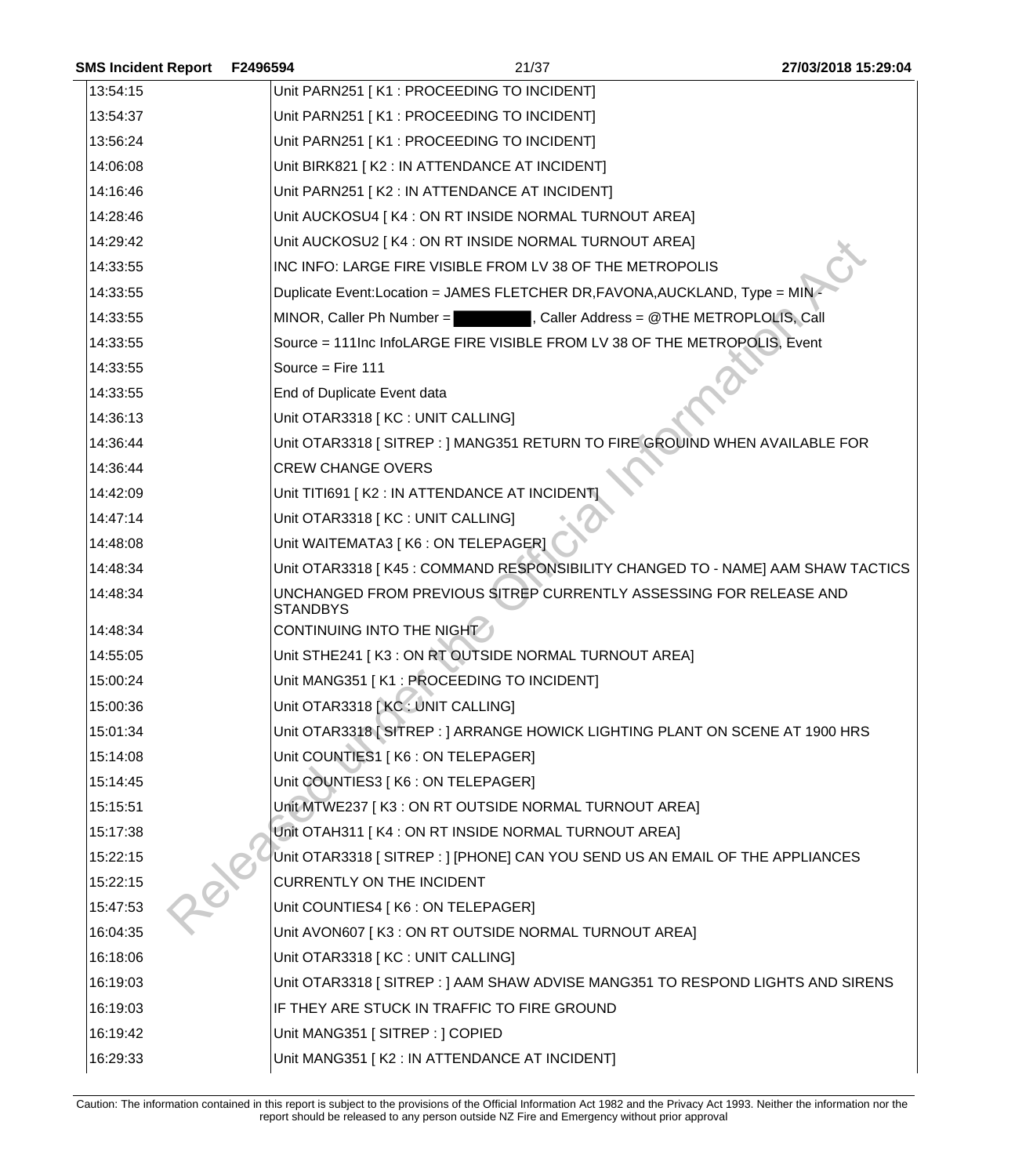| <b>SMS Incident Report</b> | F2496594          | 21/37                                                                           | 27/03/2018 15:29:04 |
|----------------------------|-------------------|---------------------------------------------------------------------------------|---------------------|
| 13:54:15                   |                   | Unit PARN251 [K1 : PROCEEDING TO INCIDENT]                                      |                     |
| 13:54:37                   |                   | Unit PARN251 [K1 : PROCEEDING TO INCIDENT]                                      |                     |
| 13:56:24                   |                   | Unit PARN251 [K1 : PROCEEDING TO INCIDENT]                                      |                     |
| 14:06:08                   |                   | Unit BIRK821 [K2 : IN ATTENDANCE AT INCIDENT]                                   |                     |
| 14:16:46                   |                   | Unit PARN251 [K2 : IN ATTENDANCE AT INCIDENT]                                   |                     |
| 14:28:46                   |                   | Unit AUCKOSU4 [K4 : ON RT INSIDE NORMAL TURNOUT AREA]                           |                     |
| 14:29:42                   |                   | Unit AUCKOSU2   K4 : ON RT INSIDE NORMAL TURNOUT AREA]                          |                     |
| 14:33:55                   |                   | INC INFO: LARGE FIRE VISIBLE FROM LV 38 OF THE METROPOLIS                       |                     |
| 14:33:55                   |                   | Duplicate Event:Location = JAMES FLETCHER DR, FAVONA, AUCKLAND, Type = MIN      |                     |
| 14:33:55                   |                   | MINOR, Caller Ph Number = The Scaller Address = @THE METROPLOLIS, Call          |                     |
| 14:33:55                   |                   | Source = 111Inc InfoLARGE FIRE VISIBLE FROM LV 38 OF THE METROPOLIS, Event      |                     |
| 14:33:55                   | Source = Fire 111 |                                                                                 |                     |
| 14:33:55                   |                   | End of Duplicate Event data                                                     |                     |
| 14:36:13                   |                   | Unit OTAR3318 [KC : UNIT CALLING]                                               |                     |
| 14:36:44                   |                   | Unit OTAR3318 [ SITREP : ] MANG351 RETURN TO FIRE GROUIND WHEN AVAILABLE FOR    |                     |
| 14:36:44                   |                   | <b>CREW CHANGE OVERS</b>                                                        |                     |
| 14:42:09                   |                   | Unit TITI691 [K2 : IN ATTENDANCE AT INCIDENT                                    |                     |
| 14:47:14                   |                   | Unit OTAR3318 [KC : UNIT CALLING]                                               |                     |
| 14:48:08                   |                   | Unit WAITEMATA3 [ K6 : ON TELEPAGER]                                            |                     |
| 14:48:34                   |                   | Unit OTAR3318 [K45: COMMAND RESPONSIBILITY CHANGED TO - NAME] AAM SHAW TACTICS  |                     |
| 14:48:34                   | <b>STANDBYS</b>   | UNCHANGED FROM PREVIOUS SITREP CURRENTLY ASSESSING FOR RELEASE AND              |                     |
| 14:48:34                   |                   | CONTINUING INTO THE NIGHT                                                       |                     |
| 14:55:05                   |                   | Unit STHE241 [K3 : ON RT OUTSIDE NORMAL TURNOUT AREA]                           |                     |
| 15:00:24                   |                   | Unit MANG351 [K1 : PROCEEDING TO INCIDENT]                                      |                     |
| 15:00:36                   |                   | Unit OTAR3318 [KC: UNIT CALLING]                                                |                     |
| 15:01:34                   |                   | Unit OTAR3318 [SITREP : ] ARRANGE HOWICK LIGHTING PLANT ON SCENE AT 1900 HRS    |                     |
| 15:14:08                   |                   | Unit COUNTIES1   K6 : ON TELEPAGER]                                             |                     |
| 15:14:45                   |                   | Unit COUNTIES3   K6 : ON TELEPAGER]                                             |                     |
| 15:15:51                   |                   | Unit MTWE237   K3 : ON RT OUTSIDE NORMAL TURNOUT AREA]                          |                     |
| 15:17:38                   |                   | Unit OTAH311   K4 : ON RT INSIDE NORMAL TURNOUT AREA]                           |                     |
| 15:22:15                   |                   | Unit OTAR3318 [SITREP : ] [PHONE] CAN YOU SEND US AN EMAIL OF THE APPLIANCES    |                     |
| 15:22:15                   |                   | <b>CURRENTLY ON THE INCIDENT</b>                                                |                     |
| 15:47:53                   |                   | Unit COUNTIES4 [ K6 : ON TELEPAGER]                                             |                     |
| 16:04:35                   |                   | Unit AVON607 [K3 : ON RT OUTSIDE NORMAL TURNOUT AREA]                           |                     |
| 16:18:06                   |                   | Unit OTAR3318 [ KC : UNIT CALLING]                                              |                     |
| 16:19:03                   |                   | Unit OTAR3318 [ SITREP : ] AAM SHAW ADVISE MANG351 TO RESPOND LIGHTS AND SIRENS |                     |
| 16:19:03                   |                   | IF THEY ARE STUCK IN TRAFFIC TO FIRE GROUND                                     |                     |
| 16:19:42                   |                   | Unit MANG351 [SITREP : ] COPIED                                                 |                     |
| 16:29:33                   |                   | Unit MANG351 [K2 : IN ATTENDANCE AT INCIDENT]                                   |                     |
|                            |                   |                                                                                 |                     |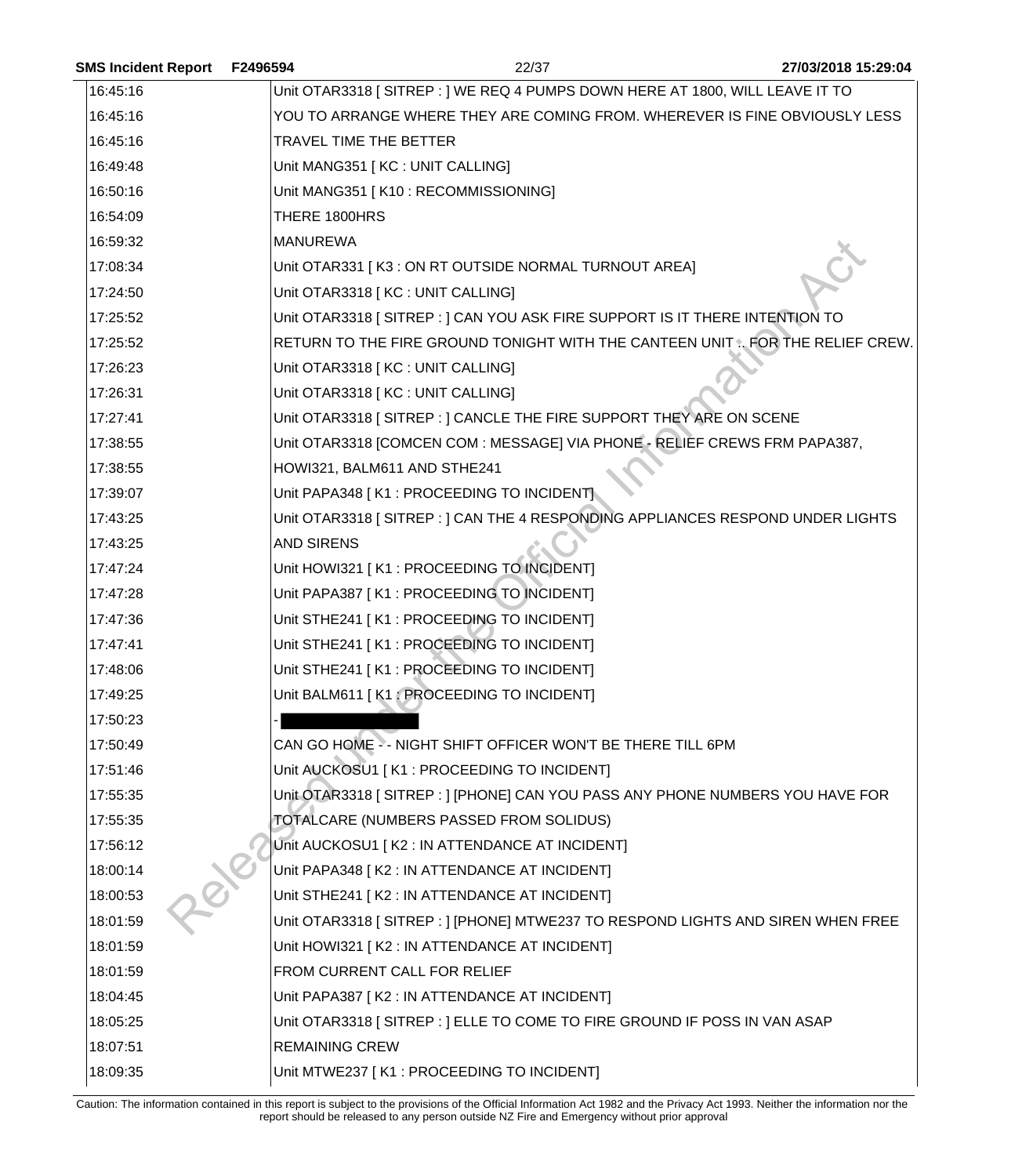| <b>SMS Incident Report</b> | F2496594              | 22/37                                                                           | 27/03/2018 15:29:04 |
|----------------------------|-----------------------|---------------------------------------------------------------------------------|---------------------|
| 16:45:16                   |                       | Unit OTAR3318 [ SITREP : ] WE REQ 4 PUMPS DOWN HERE AT 1800, WILL LEAVE IT TO   |                     |
| 16:45:16                   |                       | YOU TO ARRANGE WHERE THEY ARE COMING FROM. WHEREVER IS FINE OBVIOUSLY LESS      |                     |
| 16:45:16                   |                       | TRAVEL TIME THE BETTER                                                          |                     |
| 16:49:48                   |                       | Unit MANG351 [ KC : UNIT CALLING]                                               |                     |
| 16:50:16                   |                       | Unit MANG351 [K10 : RECOMMISSIONING]                                            |                     |
| 16:54:09                   | THERE 1800HRS         |                                                                                 |                     |
| 16:59:32                   | <b>MANUREWA</b>       |                                                                                 |                     |
| 17:08:34                   |                       | Unit OTAR331   K3 : ON RT OUTSIDE NORMAL TURNOUT AREA]                          |                     |
| 17:24:50                   |                       | Unit OTAR3318 [ KC : UNIT CALLING]                                              |                     |
| 17:25:52                   |                       | Unit OTAR3318 [SITREP: ] CAN YOU ASK FIRE SUPPORT IS IT THERE INTENTION TO      |                     |
| 17:25:52                   |                       | RETURN TO THE FIRE GROUND TONIGHT WITH THE CANTEEN UNIT . FOR THE RELIEF CREW.  |                     |
| 17:26:23                   |                       | Unit OTAR3318 [ KC : UNIT CALLING]                                              |                     |
| 17:26:31                   |                       | Unit OTAR3318 [KC : UNIT CALLING]                                               |                     |
| 17:27:41                   |                       | Unit OTAR3318 [SITREP : ] CANCLE THE FIRE SUPPORT THEY ARE ON SCENE             |                     |
| 17:38:55                   |                       | Unit OTAR3318 [COMCEN COM : MESSAGE] VIA PHONE - RELIEF CREWS FRM PAPA387,      |                     |
| 17:38:55                   |                       | HOWI321, BALM611 AND STHE241                                                    |                     |
| 17:39:07                   |                       | Unit PAPA348 [K1 : PROCEEDING TO INCIDENT]                                      |                     |
| 17:43:25                   |                       | Unit OTAR3318 [SITREP: ] CAN THE 4 RESPONDING APPLIANCES RESPOND UNDER LIGHTS   |                     |
| 17:43:25                   | <b>AND SIRENS</b>     |                                                                                 |                     |
| 17:47:24                   |                       | Unit HOWI321 [K1 : PROCEEDING TO INCIDENT]                                      |                     |
| 17:47:28                   |                       | Unit PAPA387 [K1 : PROCEEDING TO INCIDENT]                                      |                     |
| 17:47:36                   |                       | Unit STHE241 [K1 : PROCEEDING TO INCIDENT]                                      |                     |
| 17:47:41                   |                       | Unit STHE241 [K1 : PROCEEDING TO INCIDENT]                                      |                     |
| 17:48:06                   |                       | Unit STHE241 [K1 : PROCEEDING TO INCIDENT]                                      |                     |
| 17:49:25                   |                       | Unit BALM611 [K1 : PROCEEDING TO INCIDENT]                                      |                     |
| 17:50:23                   |                       |                                                                                 |                     |
| 17:50:49                   |                       | CAN GO HOME -- NIGHT SHIFT OFFICER WON'T BE THERE TILL 6PM                      |                     |
| 17:51:46                   |                       | Unit AUCKOSU1   K1 : PROCEEDING TO INCIDENT]                                    |                     |
| 17:55:35                   |                       | Unit OTAR3318 [ SITREP : ] [PHONE] CAN YOU PASS ANY PHONE NUMBERS YOU HAVE FOR  |                     |
| 17:55:35                   |                       | TOTALCARE (NUMBERS PASSED FROM SOLIDUS)                                         |                     |
| 17:56:12                   |                       | Unit AUCKOSU1 [K2 : IN ATTENDANCE AT INCIDENT]                                  |                     |
| 18:00:14                   |                       | Unit PAPA348   K2 : IN ATTENDANCE AT INCIDENT]                                  |                     |
| 18:00:53                   |                       | Unit STHE241 [K2 : IN ATTENDANCE AT INCIDENT]                                   |                     |
| 18:01:59                   |                       | Unit OTAR3318 [SITREP : ] [PHONE] MTWE237 TO RESPOND LIGHTS AND SIREN WHEN FREE |                     |
| 18:01:59                   |                       | Unit HOWI321 [K2 : IN ATTENDANCE AT INCIDENT]                                   |                     |
| 18:01:59                   |                       | FROM CURRENT CALL FOR RELIEF                                                    |                     |
| 18:04:45                   |                       | Unit PAPA387 [K2 : IN ATTENDANCE AT INCIDENT]                                   |                     |
| 18:05:25                   |                       | Unit OTAR3318 [SITREP : ] ELLE TO COME TO FIRE GROUND IF POSS IN VAN ASAP       |                     |
| 18:07:51                   | <b>REMAINING CREW</b> |                                                                                 |                     |
| 18:09:35                   |                       | Unit MTWE237 [K1 : PROCEEDING TO INCIDENT]                                      |                     |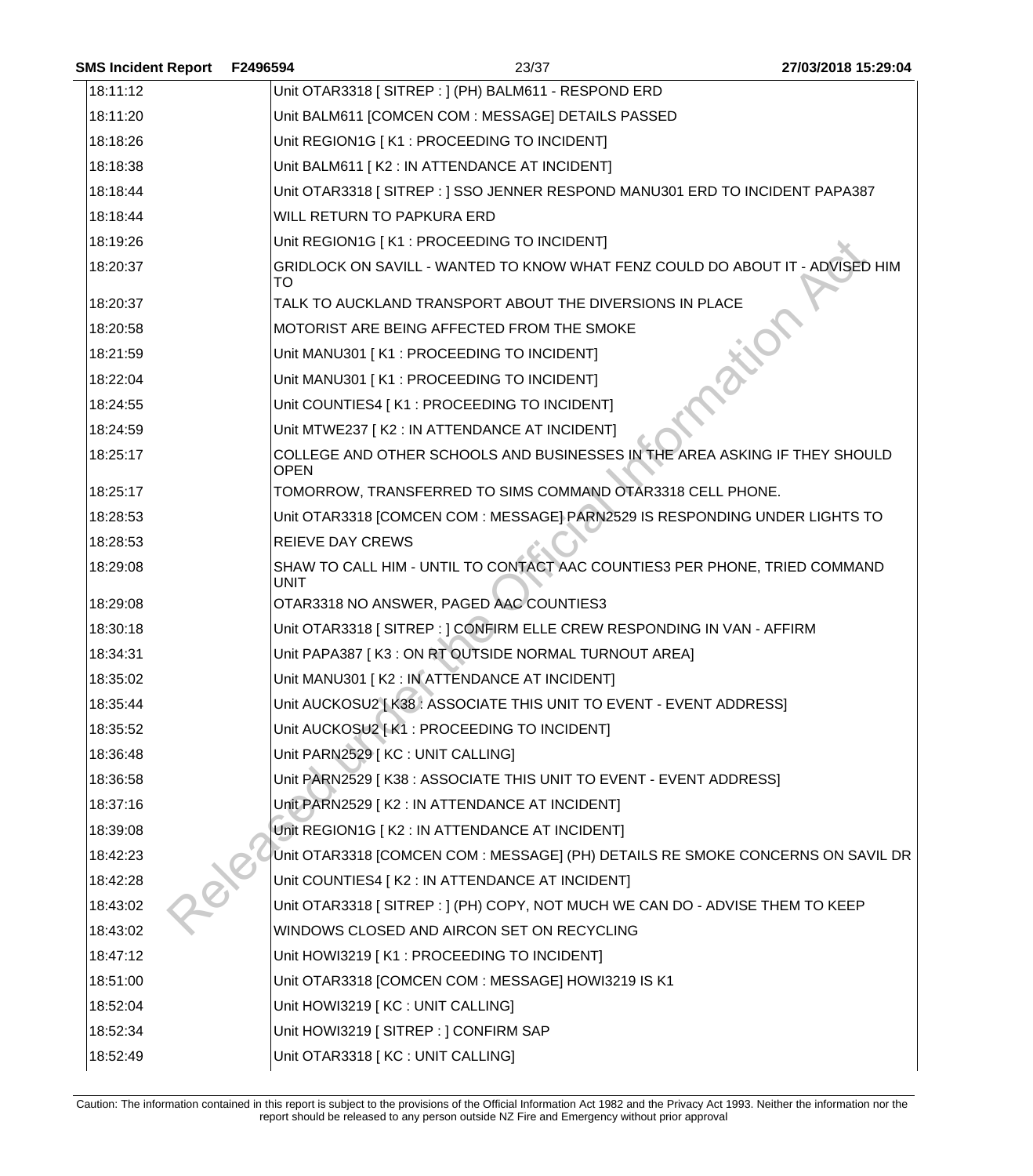| <b>SMS Incident Report</b> | F2496594                | 23/37                                                                           | 27/03/2018 15:29:04 |
|----------------------------|-------------------------|---------------------------------------------------------------------------------|---------------------|
| 18:11:12                   |                         | Unit OTAR3318 [ SITREP : ] (PH) BALM611 - RESPOND ERD                           |                     |
| 18:11:20                   |                         | Unit BALM611 [COMCEN COM : MESSAGE] DETAILS PASSED                              |                     |
| 18:18:26                   |                         | Unit REGION1G [K1 : PROCEEDING TO INCIDENT]                                     |                     |
| 18:18:38                   |                         | Unit BALM611 [K2 : IN ATTENDANCE AT INCIDENT]                                   |                     |
| 18:18:44                   |                         | Unit OTAR3318 [SITREP: ] SSO JENNER RESPOND MANU301 ERD TO INCIDENT PAPA387     |                     |
| 18:18:44                   |                         | <b>WILL RETURN TO PAPKURA ERD</b>                                               |                     |
| 18:19:26                   |                         | Unit REGION1G [K1 : PROCEEDING TO INCIDENT]                                     |                     |
| 18:20:37                   | <b>TO</b>               | GRIDLOCK ON SAVILL - WANTED TO KNOW WHAT FENZ COULD DO ABOUT IT - ADVISED HIM   |                     |
| 18:20:37                   |                         | TALK TO AUCKLAND TRANSPORT ABOUT THE DIVERSIONS IN PLACE                        |                     |
| 18:20:58                   |                         | MOTORIST ARE BEING AFFECTED FROM THE SMOKE                                      |                     |
| 18:21:59                   |                         | Unit MANU301 [K1 : PROCEEDING TO INCIDENT]                                      |                     |
| 18:22:04                   |                         | Unit MANU301 [K1 : PROCEEDING TO INCIDENT]                                      |                     |
| 18:24:55                   |                         | Unit COUNTIES4 [ K1 : PROCEEDING TO INCIDENT]                                   |                     |
| 18:24:59                   |                         | Unit MTWE237   K2 : IN ATTENDANCE AT INCIDENT]                                  |                     |
| 18:25:17                   | <b>OPEN</b>             | COLLEGE AND OTHER SCHOOLS AND BUSINESSES IN THE AREA ASKING IF THEY SHOULD      |                     |
| 18:25:17                   |                         | TOMORROW, TRANSFERRED TO SIMS COMMAND OTAR3318 CELL PHONE.                      |                     |
| 18:28:53                   |                         | Unit OTAR3318 [COMCEN COM : MESSAGE] PARN2529 IS RESPONDING UNDER LIGHTS TO     |                     |
| 18:28:53                   | <b>REIEVE DAY CREWS</b> |                                                                                 |                     |
| 18:29:08                   | <b>UNIT</b>             | SHAW TO CALL HIM - UNTIL TO CONTACT AAC COUNTIES3 PER PHONE, TRIED COMMAND      |                     |
| 18:29:08                   |                         | OTAR3318 NO ANSWER, PAGED AAC COUNTIES3                                         |                     |
| 18:30:18                   |                         | Unit OTAR3318 [SITREP : ] CONFIRM ELLE CREW RESPONDING IN VAN - AFFIRM          |                     |
| 18:34:31                   |                         | Unit PAPA387 [K3 : ON RT OUTSIDE NORMAL TURNOUT AREA]                           |                     |
| 18:35:02                   |                         | Unit MANU301   K2 : IN ATTENDANCE AT INCIDENT]                                  |                     |
| 18:35:44                   |                         | Unit AUCKOSU2 [K38 : ASSOCIATE THIS UNIT TO EVENT - EVENT ADDRESS]              |                     |
| 18:35:52                   |                         | Unit AUCKOSU2   K1: PROCEEDING TO INCIDENT]                                     |                     |
| 18:36:48                   |                         | Unit PARN2529 [KC : UNIT CALLING]                                               |                     |
| 18:36:58                   |                         | Unit PARN2529 [K38 : ASSOCIATE THIS UNIT TO EVENT - EVENT ADDRESS]              |                     |
| 18:37:16                   |                         | Unit PARN2529 [K2 : IN ATTENDANCE AT INCIDENT]                                  |                     |
| 18:39:08                   |                         | Unit REGION1G [K2 : IN ATTENDANCE AT INCIDENT]                                  |                     |
| 18:42:23                   |                         | Unit OTAR3318 [COMCEN COM : MESSAGE] (PH) DETAILS RE SMOKE CONCERNS ON SAVIL DR |                     |
| 18:42:28                   |                         | Unit COUNTIES4 [ K2 : IN ATTENDANCE AT INCIDENT]                                |                     |
| 18:43:02                   |                         | Unit OTAR3318 [SITREP : ] (PH) COPY, NOT MUCH WE CAN DO - ADVISE THEM TO KEEP   |                     |
| 18:43:02                   |                         | WINDOWS CLOSED AND AIRCON SET ON RECYCLING                                      |                     |
| 18:47:12                   |                         | Unit HOWI3219 [K1 : PROCEEDING TO INCIDENT]                                     |                     |
| 18:51:00                   |                         | Unit OTAR3318 [COMCEN COM: MESSAGE] HOWI3219 IS K1                              |                     |
| 18:52:04                   |                         | Unit HOWI3219 [KC : UNIT CALLING]                                               |                     |
| 18:52:34                   |                         | Unit HOWI3219 [SITREP: ] CONFIRM SAP                                            |                     |
| 18:52:49                   |                         | Unit OTAR3318 [KC : UNIT CALLING]                                               |                     |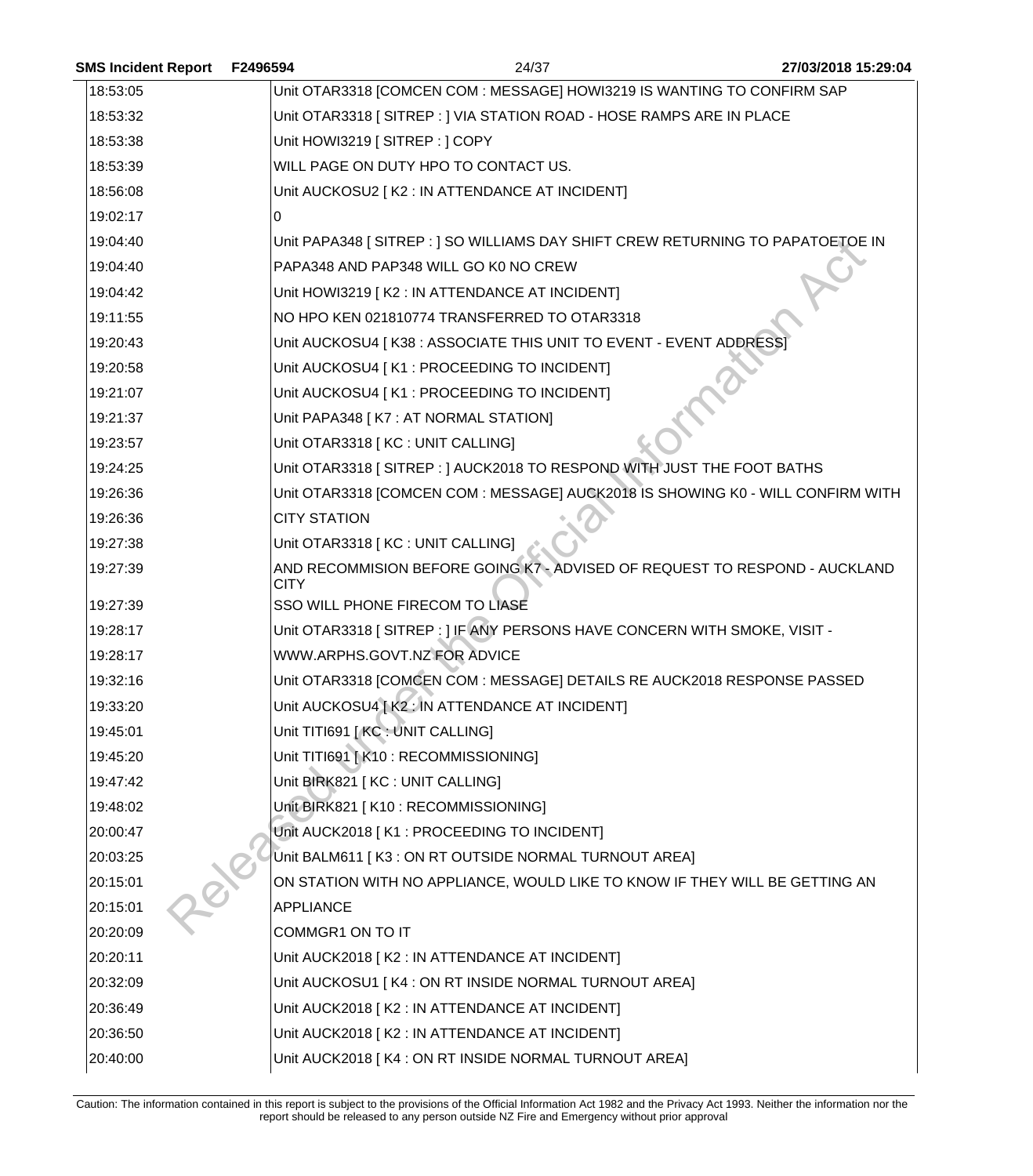| <b>SMS Incident Report</b> | F2496594            | 24/37                                                                           | 27/03/2018 15:29:04 |
|----------------------------|---------------------|---------------------------------------------------------------------------------|---------------------|
| 18:53:05                   |                     | Unit OTAR3318 [COMCEN COM : MESSAGE] HOWI3219 IS WANTING TO CONFIRM SAP         |                     |
| 18:53:32                   |                     | Unit OTAR3318 [SITREP : ] VIA STATION ROAD - HOSE RAMPS ARE IN PLACE            |                     |
| 18:53:38                   |                     | Unit HOWI3219 [SITREP: ] COPY                                                   |                     |
| 18:53:39                   |                     | WILL PAGE ON DUTY HPO TO CONTACT US.                                            |                     |
| 18:56:08                   |                     | Unit AUCKOSU2 [ K2 : IN ATTENDANCE AT INCIDENT]                                 |                     |
| 19:02:17                   | 0                   |                                                                                 |                     |
| 19:04:40                   |                     | Unit PAPA348 [SITREP : ] SO WILLIAMS DAY SHIFT CREW RETURNING TO PAPATOETOE IN  |                     |
| 19:04:40                   |                     | PAPA348 AND PAP348 WILL GO K0 NO CREW                                           |                     |
| 19:04:42                   |                     | Unit HOWI3219 [K2 : IN ATTENDANCE AT INCIDENT]                                  |                     |
| 19:11:55                   |                     | NO HPO KEN 021810774 TRANSFERRED TO OTAR3318                                    |                     |
| 19:20:43                   |                     | Unit AUCKOSU4 [ K38 : ASSOCIATE THIS UNIT TO EVENT - EVENT ADDRESS]             |                     |
| 19:20:58                   |                     | Unit AUCKOSU4   K1 : PROCEEDING TO INCIDENT]                                    |                     |
| 19:21:07                   |                     | Unit AUCKOSU4 [K1 : PROCEEDING TO INCIDENT]                                     |                     |
| 19:21:37                   |                     | Unit PAPA348 [ K7 : AT NORMAL STATION]                                          |                     |
| 19:23:57                   |                     | Unit OTAR3318 [KC : UNIT CALLING]                                               |                     |
| 19:24:25                   |                     | Unit OTAR3318 [SITREP: ] AUCK2018 TO RESPOND WITH JUST THE FOOT BATHS           |                     |
| 19:26:36                   |                     | Unit OTAR3318 [COMCEN COM : MESSAGE] AUCK2018 IS SHOWING K0 - WILL CONFIRM WITH |                     |
| 19:26:36                   | <b>CITY STATION</b> |                                                                                 |                     |
| 19:27:38                   |                     | Unit OTAR3318 [KC : UNIT CALLING]                                               |                     |
| 19:27:39                   | <b>CITY</b>         | AND RECOMMISION BEFORE GOING K7 - ADVISED OF REQUEST TO RESPOND - AUCKLAND      |                     |
| 19:27:39                   |                     | SSO WILL PHONE FIRECOM TO LIASE                                                 |                     |
| 19:28:17                   |                     | Unit OTAR3318 [SITREP: ] IF ANY PERSONS HAVE CONCERN WITH SMOKE, VISIT -        |                     |
| 19:28:17                   |                     | WWW.ARPHS.GOVT.NZ FOR ADVICE                                                    |                     |
| 19:32:16                   |                     | Unit OTAR3318 [COMCEN COM : MESSAGE] DETAILS RE AUCK2018 RESPONSE PASSED        |                     |
| 19:33:20                   |                     | Unit AUCKOSU4 [ K2 : IN ATTENDANCE AT INCIDENT]                                 |                     |
| 19:45:01                   |                     | Unit TITI691 [ KC : UNIT CALLING]                                               |                     |
| 19:45:20                   |                     | Unit TITI691 [K10 : RECOMMISSIONING]                                            |                     |
| 19:47:42                   |                     | Unit BIRK821 [KC : UNIT CALLING]                                                |                     |
| 19:48:02                   |                     | Unit BIRK821 [K10 : RECOMMISSIONING]                                            |                     |
| 20:00:47                   |                     | Unit AUCK2018 [K1 : PROCEEDING TO INCIDENT]                                     |                     |
| 20:03:25                   |                     | Unit BALM611   K3 : ON RT OUTSIDE NORMAL TURNOUT AREA]                          |                     |
| 20:15:01                   |                     | ON STATION WITH NO APPLIANCE, WOULD LIKE TO KNOW IF THEY WILL BE GETTING AN     |                     |
| 20:15:01                   | <b>APPLIANCE</b>    |                                                                                 |                     |
| 20:20:09                   |                     | COMMGR1 ON TO IT                                                                |                     |
| 20:20:11                   |                     | Unit AUCK2018 [ K2 : IN ATTENDANCE AT INCIDENT]                                 |                     |
| 20:32:09                   |                     | Unit AUCKOSU1 [K4 : ON RT INSIDE NORMAL TURNOUT AREA]                           |                     |
| 20:36:49                   |                     | Unit AUCK2018   K2 : IN ATTENDANCE AT INCIDENT]                                 |                     |
| 20:36:50                   |                     | Unit AUCK2018 [K2 : IN ATTENDANCE AT INCIDENT]                                  |                     |
| 20:40:00                   |                     | Unit AUCK2018 [K4 : ON RT INSIDE NORMAL TURNOUT AREA]                           |                     |
|                            |                     |                                                                                 |                     |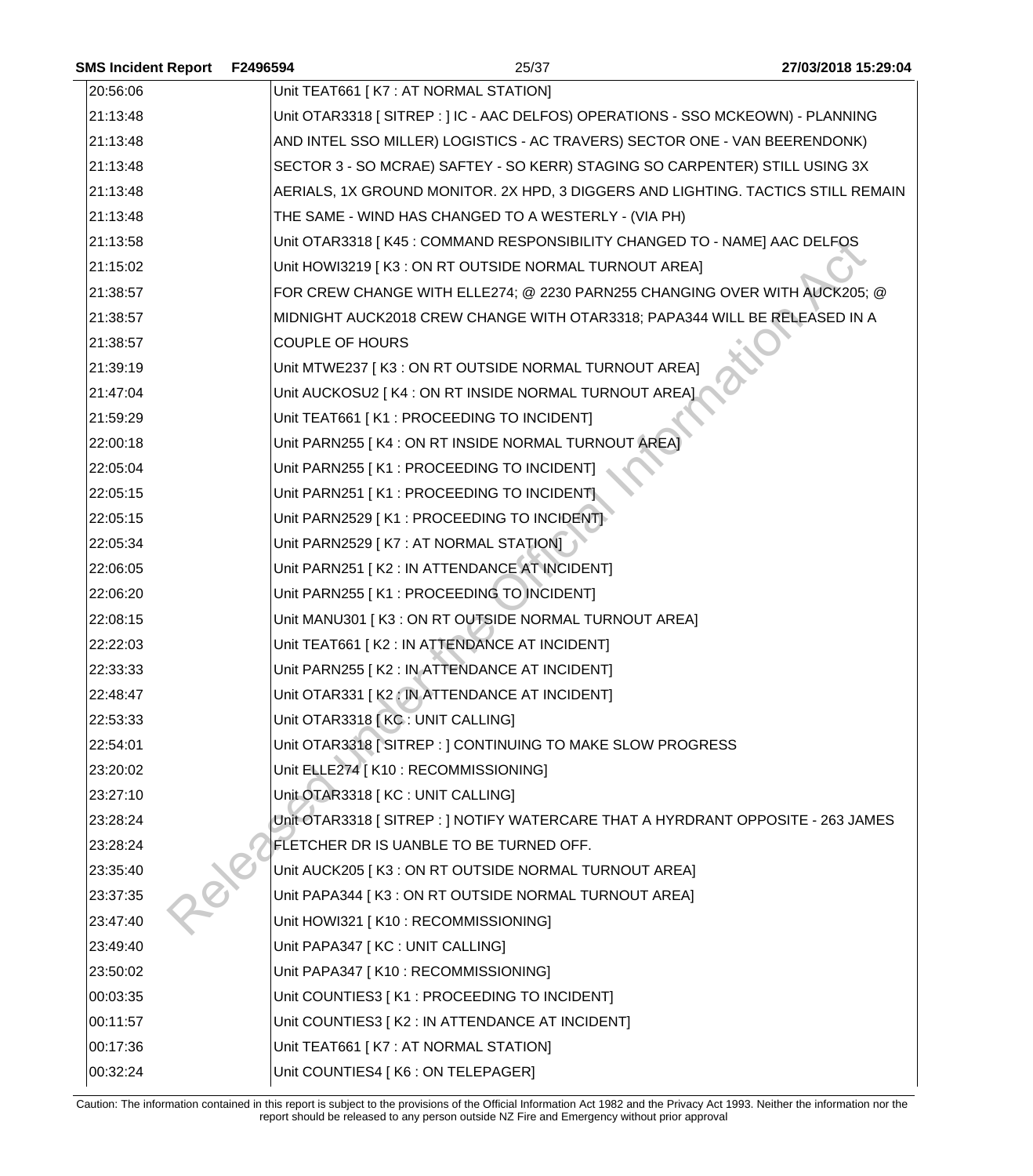| <b>SMS Incident Report</b> | F2496594               | 25/37                                                                            | 27/03/2018 15:29:04 |
|----------------------------|------------------------|----------------------------------------------------------------------------------|---------------------|
| 20:56:06                   |                        | Unit TEAT661   K7 : AT NORMAL STATION]                                           |                     |
| 21:13:48                   |                        | Unit OTAR3318 [SITREP : ] IC - AAC DELFOS) OPERATIONS - SSO MCKEOWN) - PLANNING  |                     |
| 21:13:48                   |                        | AND INTEL SSO MILLER) LOGISTICS - AC TRAVERS) SECTOR ONE - VAN BEERENDONK)       |                     |
| 21:13:48                   |                        | SECTOR 3 - SO MCRAE) SAFTEY - SO KERR) STAGING SO CARPENTER) STILL USING 3X      |                     |
| 21:13:48                   |                        | AERIALS, 1X GROUND MONITOR. 2X HPD, 3 DIGGERS AND LIGHTING. TACTICS STILL REMAIN |                     |
| 21:13:48                   |                        | THE SAME - WIND HAS CHANGED TO A WESTERLY - (VIA PH)                             |                     |
| 21:13:58                   |                        | Unit OTAR3318   K45 : COMMAND RESPONSIBILITY CHANGED TO - NAME] AAC DELFOS       |                     |
| 21:15:02                   |                        | Unit HOWI3219 [K3 : ON RT OUTSIDE NORMAL TURNOUT AREA]                           |                     |
| 21:38:57                   |                        | FOR CREW CHANGE WITH ELLE274; @ 2230 PARN255 CHANGING OVER WITH AUCK205; @       |                     |
| 21:38:57                   |                        | MIDNIGHT AUCK2018 CREW CHANGE WITH OTAR3318; PAPA344 WILL BE RELEASED IN A       |                     |
| 21:38:57                   | <b>COUPLE OF HOURS</b> |                                                                                  |                     |
| 21:39:19                   |                        | Unit MTWE237 [K3 : ON RT OUTSIDE NORMAL TURNOUT AREA]                            |                     |
| 21:47:04                   |                        | Unit AUCKOSU2   K4 : ON RT INSIDE NORMAL TURNOUT AREA]                           |                     |
| 21:59:29                   |                        | Unit TEAT661   K1 : PROCEEDING TO INCIDENT                                       |                     |
| 22:00:18                   |                        | Unit PARN255 [K4 : ON RT INSIDE NORMAL TURNOUT AREA]                             |                     |
| 22:05:04                   |                        | Unit PARN255 [K1 : PROCEEDING TO INCIDENT]                                       |                     |
| 22:05:15                   |                        | Unit PARN251 [K1 : PROCEEDING TO INCIDENT]                                       |                     |
| 22:05:15                   |                        | Unit PARN2529 [K1 : PROCEEDING TO INCIDENT]                                      |                     |
| 22:05:34                   |                        | Unit PARN2529 [K7 : AT NORMAL STATION]                                           |                     |
| 22:06:05                   |                        | Unit PARN251   K2 : IN ATTENDANCE AT INCIDENT]                                   |                     |
| 22:06:20                   |                        | Unit PARN255 [K1 : PROCEEDING TO INCIDENT]                                       |                     |
| 22:08:15                   |                        | Unit MANU301 [K3 : ON RT OUTSIDE NORMAL TURNOUT AREA]                            |                     |
| 22:22:03                   |                        | Unit TEAT661 [K2 : IN ATTENDANCE AT INCIDENT]                                    |                     |
| 22:33:33                   |                        | Unit PARN255 [K2 : IN ATTENDANCE AT INCIDENT]                                    |                     |
| 22:48:47                   |                        | Unit OTAR331 [K2 : IN ATTENDANCE AT INCIDENT]                                    |                     |
| 22:53:33                   |                        | Unit OTAR3318 [KC: UNIT CALLING]                                                 |                     |
| 22:54:01                   |                        | Unit OTAR3318 [SITREP : ] CONTINUING TO MAKE SLOW PROGRESS                       |                     |
| 23:20:02                   |                        | Unit ELLE274   K10 : RECOMMISSIONING]                                            |                     |
| 23:27:10                   |                        | Unit OTAR3318 [ KC : UNIT CALLING]                                               |                     |
| 23:28:24                   |                        | Unit OTAR3318 [ SITREP : ] NOTIFY WATERCARE THAT A HYRDRANT OPPOSITE - 263 JAMES |                     |
| 23:28:24                   |                        | FLETCHER DR IS UANBLE TO BE TURNED OFF.                                          |                     |
| 23:35:40                   |                        | Unit AUCK205   K3 : ON RT OUTSIDE NORMAL TURNOUT AREA]                           |                     |
| 23:37:35                   |                        | Unit PAPA344 [K3 : ON RT OUTSIDE NORMAL TURNOUT AREA]                            |                     |
| 23:47:40                   |                        | Unit HOWI321 [K10 : RECOMMISSIONING]                                             |                     |
| 23:49:40                   |                        | Unit PAPA347 [KC : UNIT CALLING]                                                 |                     |
| 23:50:02                   |                        | Unit PAPA347 [K10 : RECOMMISSIONING]                                             |                     |
| 00:03:35                   |                        | Unit COUNTIES3 [ K1 : PROCEEDING TO INCIDENT]                                    |                     |
| 00:11:57                   |                        | Unit COUNTIES3 [ K2 : IN ATTENDANCE AT INCIDENT]                                 |                     |
| 00:17:36                   |                        | Unit TEAT661   K7 : AT NORMAL STATION]                                           |                     |
| 00:32:24                   |                        | Unit COUNTIES4 [ K6 : ON TELEPAGER]                                              |                     |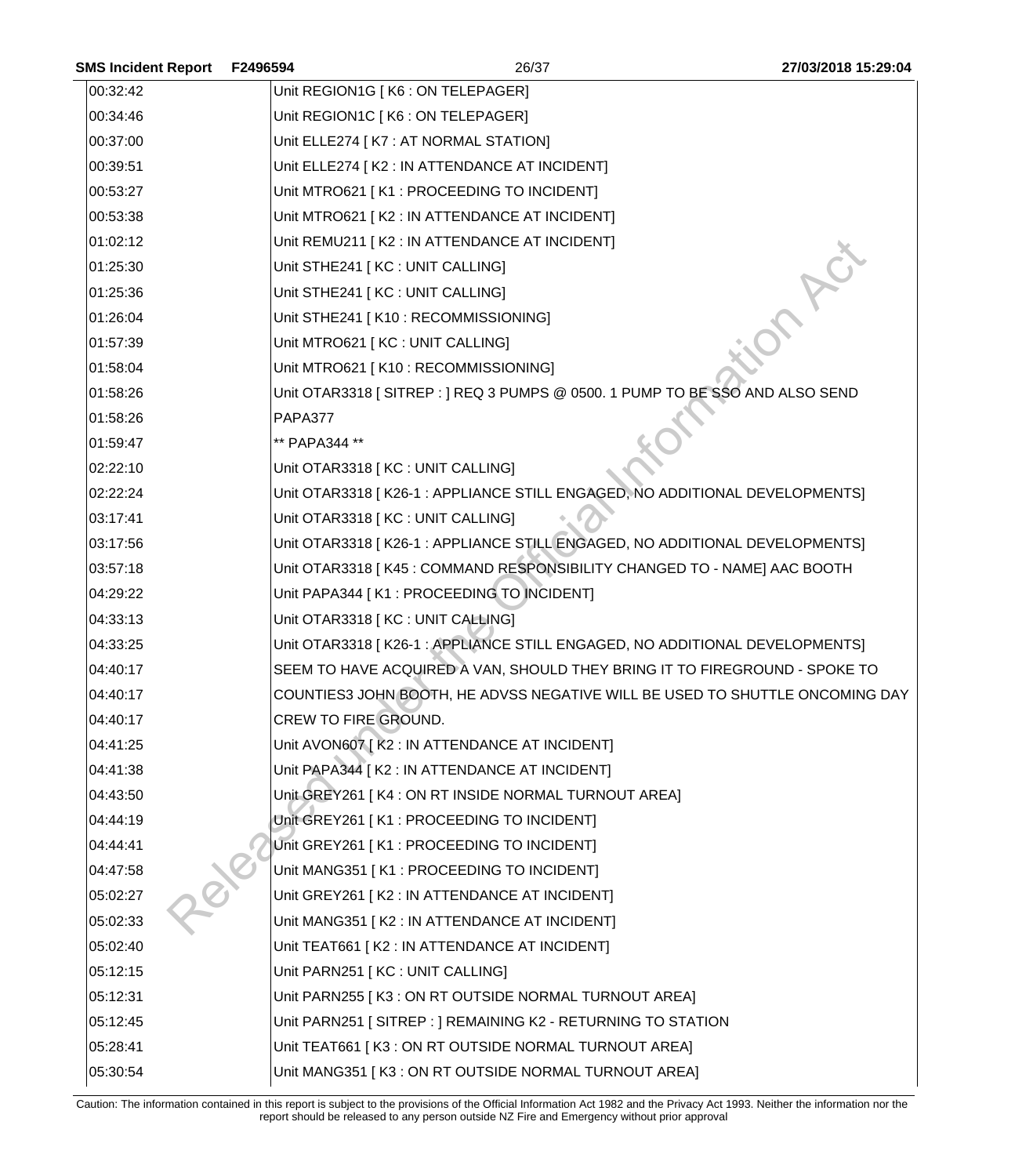| <b>SMS Incident Report</b> | F2496594             | 26/37                                                                        | 27/03/2018 15:29:04 |
|----------------------------|----------------------|------------------------------------------------------------------------------|---------------------|
| 00:32:42                   |                      | Unit REGION1G   K6 : ON TELEPAGER]                                           |                     |
| 00:34:46                   |                      | Unit REGION1C [K6 : ON TELEPAGER]                                            |                     |
| 00:37:00                   |                      | Unit ELLE274   K7 : AT NORMAL STATION]                                       |                     |
| 00:39:51                   |                      | Unit ELLE274 [ K2 : IN ATTENDANCE AT INCIDENT]                               |                     |
| 00:53:27                   |                      | Unit MTRO621 [K1 : PROCEEDING TO INCIDENT]                                   |                     |
| 00:53:38                   |                      | Unit MTRO621 [K2 : IN ATTENDANCE AT INCIDENT]                                |                     |
| 01:02:12                   |                      | Unit REMU211 [K2 : IN ATTENDANCE AT INCIDENT]                                |                     |
| 01:25:30                   |                      | Unit STHE241 [ KC : UNIT CALLING]                                            |                     |
| 01:25:36                   |                      | Unit STHE241 [ KC : UNIT CALLING]                                            |                     |
| 01:26:04                   |                      | Unit STHE241 [K10 : RECOMMISSIONING]                                         |                     |
| 01:57:39                   |                      | Unit MTRO621 [KC : UNIT CALLING]                                             |                     |
| 01:58:04                   |                      | Unit MTRO621 [K10 : RECOMMISSIONING]                                         |                     |
| 01:58:26                   |                      | Unit OTAR3318 [SITREP : ] REQ 3 PUMPS @ 0500. 1 PUMP TO BE SSO AND ALSO SEND |                     |
| 01:58:26                   | PAPA377              |                                                                              |                     |
| 01:59:47                   | ** PAPA344 **        |                                                                              |                     |
| 02:22:10                   |                      | Unit OTAR3318 [KC : UNIT CALLING]                                            |                     |
| 02:22:24                   |                      | Unit OTAR3318 [K26-1 : APPLIANCE STILL ENGAGED, NO ADDITIONAL DEVELOPMENTS]  |                     |
| 03:17:41                   |                      | Unit OTAR3318 [ KC : UNIT CALLING]                                           |                     |
| 03:17:56                   |                      | Unit OTAR3318 [K26-1 : APPLIANCE STILL ENGAGED, NO ADDITIONAL DEVELOPMENTS]  |                     |
| 03:57:18                   |                      | Unit OTAR3318 [K45 : COMMAND RESPONSIBILITY CHANGED TO - NAME] AAC BOOTH     |                     |
| 04:29:22                   |                      | Unit PAPA344 [K1 : PROCEEDING TO INCIDENT]                                   |                     |
| 04:33:13                   |                      | Unit OTAR3318 [KC : UNIT CALLING]                                            |                     |
| 04:33:25                   |                      | Unit OTAR3318 [K26-1 : APPLIANCE STILL ENGAGED, NO ADDITIONAL DEVELOPMENTS]  |                     |
| 04:40:17                   |                      | SEEM TO HAVE ACQUIRED A VAN, SHOULD THEY BRING IT TO FIREGROUND - SPOKE TO   |                     |
| 04:40:17                   |                      | COUNTIES3 JOHN BOOTH, HE ADVSS NEGATIVE WILL BE USED TO SHUTTLE ONCOMING DAY |                     |
| 04:40:17                   | CREW TO FIRE GROUND. |                                                                              |                     |
| 04:41:25                   |                      | Unit AVON607 [K2 : IN ATTENDANCE AT INCIDENT]                                |                     |
| 04:41:38                   |                      | Unit PAPA344   K2 : IN ATTENDANCE AT INCIDENT]                               |                     |
| 04:43:50                   |                      | Unit GREY261   K4 : ON RT INSIDE NORMAL TURNOUT AREA]                        |                     |
| 04:44:19                   |                      | Unit GREY261   K1 : PROCEEDING TO INCIDENT]                                  |                     |
| 04:44:41                   |                      | Unit GREY261 [K1 : PROCEEDING TO INCIDENT]                                   |                     |
| 04:47:58                   |                      | Unit MANG351 [K1 : PROCEEDING TO INCIDENT]                                   |                     |
| 05:02:27                   |                      | Unit GREY261   K2 : IN ATTENDANCE AT INCIDENT]                               |                     |
| 05:02:33                   |                      | Unit MANG351 [K2 : IN ATTENDANCE AT INCIDENT]                                |                     |
| 05:02:40                   |                      | Unit TEAT661   K2 : IN ATTENDANCE AT INCIDENT]                               |                     |
| 05:12:15                   |                      | Unit PARN251 [KC : UNIT CALLING]                                             |                     |
| 05:12:31                   |                      | Unit PARN255 [K3 : ON RT OUTSIDE NORMAL TURNOUT AREA]                        |                     |
| 05:12:45                   |                      | Unit PARN251   SITREP : ] REMAINING K2 - RETURNING TO STATION                |                     |
| 05:28:41                   |                      | Unit TEAT661   K3 : ON RT OUTSIDE NORMAL TURNOUT AREA]                       |                     |
| 05:30:54                   |                      | Unit MANG351 [K3 : ON RT OUTSIDE NORMAL TURNOUT AREA]                        |                     |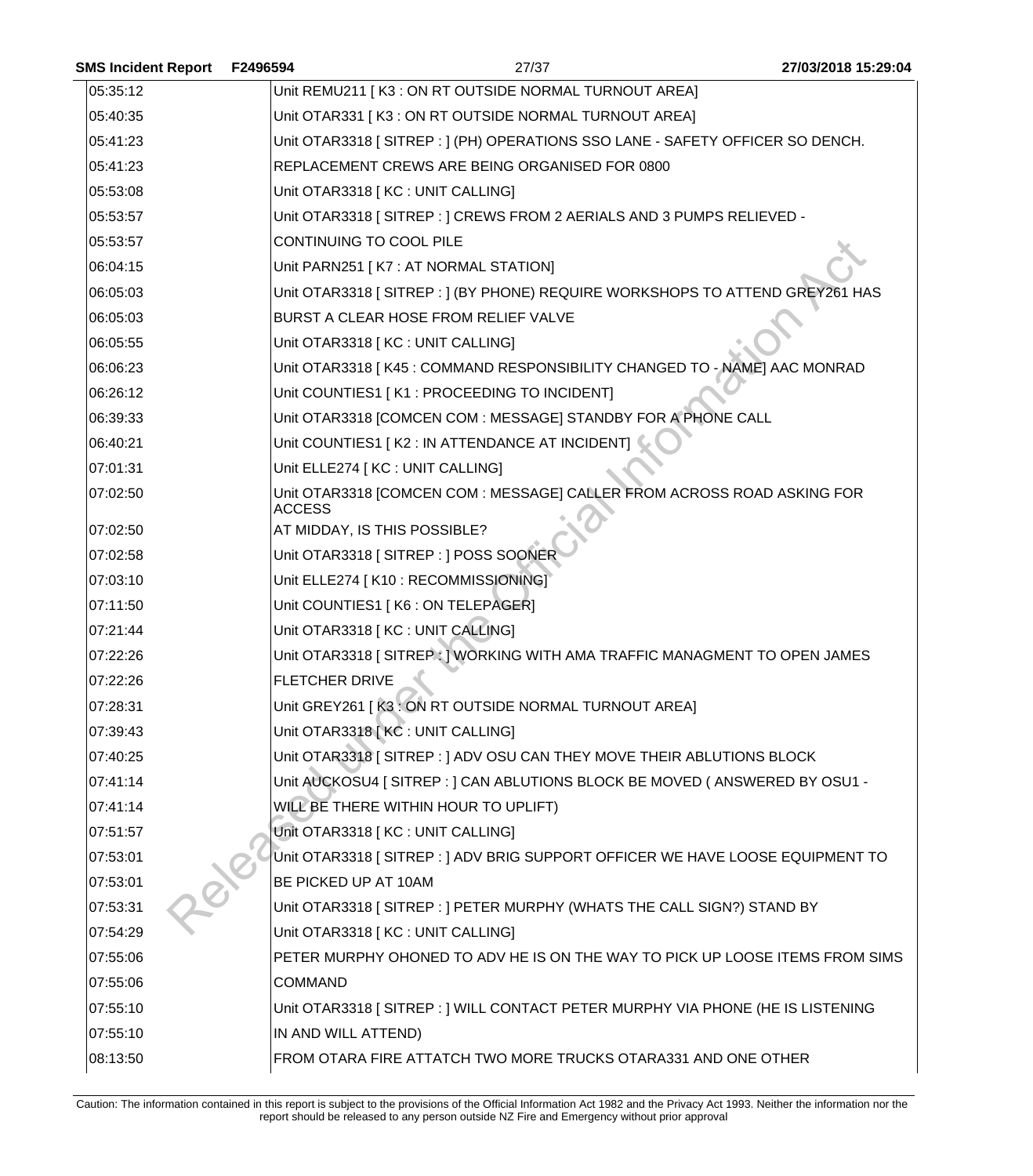| <b>SMS Incident Report</b> | F2496594<br>27/37                                                                        | 27/03/2018 15:29:04 |
|----------------------------|------------------------------------------------------------------------------------------|---------------------|
| 05:35:12                   | Unit REMU211 [K3 : ON RT OUTSIDE NORMAL TURNOUT AREA]                                    |                     |
| 05:40:35                   | Unit OTAR331   K3 : ON RT OUTSIDE NORMAL TURNOUT AREA]                                   |                     |
| 05:41:23                   | Unit OTAR3318 [ SITREP : ] (PH) OPERATIONS SSO LANE - SAFETY OFFICER SO DENCH.           |                     |
| 05:41:23                   | REPLACEMENT CREWS ARE BEING ORGANISED FOR 0800                                           |                     |
| 05:53:08                   | Unit OTAR3318 [ KC : UNIT CALLING]                                                       |                     |
| 05:53:57                   | Unit OTAR3318 [SITREP : ] CREWS FROM 2 AERIALS AND 3 PUMPS RELIEVED -                    |                     |
| 05:53:57                   | CONTINUING TO COOL PILE                                                                  |                     |
| 06:04:15                   | Unit PARN251 [K7 : AT NORMAL STATION]                                                    |                     |
| 06:05:03                   | Unit OTAR3318 [ SITREP : ] (BY PHONE) REQUIRE WORKSHOPS TO ATTEND GREY261 HAS            |                     |
| 06:05:03                   | BURST A CLEAR HOSE FROM RELIEF VALVE                                                     |                     |
| 06:05:55                   | Unit OTAR3318 [KC : UNIT CALLING]                                                        |                     |
| 06:06:23                   | Unit OTAR3318   K45 : COMMAND RESPONSIBILITY CHANGED TO - NAME] AAC MONRAD               |                     |
| 06:26:12                   | Unit COUNTIES1 [K1 : PROCEEDING TO INCIDENT]                                             |                     |
| 06:39:33                   | Unit OTAR3318 [COMCEN COM : MESSAGE] STANDBY FOR A PHONE CALL                            |                     |
| 06:40:21                   | Unit COUNTIES1   K2 : IN ATTENDANCE AT INCIDENT]                                         |                     |
| 07:01:31                   | Unit ELLE274 [ KC : UNIT CALLING]                                                        |                     |
| 07:02:50                   | Unit OTAR3318 [COMCEN COM : MESSAGE] CALLER FROM ACROSS ROAD ASKING FOR<br><b>ACCESS</b> |                     |
| 07:02:50                   | AT MIDDAY, IS THIS POSSIBLE?                                                             |                     |
| 07:02:58                   | Unit OTAR3318 [SITREP : ] POSS SOONER                                                    |                     |
| 07:03:10                   | Unit ELLE274 [ K10 : RECOMMISSIONING]                                                    |                     |
| 07:11:50                   | Unit COUNTIES1   K6 : ON TELEPAGER]                                                      |                     |
| 07:21:44                   | Unit OTAR3318 [KC : UNIT CALLING]                                                        |                     |
| 07:22:26                   | Unit OTAR3318 [ SITREP : ] WORKING WITH AMA TRAFFIC MANAGMENT TO OPEN JAMES              |                     |
| 07:22:26                   | <b>FLETCHER DRIVE</b>                                                                    |                     |
| 07:28:31                   | Unit GREY261   K3 : ON RT OUTSIDE NORMAL TURNOUT AREA]                                   |                     |
| 07:39:43                   | Unit OTAR3318 [KC : UNIT CALLING]                                                        |                     |
| 07:40:25                   | Unit OTAR3318 [SITREP: ] ADV OSU CAN THEY MOVE THEIR ABLUTIONS BLOCK                     |                     |
| 07:41:14                   | Unit AUCKOSU4 [ SITREP : ] CAN ABLUTIONS BLOCK BE MOVED ( ANSWERED BY OSU1 -             |                     |
| 07:41:14                   | WILL BE THERE WITHIN HOUR TO UPLIFT)                                                     |                     |
| 07:51:57                   | Unit OTAR3318 [ KC : UNIT CALLING]                                                       |                     |
| 07:53:01                   | Unit OTAR3318 [SITREP : ] ADV BRIG SUPPORT OFFICER WE HAVE LOOSE EQUIPMENT TO            |                     |
| 07:53:01                   | BE PICKED UP AT 10AM                                                                     |                     |
| 07:53:31                   | Unit OTAR3318 [SITREP : ] PETER MURPHY (WHATS THE CALL SIGN?) STAND BY                   |                     |
| 07:54:29                   | Unit OTAR3318 [KC : UNIT CALLING]                                                        |                     |
| 07:55:06                   | PETER MURPHY OHONED TO ADV HE IS ON THE WAY TO PICK UP LOOSE ITEMS FROM SIMS             |                     |
| 07:55:06                   | <b>COMMAND</b>                                                                           |                     |
| 07:55:10                   | Unit OTAR3318 [SITREP : ] WILL CONTACT PETER MURPHY VIA PHONE (HE IS LISTENING           |                     |
| 07:55:10                   | IN AND WILL ATTEND)                                                                      |                     |
| 08:13:50                   | FROM OTARA FIRE ATTATCH TWO MORE TRUCKS OTARA331 AND ONE OTHER                           |                     |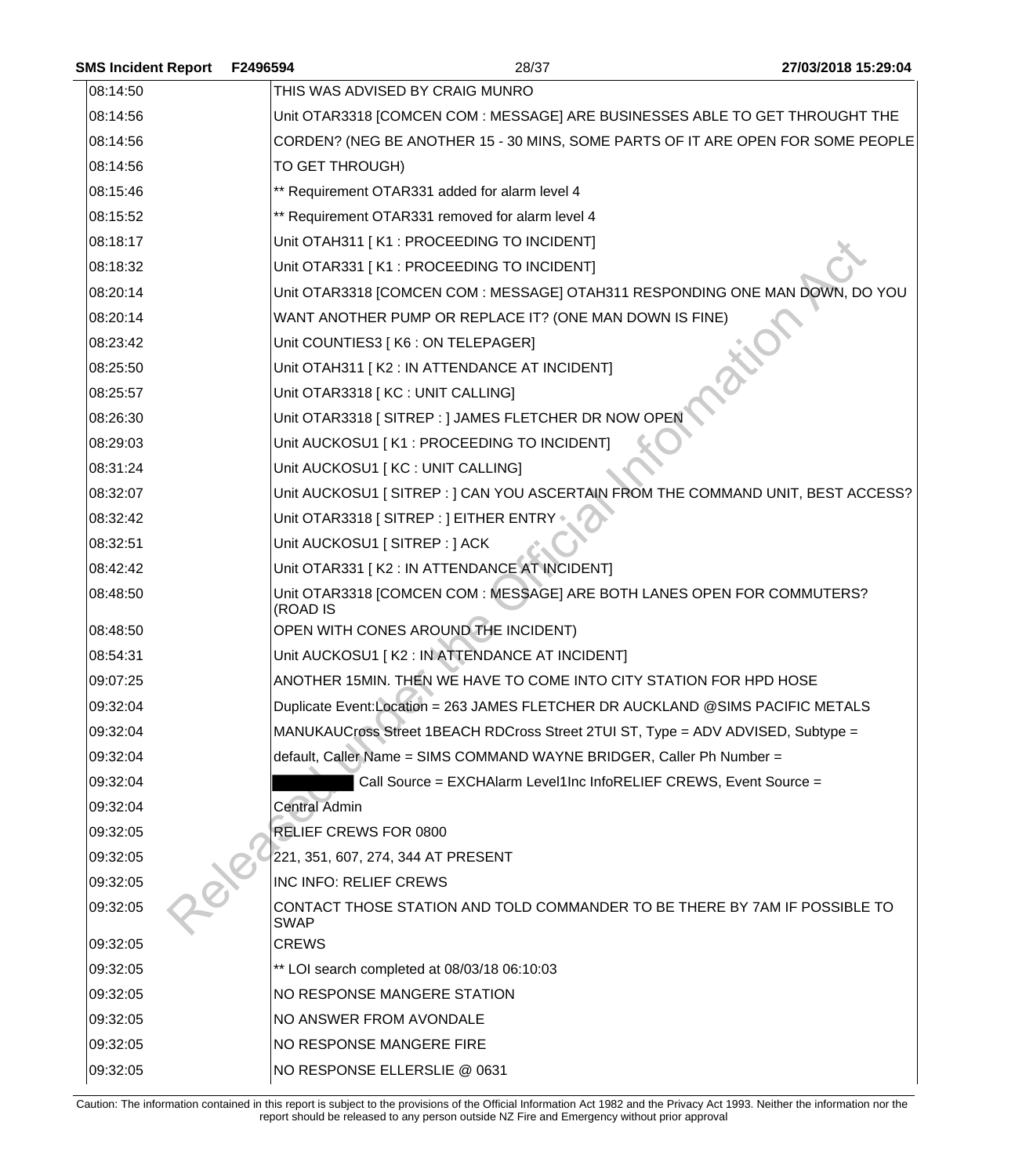| <b>SMS Incident Report</b> | F2496594             | 28/37                                                                            | 27/03/2018 15:29:04 |
|----------------------------|----------------------|----------------------------------------------------------------------------------|---------------------|
| 08:14:50                   |                      | THIS WAS ADVISED BY CRAIG MUNRO                                                  |                     |
| 08:14:56                   |                      | Unit OTAR3318 [COMCEN COM : MESSAGE] ARE BUSINESSES ABLE TO GET THROUGHT THE     |                     |
| 08:14:56                   |                      | CORDEN? (NEG BE ANOTHER 15 - 30 MINS, SOME PARTS OF IT ARE OPEN FOR SOME PEOPLE  |                     |
| 08:14:56                   | TO GET THROUGH)      |                                                                                  |                     |
| 08:15:46                   |                      | ** Requirement OTAR331 added for alarm level 4                                   |                     |
| 08:15:52                   |                      | ** Requirement OTAR331 removed for alarm level 4                                 |                     |
| 08:18:17                   |                      | Unit OTAH311 [K1 : PROCEEDING TO INCIDENT]                                       |                     |
| 08:18:32                   |                      | Unit OTAR331 [K1 : PROCEEDING TO INCIDENT]                                       |                     |
| 08:20:14                   |                      | Unit OTAR3318 [COMCEN COM : MESSAGE] OTAH311 RESPONDING ONE MAN DOWN, DO YOU     |                     |
| 08:20:14                   |                      | WANT ANOTHER PUMP OR REPLACE IT? (ONE MAN DOWN IS FINE)                          |                     |
| 08:23:42                   |                      | Unit COUNTIES3   K6 : ON TELEPAGER]                                              |                     |
| 08:25:50                   |                      | Unit OTAH311 [K2 : IN ATTENDANCE AT INCIDENT]                                    |                     |
| 08:25:57                   |                      | Unit OTAR3318 [KC : UNIT CALLING]                                                |                     |
| 08:26:30                   |                      | Unit OTAR3318 [ SITREP : ] JAMES FLETCHER DR NOW OPEN                            |                     |
| 08:29:03                   |                      | Unit AUCKOSU1 [K1 : PROCEEDING TO INCIDENT]                                      |                     |
| 08:31:24                   |                      | Unit AUCKOSU1 [KC : UNIT CALLING]                                                |                     |
| 08:32:07                   |                      | Unit AUCKOSU1 [SITREP : ] CAN YOU ASCERTAIN FROM THE COMMAND UNIT, BEST ACCESS?  |                     |
| 08:32:42                   |                      | Unit OTAR3318 [ SITREP : ] EITHER ENTRY                                          |                     |
| 08:32:51                   |                      | Unit AUCKOSU1 [ SITREP : ] ACK                                                   |                     |
| 08:42:42                   |                      | Unit OTAR331 [K2 : IN ATTENDANCE AT INCIDENT]                                    |                     |
| 08:48:50                   | (ROAD IS             | Unit OTAR3318 [COMCEN COM : MESSAGE] ARE BOTH LANES OPEN FOR COMMUTERS?          |                     |
| 08:48:50                   |                      | OPEN WITH CONES AROUND THE INCIDENT)                                             |                     |
| 08:54:31                   |                      | Unit AUCKOSU1 [K2 : IN ATTENDANCE AT INCIDENT]                                   |                     |
| 09:07:25                   |                      | ANOTHER 15MIN. THEN WE HAVE TO COME INTO CITY STATION FOR HPD HOSE               |                     |
| 09:32:04                   |                      | Duplicate Event:Location = 263 JAMES FLETCHER DR AUCKLAND @SIMS PACIFIC METALS   |                     |
| 09:32:04                   |                      | MANUKAUCross Street 1BEACH RDCross Street 2TUI ST, Type = ADV ADVISED, Subtype = |                     |
| 09:32:04                   |                      | default, Caller Name = SIMS COMMAND WAYNE BRIDGER, Caller Ph Number =            |                     |
| 09:32:04                   |                      | Call Source = EXCHAlarm Level1Inc InfoRELIEF CREWS, Event Source =               |                     |
| 09:32:04                   | <b>Central Admin</b> |                                                                                  |                     |
| 09:32:05                   |                      | RELIEF CREWS FOR 0800                                                            |                     |
| 09:32:05                   |                      | 221, 351, 607, 274, 344 AT PRESENT                                               |                     |
| 09:32:05                   |                      | INC INFO: RELIEF CREWS                                                           |                     |
| 09:32:05                   | <b>SWAP</b>          | CONTACT THOSE STATION AND TOLD COMMANDER TO BE THERE BY 7AM IF POSSIBLE TO       |                     |
| 09:32:05                   | <b>CREWS</b>         |                                                                                  |                     |
| 09:32:05                   |                      | ** LOI search completed at 08/03/18 06:10:03                                     |                     |
| 09:32:05                   |                      | NO RESPONSE MANGERE STATION                                                      |                     |
| 09:32:05                   |                      | NO ANSWER FROM AVONDALE                                                          |                     |
| 09:32:05                   |                      | NO RESPONSE MANGERE FIRE                                                         |                     |
| 09:32:05                   |                      | NO RESPONSE ELLERSLIE @ 0631                                                     |                     |
|                            |                      |                                                                                  |                     |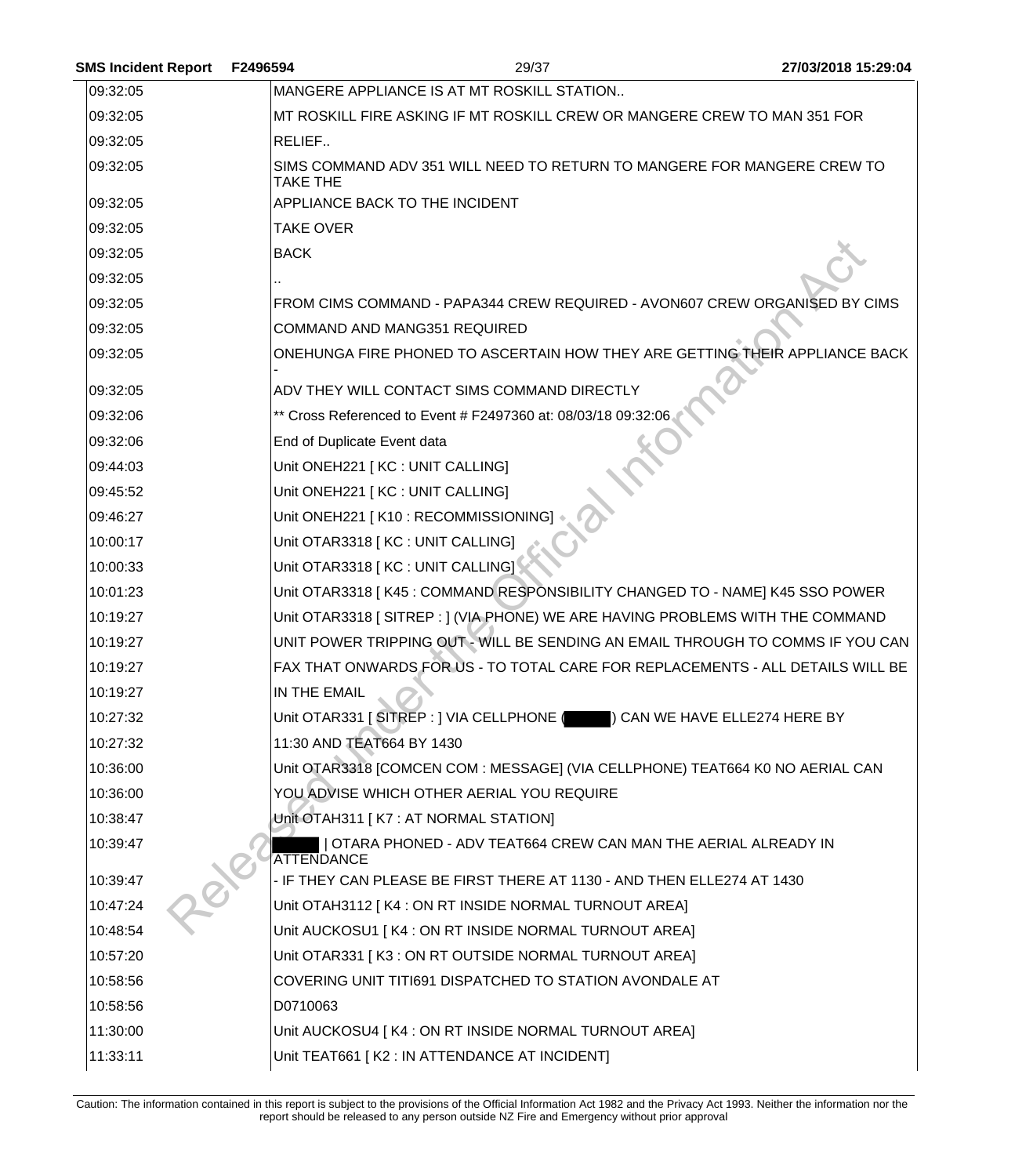| <b>SMS Incident Report</b> | F2496594 | 29/37                                                                               | 27/03/2018 15:29:04 |
|----------------------------|----------|-------------------------------------------------------------------------------------|---------------------|
| 09:32:05                   |          | MANGERE APPLIANCE IS AT MT ROSKILL STATION                                          |                     |
| 09:32:05                   |          | MT ROSKILL FIRE ASKING IF MT ROSKILL CREW OR MANGERE CREW TO MAN 351 FOR            |                     |
| 09:32:05                   |          | RELIEF                                                                              |                     |
| 09:32:05                   |          | SIMS COMMAND ADV 351 WILL NEED TO RETURN TO MANGERE FOR MANGERE CREW TO<br>TAKE THE |                     |
| 09:32:05                   |          | APPLIANCE BACK TO THE INCIDENT                                                      |                     |
| 09:32:05                   |          | <b>TAKE OVER</b>                                                                    |                     |
| 09:32:05                   |          | <b>BACK</b>                                                                         |                     |
| 09:32:05                   |          |                                                                                     |                     |
| 09:32:05                   |          | FROM CIMS COMMAND - PAPA344 CREW REQUIRED - AVON607 CREW ORGANISED BY CIMS          |                     |
| 09:32:05                   |          | <b>COMMAND AND MANG351 REQUIRED</b>                                                 |                     |
| 09:32:05                   |          | ONEHUNGA FIRE PHONED TO ASCERTAIN HOW THEY ARE GETTING THEIR APPLIANCE BACK         |                     |
| 09:32:05                   |          | ADV THEY WILL CONTACT SIMS COMMAND DIRECTLY                                         |                     |
| 09:32:06                   |          | ** Cross Referenced to Event # F2497360 at: 08/03/18 09:32:06                       |                     |
| 09:32:06                   |          | End of Duplicate Event data                                                         |                     |
| 09:44:03                   |          | Unit ONEH221   KC : UNIT CALLING]                                                   |                     |
| 09:45:52                   |          | Unit ONEH221 [ KC : UNIT CALLING]                                                   |                     |
| 09:46:27                   |          | Unit ONEH221   K10 : RECOMMISSIONING]                                               |                     |
| 10:00:17                   |          | Unit OTAR3318 [KC : UNIT CALLING]                                                   |                     |
| 10:00:33                   |          | Unit OTAR3318 [ KC : UNIT CALLING]                                                  |                     |
| 10:01:23                   |          | Unit OTAR3318   K45 : COMMAND RESPONSIBILITY CHANGED TO - NAME] K45 SSO POWER       |                     |
| 10:19:27                   |          | Unit OTAR3318 [ SITREP : ] (VIA PHONE) WE ARE HAVING PROBLEMS WITH THE COMMAND      |                     |
| 10:19:27                   |          | UNIT POWER TRIPPING OUT - WILL BE SENDING AN EMAIL THROUGH TO COMMS IF YOU CAN      |                     |
| 10:19:27                   |          | FAX THAT ONWARDS FOR US - TO TOTAL CARE FOR REPLACEMENTS - ALL DETAILS WILL BE      |                     |
| 10:19:27                   |          | IN THE EMAIL                                                                        |                     |
| 10:27:32                   |          | Unit OTAR331 [SITREP : ] VIA CELLPHONE (Network ) CAN WE HAVE ELLE274 HERE BY       |                     |
| 10:27:32                   |          | 11:30 AND TEAT664 BY 1430                                                           |                     |
| 10:36:00                   |          | Unit OTAR3318 [COMCEN COM : MESSAGE] (VIA CELLPHONE) TEAT664 K0 NO AERIAL CAN       |                     |
| 10:36:00                   |          | YOU ADVISE WHICH OTHER AERIAL YOU REQUIRE                                           |                     |
| 10:38:47                   |          | Unit OTAH311 [K7 : AT NORMAL STATION]                                               |                     |
| 10:39:47                   |          | OTARA PHONED - ADV TEAT664 CREW CAN MAN THE AERIAL ALREADY IN<br>ATTENDANCE         |                     |
| 10:39:47                   |          | - IF THEY CAN PLEASE BE FIRST THERE AT 1130 - AND THEN ELLE274 AT 1430              |                     |
| 10:47:24                   |          | Unit OTAH3112 [K4 : ON RT INSIDE NORMAL TURNOUT AREA]                               |                     |
| 10:48:54                   |          | Unit AUCKOSU1 [K4 : ON RT INSIDE NORMAL TURNOUT AREA]                               |                     |
| 10:57:20                   |          | Unit OTAR331   K3 : ON RT OUTSIDE NORMAL TURNOUT AREA]                              |                     |
| 10:58:56                   |          | COVERING UNIT TITI691 DISPATCHED TO STATION AVONDALE AT                             |                     |
| 10:58:56                   |          | D0710063                                                                            |                     |
| 11:30:00                   |          | Unit AUCKOSU4 [K4 : ON RT INSIDE NORMAL TURNOUT AREA]                               |                     |
| 11:33:11                   |          | Unit TEAT661 [K2 : IN ATTENDANCE AT INCIDENT]                                       |                     |
|                            |          |                                                                                     |                     |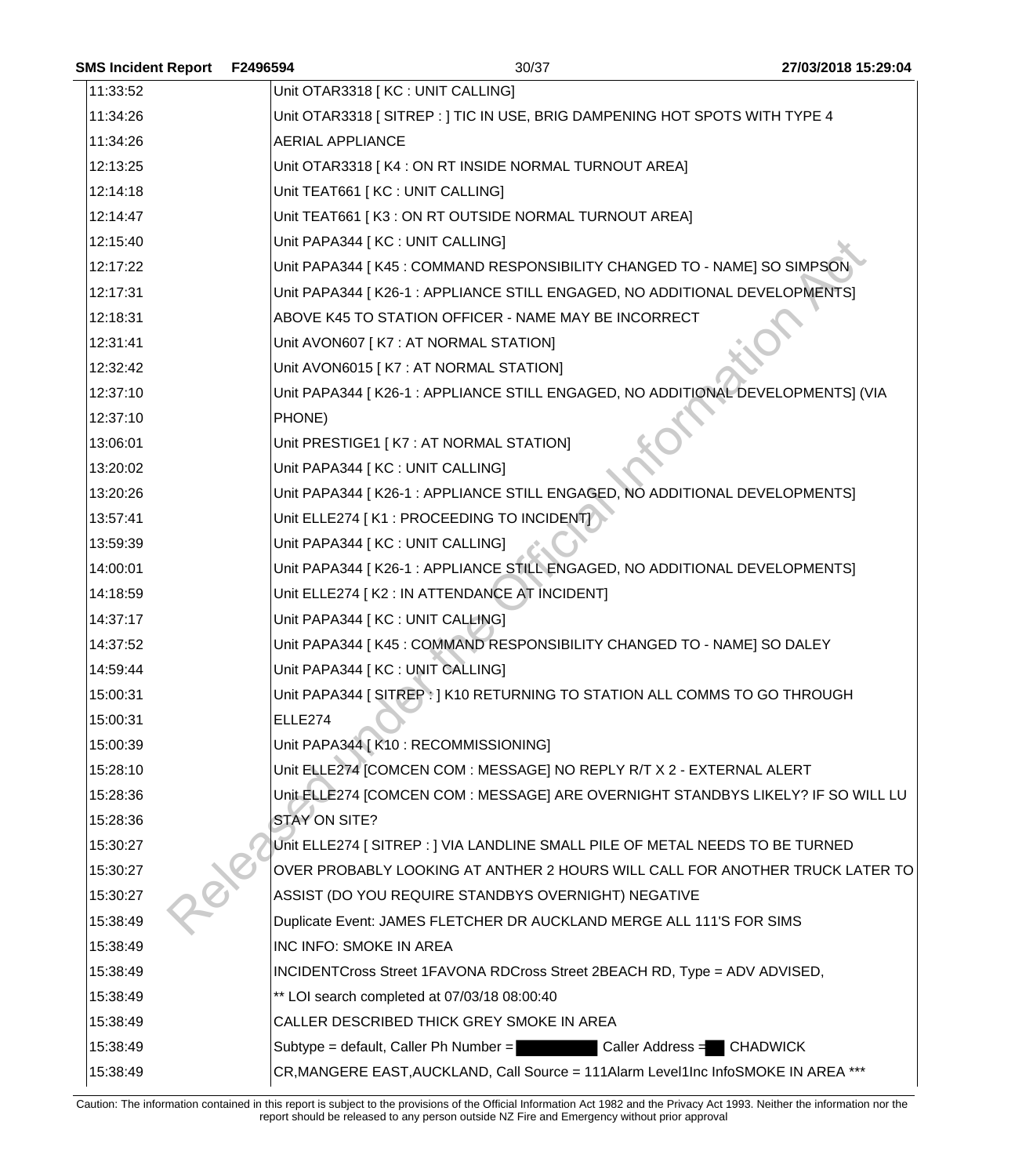|         |          | 27/03/2018 15:29:04                                                                                                                                                                                                                                                                                                                                                                                                                                                                                                                                                                                                                                                                                                                                                                                                                                                                                                                                                                                                                                                                                                                                                                                                                                                                                                                                                                                                                                                                                                                                                                                                                                                                                                                                                                                                                                                                                                                                                                                                                                                                                                                                                                                                                                  |
|---------|----------|------------------------------------------------------------------------------------------------------------------------------------------------------------------------------------------------------------------------------------------------------------------------------------------------------------------------------------------------------------------------------------------------------------------------------------------------------------------------------------------------------------------------------------------------------------------------------------------------------------------------------------------------------------------------------------------------------------------------------------------------------------------------------------------------------------------------------------------------------------------------------------------------------------------------------------------------------------------------------------------------------------------------------------------------------------------------------------------------------------------------------------------------------------------------------------------------------------------------------------------------------------------------------------------------------------------------------------------------------------------------------------------------------------------------------------------------------------------------------------------------------------------------------------------------------------------------------------------------------------------------------------------------------------------------------------------------------------------------------------------------------------------------------------------------------------------------------------------------------------------------------------------------------------------------------------------------------------------------------------------------------------------------------------------------------------------------------------------------------------------------------------------------------------------------------------------------------------------------------------------------------|
|         |          |                                                                                                                                                                                                                                                                                                                                                                                                                                                                                                                                                                                                                                                                                                                                                                                                                                                                                                                                                                                                                                                                                                                                                                                                                                                                                                                                                                                                                                                                                                                                                                                                                                                                                                                                                                                                                                                                                                                                                                                                                                                                                                                                                                                                                                                      |
|         |          |                                                                                                                                                                                                                                                                                                                                                                                                                                                                                                                                                                                                                                                                                                                                                                                                                                                                                                                                                                                                                                                                                                                                                                                                                                                                                                                                                                                                                                                                                                                                                                                                                                                                                                                                                                                                                                                                                                                                                                                                                                                                                                                                                                                                                                                      |
|         |          |                                                                                                                                                                                                                                                                                                                                                                                                                                                                                                                                                                                                                                                                                                                                                                                                                                                                                                                                                                                                                                                                                                                                                                                                                                                                                                                                                                                                                                                                                                                                                                                                                                                                                                                                                                                                                                                                                                                                                                                                                                                                                                                                                                                                                                                      |
|         |          |                                                                                                                                                                                                                                                                                                                                                                                                                                                                                                                                                                                                                                                                                                                                                                                                                                                                                                                                                                                                                                                                                                                                                                                                                                                                                                                                                                                                                                                                                                                                                                                                                                                                                                                                                                                                                                                                                                                                                                                                                                                                                                                                                                                                                                                      |
|         |          |                                                                                                                                                                                                                                                                                                                                                                                                                                                                                                                                                                                                                                                                                                                                                                                                                                                                                                                                                                                                                                                                                                                                                                                                                                                                                                                                                                                                                                                                                                                                                                                                                                                                                                                                                                                                                                                                                                                                                                                                                                                                                                                                                                                                                                                      |
|         |          |                                                                                                                                                                                                                                                                                                                                                                                                                                                                                                                                                                                                                                                                                                                                                                                                                                                                                                                                                                                                                                                                                                                                                                                                                                                                                                                                                                                                                                                                                                                                                                                                                                                                                                                                                                                                                                                                                                                                                                                                                                                                                                                                                                                                                                                      |
|         |          |                                                                                                                                                                                                                                                                                                                                                                                                                                                                                                                                                                                                                                                                                                                                                                                                                                                                                                                                                                                                                                                                                                                                                                                                                                                                                                                                                                                                                                                                                                                                                                                                                                                                                                                                                                                                                                                                                                                                                                                                                                                                                                                                                                                                                                                      |
|         |          |                                                                                                                                                                                                                                                                                                                                                                                                                                                                                                                                                                                                                                                                                                                                                                                                                                                                                                                                                                                                                                                                                                                                                                                                                                                                                                                                                                                                                                                                                                                                                                                                                                                                                                                                                                                                                                                                                                                                                                                                                                                                                                                                                                                                                                                      |
|         |          |                                                                                                                                                                                                                                                                                                                                                                                                                                                                                                                                                                                                                                                                                                                                                                                                                                                                                                                                                                                                                                                                                                                                                                                                                                                                                                                                                                                                                                                                                                                                                                                                                                                                                                                                                                                                                                                                                                                                                                                                                                                                                                                                                                                                                                                      |
|         |          |                                                                                                                                                                                                                                                                                                                                                                                                                                                                                                                                                                                                                                                                                                                                                                                                                                                                                                                                                                                                                                                                                                                                                                                                                                                                                                                                                                                                                                                                                                                                                                                                                                                                                                                                                                                                                                                                                                                                                                                                                                                                                                                                                                                                                                                      |
|         |          |                                                                                                                                                                                                                                                                                                                                                                                                                                                                                                                                                                                                                                                                                                                                                                                                                                                                                                                                                                                                                                                                                                                                                                                                                                                                                                                                                                                                                                                                                                                                                                                                                                                                                                                                                                                                                                                                                                                                                                                                                                                                                                                                                                                                                                                      |
|         |          |                                                                                                                                                                                                                                                                                                                                                                                                                                                                                                                                                                                                                                                                                                                                                                                                                                                                                                                                                                                                                                                                                                                                                                                                                                                                                                                                                                                                                                                                                                                                                                                                                                                                                                                                                                                                                                                                                                                                                                                                                                                                                                                                                                                                                                                      |
|         |          |                                                                                                                                                                                                                                                                                                                                                                                                                                                                                                                                                                                                                                                                                                                                                                                                                                                                                                                                                                                                                                                                                                                                                                                                                                                                                                                                                                                                                                                                                                                                                                                                                                                                                                                                                                                                                                                                                                                                                                                                                                                                                                                                                                                                                                                      |
| PHONE)  |          |                                                                                                                                                                                                                                                                                                                                                                                                                                                                                                                                                                                                                                                                                                                                                                                                                                                                                                                                                                                                                                                                                                                                                                                                                                                                                                                                                                                                                                                                                                                                                                                                                                                                                                                                                                                                                                                                                                                                                                                                                                                                                                                                                                                                                                                      |
|         |          |                                                                                                                                                                                                                                                                                                                                                                                                                                                                                                                                                                                                                                                                                                                                                                                                                                                                                                                                                                                                                                                                                                                                                                                                                                                                                                                                                                                                                                                                                                                                                                                                                                                                                                                                                                                                                                                                                                                                                                                                                                                                                                                                                                                                                                                      |
|         |          |                                                                                                                                                                                                                                                                                                                                                                                                                                                                                                                                                                                                                                                                                                                                                                                                                                                                                                                                                                                                                                                                                                                                                                                                                                                                                                                                                                                                                                                                                                                                                                                                                                                                                                                                                                                                                                                                                                                                                                                                                                                                                                                                                                                                                                                      |
|         |          |                                                                                                                                                                                                                                                                                                                                                                                                                                                                                                                                                                                                                                                                                                                                                                                                                                                                                                                                                                                                                                                                                                                                                                                                                                                                                                                                                                                                                                                                                                                                                                                                                                                                                                                                                                                                                                                                                                                                                                                                                                                                                                                                                                                                                                                      |
|         |          |                                                                                                                                                                                                                                                                                                                                                                                                                                                                                                                                                                                                                                                                                                                                                                                                                                                                                                                                                                                                                                                                                                                                                                                                                                                                                                                                                                                                                                                                                                                                                                                                                                                                                                                                                                                                                                                                                                                                                                                                                                                                                                                                                                                                                                                      |
|         |          |                                                                                                                                                                                                                                                                                                                                                                                                                                                                                                                                                                                                                                                                                                                                                                                                                                                                                                                                                                                                                                                                                                                                                                                                                                                                                                                                                                                                                                                                                                                                                                                                                                                                                                                                                                                                                                                                                                                                                                                                                                                                                                                                                                                                                                                      |
|         |          |                                                                                                                                                                                                                                                                                                                                                                                                                                                                                                                                                                                                                                                                                                                                                                                                                                                                                                                                                                                                                                                                                                                                                                                                                                                                                                                                                                                                                                                                                                                                                                                                                                                                                                                                                                                                                                                                                                                                                                                                                                                                                                                                                                                                                                                      |
|         |          |                                                                                                                                                                                                                                                                                                                                                                                                                                                                                                                                                                                                                                                                                                                                                                                                                                                                                                                                                                                                                                                                                                                                                                                                                                                                                                                                                                                                                                                                                                                                                                                                                                                                                                                                                                                                                                                                                                                                                                                                                                                                                                                                                                                                                                                      |
|         |          |                                                                                                                                                                                                                                                                                                                                                                                                                                                                                                                                                                                                                                                                                                                                                                                                                                                                                                                                                                                                                                                                                                                                                                                                                                                                                                                                                                                                                                                                                                                                                                                                                                                                                                                                                                                                                                                                                                                                                                                                                                                                                                                                                                                                                                                      |
|         |          |                                                                                                                                                                                                                                                                                                                                                                                                                                                                                                                                                                                                                                                                                                                                                                                                                                                                                                                                                                                                                                                                                                                                                                                                                                                                                                                                                                                                                                                                                                                                                                                                                                                                                                                                                                                                                                                                                                                                                                                                                                                                                                                                                                                                                                                      |
|         |          |                                                                                                                                                                                                                                                                                                                                                                                                                                                                                                                                                                                                                                                                                                                                                                                                                                                                                                                                                                                                                                                                                                                                                                                                                                                                                                                                                                                                                                                                                                                                                                                                                                                                                                                                                                                                                                                                                                                                                                                                                                                                                                                                                                                                                                                      |
|         |          |                                                                                                                                                                                                                                                                                                                                                                                                                                                                                                                                                                                                                                                                                                                                                                                                                                                                                                                                                                                                                                                                                                                                                                                                                                                                                                                                                                                                                                                                                                                                                                                                                                                                                                                                                                                                                                                                                                                                                                                                                                                                                                                                                                                                                                                      |
| ELLE274 |          |                                                                                                                                                                                                                                                                                                                                                                                                                                                                                                                                                                                                                                                                                                                                                                                                                                                                                                                                                                                                                                                                                                                                                                                                                                                                                                                                                                                                                                                                                                                                                                                                                                                                                                                                                                                                                                                                                                                                                                                                                                                                                                                                                                                                                                                      |
|         |          |                                                                                                                                                                                                                                                                                                                                                                                                                                                                                                                                                                                                                                                                                                                                                                                                                                                                                                                                                                                                                                                                                                                                                                                                                                                                                                                                                                                                                                                                                                                                                                                                                                                                                                                                                                                                                                                                                                                                                                                                                                                                                                                                                                                                                                                      |
|         |          |                                                                                                                                                                                                                                                                                                                                                                                                                                                                                                                                                                                                                                                                                                                                                                                                                                                                                                                                                                                                                                                                                                                                                                                                                                                                                                                                                                                                                                                                                                                                                                                                                                                                                                                                                                                                                                                                                                                                                                                                                                                                                                                                                                                                                                                      |
|         |          |                                                                                                                                                                                                                                                                                                                                                                                                                                                                                                                                                                                                                                                                                                                                                                                                                                                                                                                                                                                                                                                                                                                                                                                                                                                                                                                                                                                                                                                                                                                                                                                                                                                                                                                                                                                                                                                                                                                                                                                                                                                                                                                                                                                                                                                      |
|         |          |                                                                                                                                                                                                                                                                                                                                                                                                                                                                                                                                                                                                                                                                                                                                                                                                                                                                                                                                                                                                                                                                                                                                                                                                                                                                                                                                                                                                                                                                                                                                                                                                                                                                                                                                                                                                                                                                                                                                                                                                                                                                                                                                                                                                                                                      |
|         |          |                                                                                                                                                                                                                                                                                                                                                                                                                                                                                                                                                                                                                                                                                                                                                                                                                                                                                                                                                                                                                                                                                                                                                                                                                                                                                                                                                                                                                                                                                                                                                                                                                                                                                                                                                                                                                                                                                                                                                                                                                                                                                                                                                                                                                                                      |
|         |          |                                                                                                                                                                                                                                                                                                                                                                                                                                                                                                                                                                                                                                                                                                                                                                                                                                                                                                                                                                                                                                                                                                                                                                                                                                                                                                                                                                                                                                                                                                                                                                                                                                                                                                                                                                                                                                                                                                                                                                                                                                                                                                                                                                                                                                                      |
|         |          |                                                                                                                                                                                                                                                                                                                                                                                                                                                                                                                                                                                                                                                                                                                                                                                                                                                                                                                                                                                                                                                                                                                                                                                                                                                                                                                                                                                                                                                                                                                                                                                                                                                                                                                                                                                                                                                                                                                                                                                                                                                                                                                                                                                                                                                      |
|         |          |                                                                                                                                                                                                                                                                                                                                                                                                                                                                                                                                                                                                                                                                                                                                                                                                                                                                                                                                                                                                                                                                                                                                                                                                                                                                                                                                                                                                                                                                                                                                                                                                                                                                                                                                                                                                                                                                                                                                                                                                                                                                                                                                                                                                                                                      |
|         |          |                                                                                                                                                                                                                                                                                                                                                                                                                                                                                                                                                                                                                                                                                                                                                                                                                                                                                                                                                                                                                                                                                                                                                                                                                                                                                                                                                                                                                                                                                                                                                                                                                                                                                                                                                                                                                                                                                                                                                                                                                                                                                                                                                                                                                                                      |
|         |          |                                                                                                                                                                                                                                                                                                                                                                                                                                                                                                                                                                                                                                                                                                                                                                                                                                                                                                                                                                                                                                                                                                                                                                                                                                                                                                                                                                                                                                                                                                                                                                                                                                                                                                                                                                                                                                                                                                                                                                                                                                                                                                                                                                                                                                                      |
|         |          |                                                                                                                                                                                                                                                                                                                                                                                                                                                                                                                                                                                                                                                                                                                                                                                                                                                                                                                                                                                                                                                                                                                                                                                                                                                                                                                                                                                                                                                                                                                                                                                                                                                                                                                                                                                                                                                                                                                                                                                                                                                                                                                                                                                                                                                      |
|         |          |                                                                                                                                                                                                                                                                                                                                                                                                                                                                                                                                                                                                                                                                                                                                                                                                                                                                                                                                                                                                                                                                                                                                                                                                                                                                                                                                                                                                                                                                                                                                                                                                                                                                                                                                                                                                                                                                                                                                                                                                                                                                                                                                                                                                                                                      |
|         |          |                                                                                                                                                                                                                                                                                                                                                                                                                                                                                                                                                                                                                                                                                                                                                                                                                                                                                                                                                                                                                                                                                                                                                                                                                                                                                                                                                                                                                                                                                                                                                                                                                                                                                                                                                                                                                                                                                                                                                                                                                                                                                                                                                                                                                                                      |
|         |          |                                                                                                                                                                                                                                                                                                                                                                                                                                                                                                                                                                                                                                                                                                                                                                                                                                                                                                                                                                                                                                                                                                                                                                                                                                                                                                                                                                                                                                                                                                                                                                                                                                                                                                                                                                                                                                                                                                                                                                                                                                                                                                                                                                                                                                                      |
|         | F2496594 | 30/37<br>Unit OTAR3318 [KC : UNIT CALLING]<br>Unit OTAR3318 [SITREP: ] TIC IN USE, BRIG DAMPENING HOT SPOTS WITH TYPE 4<br><b>AERIAL APPLIANCE</b><br>Unit OTAR3318   K4 : ON RT INSIDE NORMAL TURNOUT AREA]<br>Unit TEAT661 [KC : UNIT CALLING]<br>Unit TEAT661   K3 : ON RT OUTSIDE NORMAL TURNOUT AREA]<br>Unit PAPA344 [ KC : UNIT CALLING]<br>Unit PAPA344 [K45 : COMMAND RESPONSIBILITY CHANGED TO - NAME] SO SIMPSON<br>Unit PAPA344 [K26-1 : APPLIANCE STILL ENGAGED, NO ADDITIONAL DEVELOPMENTS]<br>ABOVE K45 TO STATION OFFICER - NAME MAY BE INCORRECT<br>Unit AVON607 [K7 : AT NORMAL STATION]<br>Unit AVON6015 [K7 : AT NORMAL STATION]<br>Unit PAPA344 [K26-1 : APPLIANCE STILL ENGAGED, NO ADDITIONAL DEVELOPMENTS] (VIA<br>Unit PRESTIGE1 [K7 : AT NORMAL STATION]<br>Unit PAPA344 [ KC : UNIT CALLING]<br>Unit PAPA344 [K26-1 : APPLIANCE STILL ENGAGED, NO ADDITIONAL DEVELOPMENTS]<br>Unit ELLE274   K1 : PROCEEDING TO INCIDENTY<br>Unit PAPA344 [ KC : UNIT CALLING]<br>Unit PAPA344 [K26-1 : APPLIANCE STILL ENGAGED, NO ADDITIONAL DEVELOPMENTS]<br>Unit ELLE274 [ K2 : IN ATTENDANCE AT INCIDENT]<br>Unit PAPA344 [ KC : UNIT CALLING]<br>Unit PAPA344 [K45 : COMMAND RESPONSIBILITY CHANGED TO - NAME] SO DALEY<br>Unit PAPA344 [ KC : UNIT CALLING]<br>Unit PAPA344 [ SITREP : ] K10 RETURNING TO STATION ALL COMMS TO GO THROUGH<br>Unit PAPA344 [ K10 : RECOMMISSIONING]<br>Unit ELLE274 [COMCEN COM : MESSAGE] NO REPLY R/T X 2 - EXTERNAL ALERT<br>Unit ELLE274 [COMCEN COM : MESSAGE] ARE OVERNIGHT STANDBYS LIKELY? IF SO WILL LU<br>STAY ON SITE?<br>Unit ELLE274 [ SITREP : ] VIA LANDLINE SMALL PILE OF METAL NEEDS TO BE TURNED<br>OVER PROBABLY LOOKING AT ANTHER 2 HOURS WILL CALL FOR ANOTHER TRUCK LATER TO<br>ASSIST (DO YOU REQUIRE STANDBYS OVERNIGHT) NEGATIVE<br>Duplicate Event: JAMES FLETCHER DR AUCKLAND MERGE ALL 111'S FOR SIMS<br>INC INFO: SMOKE IN AREA<br>INCIDENTCross Street 1FAVONA RDCross Street 2BEACH RD, Type = ADV ADVISED,<br>** LOI search completed at 07/03/18 08:00:40<br>CALLER DESCRIBED THICK GREY SMOKE IN AREA<br>Subtype = default, Caller Ph Number =<br>Caller Address = CHADWICK<br>CR, MANGERE EAST, AUCKLAND, Call Source = 111Alarm Level1Inc InfoSMOKE IN AREA *** |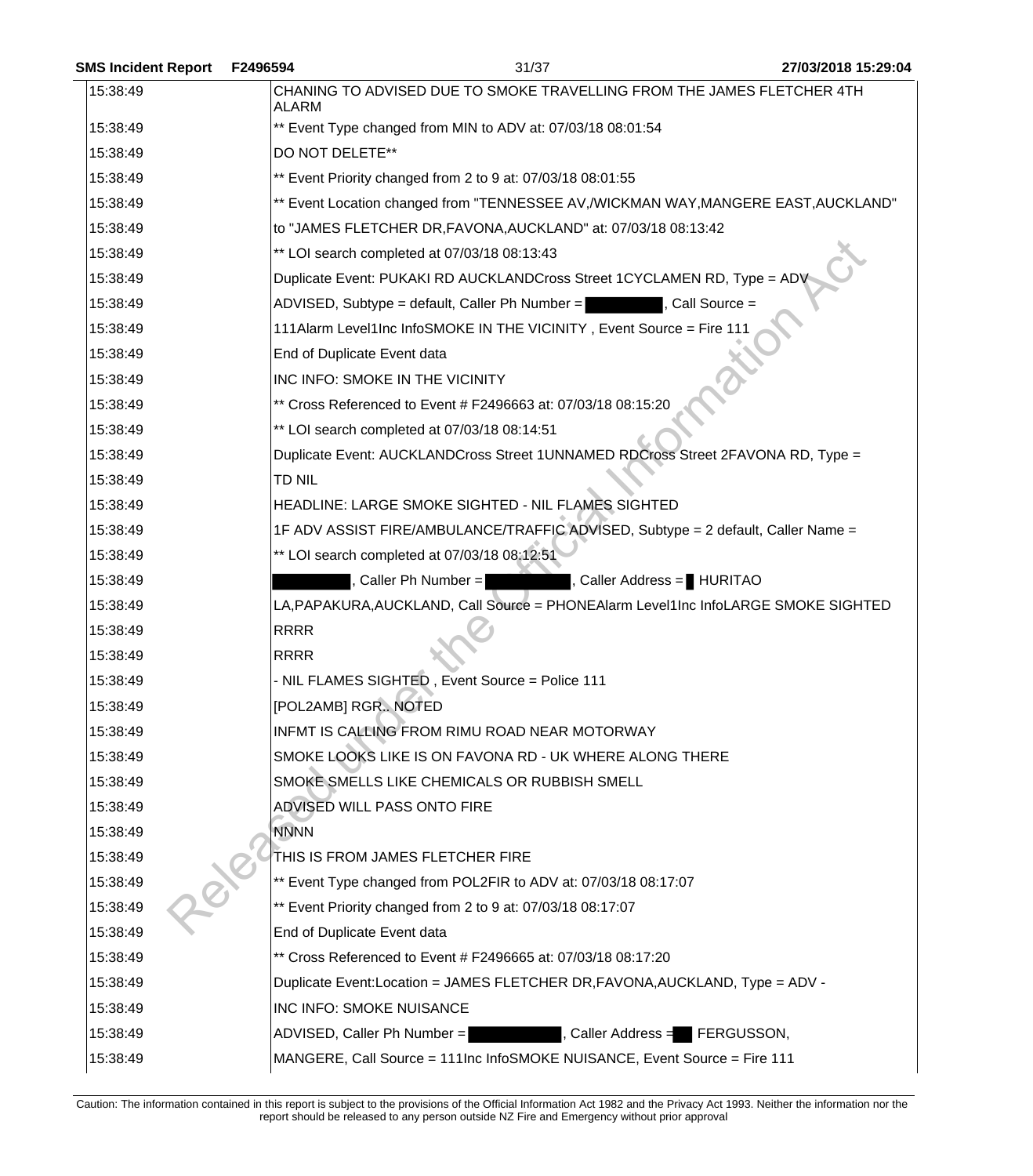| <b>SMS Incident Report</b> | F2496594            | 31/37                                                                              | 27/03/2018 15:29:04 |
|----------------------------|---------------------|------------------------------------------------------------------------------------|---------------------|
| 15:38:49                   | <b>ALARM</b>        | CHANING TO ADVISED DUE TO SMOKE TRAVELLING FROM THE JAMES FLETCHER 4TH             |                     |
| 15:38:49                   |                     | ** Event Type changed from MIN to ADV at: 07/03/18 08:01:54                        |                     |
| 15:38:49                   | DO NOT DELETE**     |                                                                                    |                     |
| 15:38:49                   |                     | ** Event Priority changed from 2 to 9 at: 07/03/18 08:01:55                        |                     |
| 15:38:49                   |                     | ** Event Location changed from "TENNESSEE AV,/WICKMAN WAY,MANGERE EAST,AUCKLAND"   |                     |
| 15:38:49                   |                     | to "JAMES FLETCHER DR, FAVONA, AUCKLAND" at: 07/03/18 08:13:42                     |                     |
| 15:38:49                   |                     | ** LOI search completed at 07/03/18 08:13:43                                       |                     |
| 15:38:49                   |                     | Duplicate Event: PUKAKI RD AUCKLANDCross Street 1CYCLAMEN RD, Type = ADV           |                     |
| 15:38:49                   |                     | ADVISED, Subtype = default, Caller Ph Number =<br>, Call Source =                  |                     |
| 15:38:49                   |                     | 111Alarm Level1Inc InfoSMOKE IN THE VICINITY, Event Source = Fire 111              |                     |
| 15:38:49                   |                     | End of Duplicate Event data                                                        |                     |
| 15:38:49                   |                     | INC INFO: SMOKE IN THE VICINITY                                                    |                     |
| 15:38:49                   |                     | ** Cross Referenced to Event # F2496663 at: 07/03/18 08:15:20                      |                     |
| 15:38:49                   |                     | ** LOI search completed at 07/03/18 08:14:51                                       |                     |
| 15:38:49                   |                     | Duplicate Event: AUCKLANDCross Street 1UNNAMED RDCross Street 2FAVONA RD, Type =   |                     |
| 15:38:49                   | TD NIL              |                                                                                    |                     |
| 15:38:49                   |                     | HEADLINE: LARGE SMOKE SIGHTED - NIL FLAMES SIGHTED                                 |                     |
| 15:38:49                   |                     | 1F ADV ASSIST FIRE/AMBULANCE/TRAFFIC ADVISED, Subtype = 2 default, Caller Name =   |                     |
| 15:38:49                   |                     | ** LOI search completed at 07/03/18 08:12:51                                       |                     |
| 15:38:49                   |                     | , Caller Address = HURITAO<br>Caller Ph Number =                                   |                     |
| 15:38:49                   |                     | LA, PAPAKURA, AUCKLAND, Call Source = PHONEAlarm Level1Inc InfoLARGE SMOKE SIGHTED |                     |
| 15:38:49                   | <b>RRRR</b>         |                                                                                    |                     |
| 15:38:49                   | <b>RRRR</b>         |                                                                                    |                     |
| 15:38:49                   |                     | - NIL FLAMES SIGHTED, Event Source = Police 111                                    |                     |
| 15:38:49                   | [POL2AMB] RGR NOTED |                                                                                    |                     |
| 15:38:49                   |                     | INFMT IS CALLING FROM RIMU ROAD NEAR MOTORWAY                                      |                     |
| 15:38:49                   |                     | SMOKE LOOKS LIKE IS ON FAVONA RD - UK WHERE ALONG THERE                            |                     |
| 15:38:49                   |                     | SMOKE SMELLS LIKE CHEMICALS OR RUBBISH SMELL                                       |                     |
| 15:38:49                   |                     | ADVISED WILL PASS ONTO FIRE                                                        |                     |
| 15:38:49                   | <b>NNNN</b>         |                                                                                    |                     |
| 15:38:49                   |                     | THIS IS FROM JAMES FLETCHER FIRE                                                   |                     |
| 15:38:49                   |                     | ** Event Type changed from POL2FIR to ADV at: 07/03/18 08:17:07                    |                     |
| 15:38:49                   |                     | ** Event Priority changed from 2 to 9 at: 07/03/18 08:17:07                        |                     |
| 15:38:49                   |                     | End of Duplicate Event data                                                        |                     |
| 15:38:49                   |                     | ** Cross Referenced to Event # F2496665 at: 07/03/18 08:17:20                      |                     |
| 15:38:49                   |                     | Duplicate Event:Location = JAMES FLETCHER DR, FAVONA, AUCKLAND, Type = ADV -       |                     |
| 15:38:49                   |                     | INC INFO: SMOKE NUISANCE                                                           |                     |
| 15:38:49                   |                     | ADVISED, Caller Ph Number =<br>, Caller Address $=$ FERGUSSON,                     |                     |
| 15:38:49                   |                     | MANGERE, Call Source = 111Inc InfoSMOKE NUISANCE, Event Source = Fire 111          |                     |
|                            |                     |                                                                                    |                     |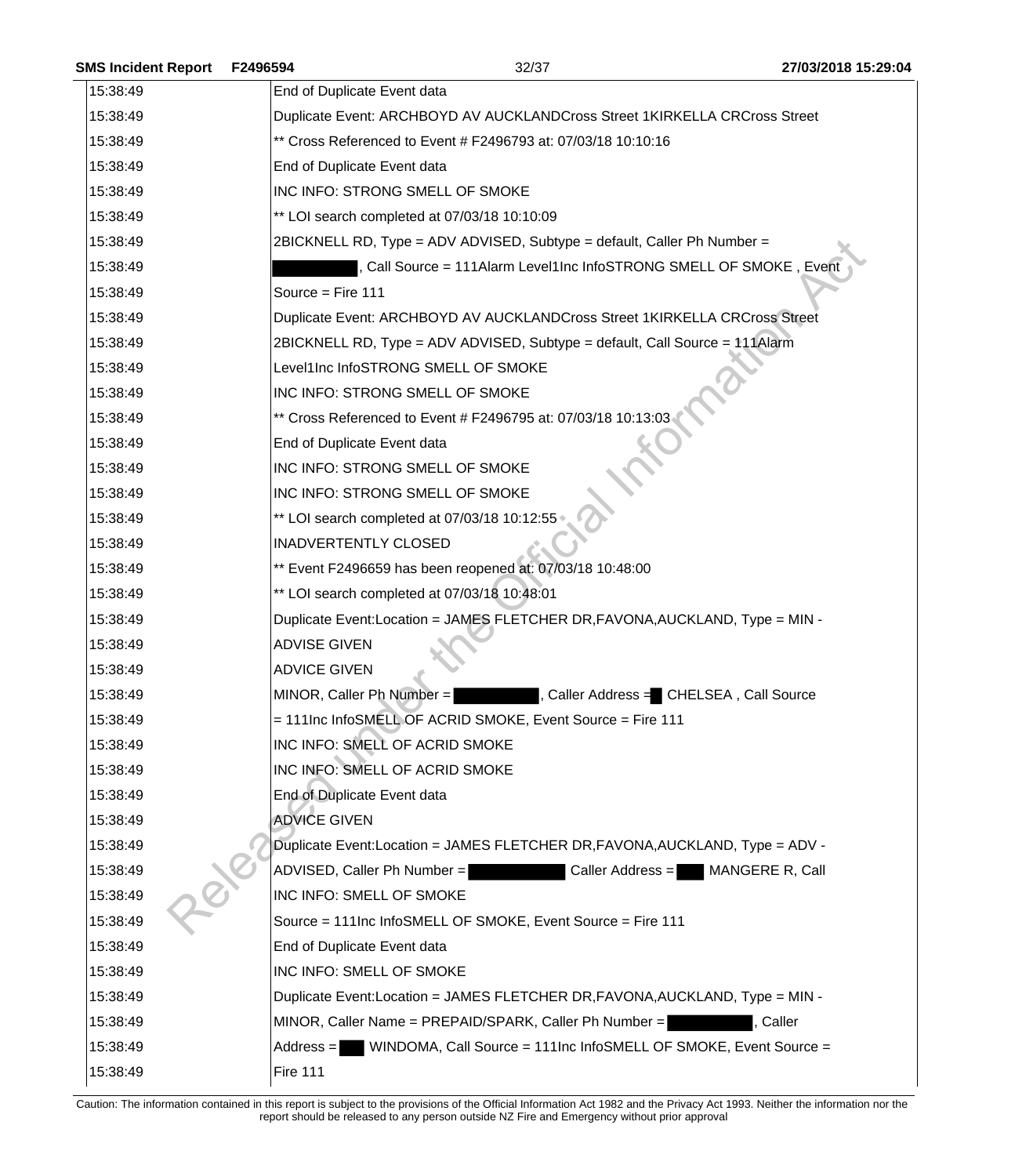| <b>SMS Incident Report</b> | F2496594                    | 32/37                                                                         | 27/03/2018 15:29:04 |
|----------------------------|-----------------------------|-------------------------------------------------------------------------------|---------------------|
| 15:38:49                   | End of Duplicate Event data |                                                                               |                     |
| 15:38:49                   |                             | Duplicate Event: ARCHBOYD AV AUCKLANDCross Street 1KIRKELLA CRCross Street    |                     |
| 15:38:49                   |                             | ** Cross Referenced to Event # F2496793 at: 07/03/18 10:10:16                 |                     |
| 15:38:49                   | End of Duplicate Event data |                                                                               |                     |
| 15:38:49                   |                             | INC INFO: STRONG SMELL OF SMOKE                                               |                     |
| 15:38:49                   |                             | ** LOI search completed at 07/03/18 10:10:09                                  |                     |
| 15:38:49                   |                             | 2BICKNELL RD, Type = ADV ADVISED, Subtype = default, Caller Ph Number =       |                     |
| 15:38:49                   |                             | Call Source = 111Alarm Level1Inc InfoSTRONG SMELL OF SMOKE, Event             |                     |
| 15:38:49                   | Source = Fire 111           |                                                                               |                     |
| 15:38:49                   |                             | Duplicate Event: ARCHBOYD AV AUCKLANDCross Street 1KIRKELLA CRCross Street    |                     |
| 15:38:49                   |                             | 2BICKNELL RD, Type = ADV ADVISED, Subtype = default, Call Source = 111Alarm   |                     |
| 15:38:49                   |                             | Level1Inc InfoSTRONG SMELL OF SMOKE                                           |                     |
| 15:38:49                   |                             | INC INFO: STRONG SMELL OF SMOKE                                               |                     |
| 15:38:49                   |                             | ** Cross Referenced to Event # F2496795 at: 07/03/18 10:13:03                 |                     |
| 15:38:49                   | End of Duplicate Event data |                                                                               |                     |
| 15:38:49                   |                             | INC INFO: STRONG SMELL OF SMOKE                                               |                     |
| 15:38:49                   |                             | INC INFO: STRONG SMELL OF SMOKE                                               |                     |
| 15:38:49                   |                             | ** LOI search completed at 07/03/18 10:12:55                                  |                     |
| 15:38:49                   | <b>INADVERTENTLY CLOSED</b> |                                                                               |                     |
| 15:38:49                   |                             | ** Event F2496659 has been reopened at: 07/03/18 10:48:00                     |                     |
| 15:38:49                   |                             | ** LOI search completed at 07/03/18 10:48:01                                  |                     |
| 15:38:49                   |                             | Duplicate Event: Location = JAMES FLETCHER DR, FAVONA, AUCKLAND, Type = MIN - |                     |
| 15:38:49                   | <b>ADVISE GIVEN</b>         |                                                                               |                     |
| 15:38:49                   | <b>ADVICE GIVEN</b>         |                                                                               |                     |
| 15:38:49                   |                             | MINOR, Caller Ph Number =<br>, Caller Address = CHELSEA, Call Source          |                     |
| 15:38:49                   |                             | = 111Inc InfoSMELL OF ACRID SMOKE, Event Source = Fire 111                    |                     |
| 15:38:49                   |                             | INC INFO: SMELL OF ACRID SMOKE                                                |                     |
| 15:38:49                   |                             | INC INFO: SMELL OF ACRID SMOKE                                                |                     |
| 15:38:49                   | End of Duplicate Event data |                                                                               |                     |
| 15:38:49                   | <b>ADVICE GIVEN</b>         |                                                                               |                     |
| 15:38:49                   |                             | Duplicate Event:Location = JAMES FLETCHER DR, FAVONA, AUCKLAND, Type = ADV -  |                     |
| 15:38:49                   |                             | ADVISED, Caller Ph Number =<br>Caller Address = MANGERE R, Call               |                     |
| 15:38:49                   |                             | INC INFO: SMELL OF SMOKE                                                      |                     |
| 15:38:49                   |                             | Source = 111Inc InfoSMELL OF SMOKE, Event Source = Fire 111                   |                     |
| 15:38:49                   | End of Duplicate Event data |                                                                               |                     |
| 15:38:49                   |                             | INC INFO: SMELL OF SMOKE                                                      |                     |
| 15:38:49                   |                             | Duplicate Event:Location = JAMES FLETCHER DR, FAVONA, AUCKLAND, Type = MIN -  |                     |
| 15:38:49                   |                             | MINOR, Caller Name = PREPAID/SPARK, Caller Ph Number =                        | Caller              |
| 15:38:49                   | Address $=$                 | WINDOMA, Call Source = 111Inc InfoSMELL OF SMOKE, Event Source =              |                     |
| 15:38:49                   | <b>Fire 111</b>             |                                                                               |                     |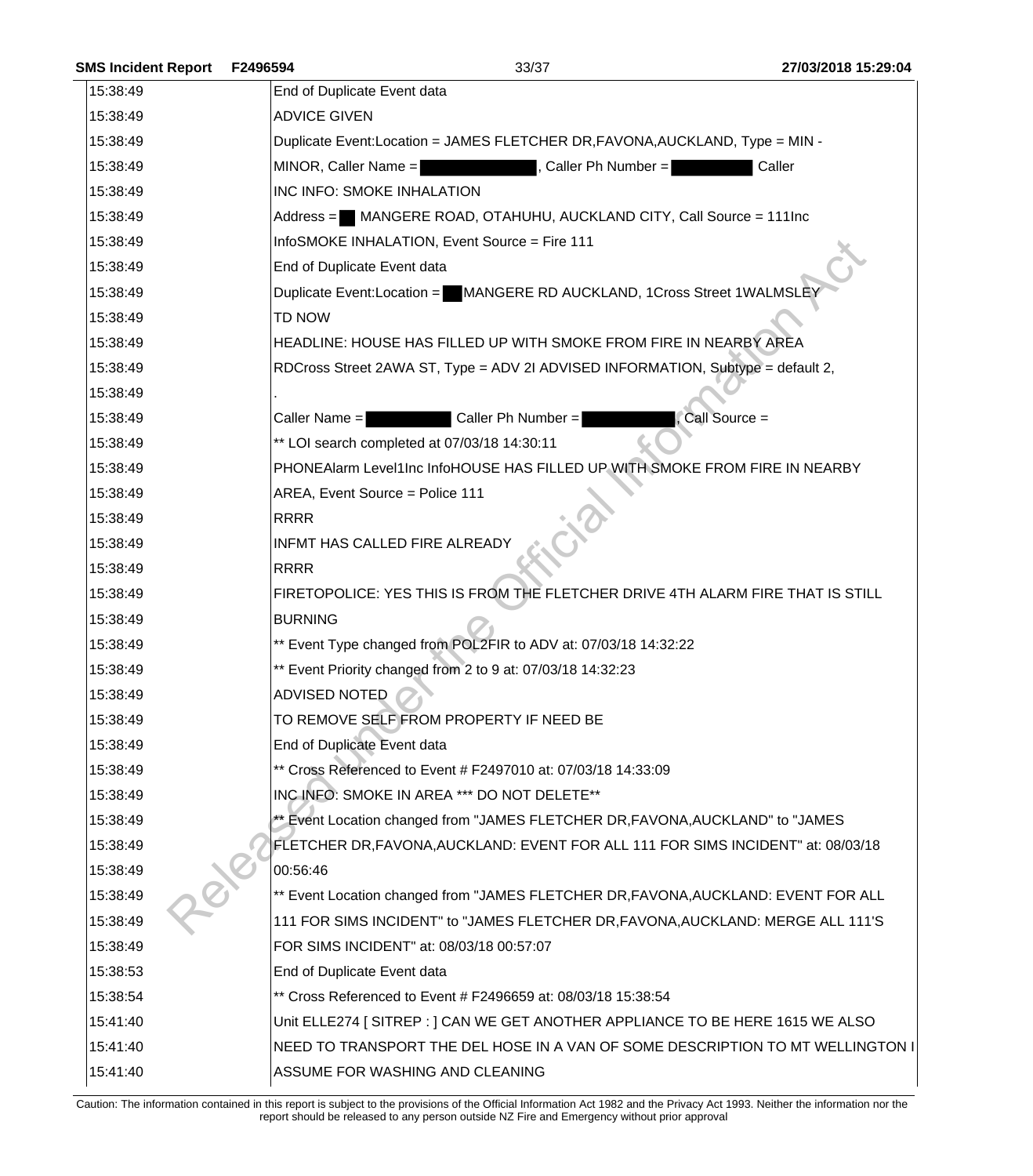| <b>SMS Incident Report</b> | F2496594                    | 33/37                                                                              | 27/03/2018 15:29:04 |
|----------------------------|-----------------------------|------------------------------------------------------------------------------------|---------------------|
| 15:38:49                   | End of Duplicate Event data |                                                                                    |                     |
| 15:38:49                   | <b>ADVICE GIVEN</b>         |                                                                                    |                     |
| 15:38:49                   |                             | Duplicate Event:Location = JAMES FLETCHER DR, FAVONA, AUCKLAND, Type = MIN -       |                     |
| 15:38:49                   | MINOR, Caller Name =        | Caller Ph Number =                                                                 | Caller              |
| 15:38:49                   |                             | <b>INC INFO: SMOKE INHALATION</b>                                                  |                     |
| 15:38:49                   |                             | Address = MANGERE ROAD, OTAHUHU, AUCKLAND CITY, Call Source = 111Inc               |                     |
| 15:38:49                   |                             | InfoSMOKE INHALATION, Event Source = Fire 111                                      |                     |
| 15:38:49                   | End of Duplicate Event data |                                                                                    |                     |
| 15:38:49                   |                             | Duplicate Event:Location = MANGERE RD AUCKLAND, 1Cross Street 1WALMSLEY            |                     |
| 15:38:49                   | TD NOW                      |                                                                                    |                     |
| 15:38:49                   |                             | HEADLINE: HOUSE HAS FILLED UP WITH SMOKE FROM FIRE IN NEARBY AREA                  |                     |
| 15:38:49                   |                             | RDCross Street 2AWA ST, Type = ADV 2I ADVISED INFORMATION, Subtype = default 2,    |                     |
| 15:38:49                   |                             |                                                                                    |                     |
| 15:38:49                   | Caller Name $=$             | Caller Ph Number =                                                                 | Call Source =       |
| 15:38:49                   |                             | ** LOI search completed at 07/03/18 14:30:11                                       |                     |
| 15:38:49                   |                             | PHONEAIarm Level1Inc InfoHOUSE HAS FILLED UP WITH SMOKE FROM FIRE IN NEARBY        |                     |
| 15:38:49                   |                             | AREA, Event Source = Police 111                                                    |                     |
| 15:38:49                   | <b>RRRR</b>                 |                                                                                    |                     |
| 15:38:49                   |                             | INFMT HAS CALLED FIRE ALREADY                                                      |                     |
| 15:38:49                   | <b>RRRR</b>                 |                                                                                    |                     |
| 15:38:49                   |                             | FIRETOPOLICE: YES THIS IS FROM THE FLETCHER DRIVE 4TH ALARM FIRE THAT IS STILL     |                     |
| 15:38:49                   | <b>BURNING</b>              |                                                                                    |                     |
| 15:38:49                   |                             | ** Event Type changed from POL2FIR to ADV at: 07/03/18 14:32:22                    |                     |
| 15:38:49                   |                             | ** Event Priority changed from 2 to 9 at: 07/03/18 14:32:23                        |                     |
| 15:38:49                   | <b>ADVISED NOTED</b>        |                                                                                    |                     |
| 15:38:49                   |                             | TO REMOVE SELF FROM PROPERTY IF NEED BE                                            |                     |
| 15:38:49                   | End of Duplicate Event data |                                                                                    |                     |
| 15:38:49                   |                             | ** Cross Referenced to Event # F2497010 at: 07/03/18 14:33:09                      |                     |
| 15:38:49                   |                             | INC INFO: SMOKE IN AREA *** DO NOT DELETE**                                        |                     |
| 15:38:49                   |                             | ** Event Location changed from "JAMES FLETCHER DR, FAVONA, AUCKLAND" to "JAMES     |                     |
| 15:38:49                   |                             | FLETCHER DR, FAVONA, AUCKLAND: EVENT FOR ALL 111 FOR SIMS INCIDENT" at: 08/03/18   |                     |
| 15:38:49                   | 00:56:46                    |                                                                                    |                     |
| 15:38:49                   |                             | ** Event Location changed from "JAMES FLETCHER DR, FAVONA, AUCKLAND: EVENT FOR ALL |                     |
| 15:38:49                   |                             | 111 FOR SIMS INCIDENT" to "JAMES FLETCHER DR, FAVONA, AUCKLAND: MERGE ALL 111'S    |                     |
| 15:38:49                   |                             | FOR SIMS INCIDENT" at: 08/03/18 00:57:07                                           |                     |
| 15:38:53                   | End of Duplicate Event data |                                                                                    |                     |
| 15:38:54                   |                             | ** Cross Referenced to Event # F2496659 at: 08/03/18 15:38:54                      |                     |
| 15:41:40                   |                             | Unit ELLE274 [SITREP : ] CAN WE GET ANOTHER APPLIANCE TO BE HERE 1615 WE ALSO      |                     |
| 15:41:40                   |                             | NEED TO TRANSPORT THE DEL HOSE IN A VAN OF SOME DESCRIPTION TO MT WELLINGTON I     |                     |
| 15:41:40                   |                             | ASSUME FOR WASHING AND CLEANING                                                    |                     |
|                            |                             |                                                                                    |                     |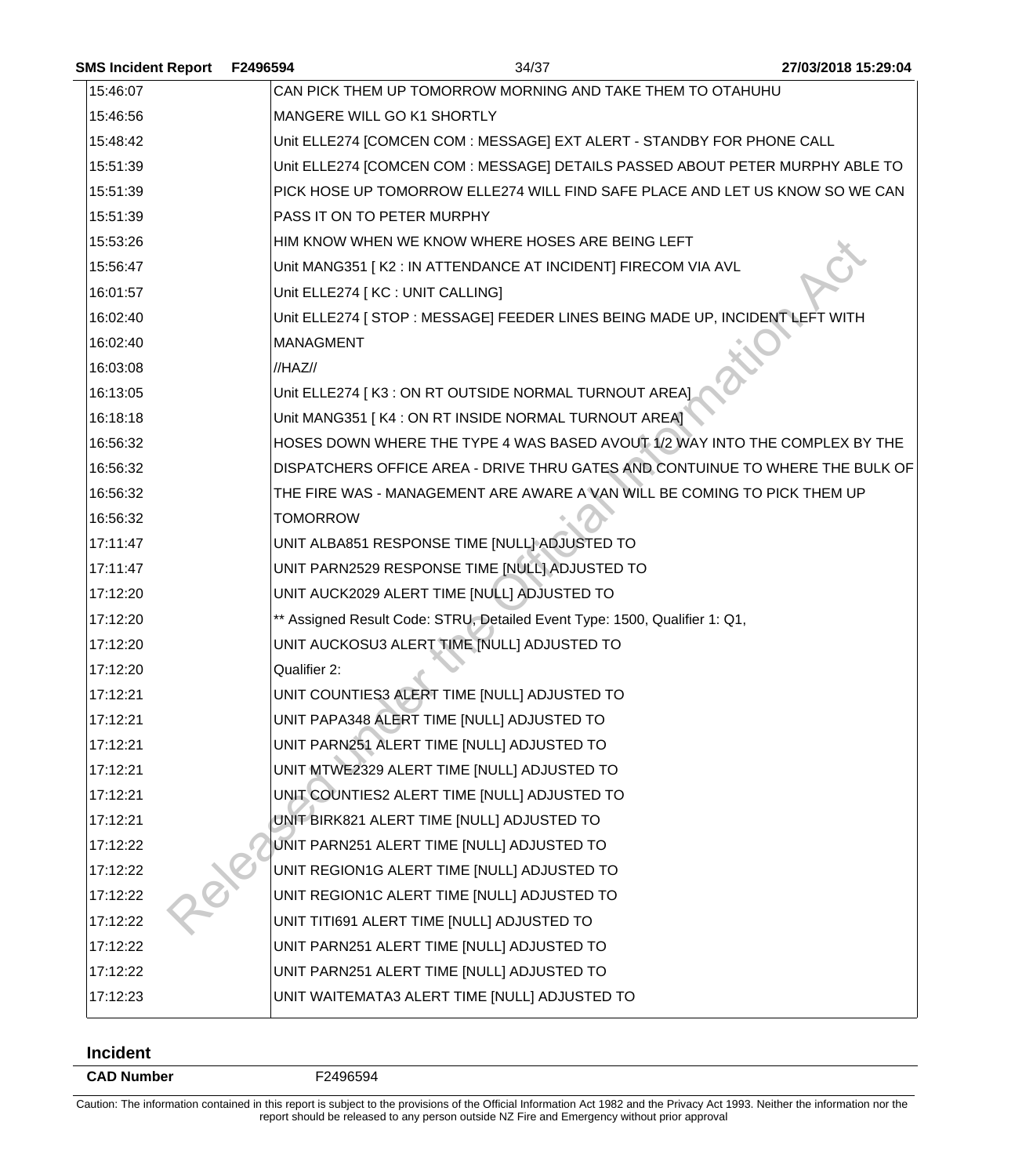| <b>SMS Incident Report</b> | F2496594         | 34/37                                                                         | 27/03/2018 15:29:04 |
|----------------------------|------------------|-------------------------------------------------------------------------------|---------------------|
| 15:46:07                   |                  | CAN PICK THEM UP TOMORROW MORNING AND TAKE THEM TO OTAHUHU                    |                     |
| 15:46:56                   |                  | MANGERE WILL GO K1 SHORTLY                                                    |                     |
| 15:48:42                   |                  | Unit ELLE274 [COMCEN COM : MESSAGE] EXT ALERT - STANDBY FOR PHONE CALL        |                     |
| 15:51:39                   |                  | Unit ELLE274 [COMCEN COM : MESSAGE] DETAILS PASSED ABOUT PETER MURPHY ABLE TO |                     |
| 15:51:39                   |                  | PICK HOSE UP TOMORROW ELLE274 WILL FIND SAFE PLACE AND LET US KNOW SO WE CAN  |                     |
| 15:51:39                   |                  | PASS IT ON TO PETER MURPHY                                                    |                     |
| 15:53:26                   |                  | HIM KNOW WHEN WE KNOW WHERE HOSES ARE BEING LEFT                              |                     |
| 15:56:47                   |                  | Unit MANG351   K2 : IN ATTENDANCE AT INCIDENT] FIRECOM VIA AVL                |                     |
| 16:01:57                   |                  | Unit ELLE274 [ KC : UNIT CALLING]                                             |                     |
| 16:02:40                   |                  | Unit ELLE274 [ STOP : MESSAGE] FEEDER LINES BEING MADE UP, INCIDENT LEFT WITH |                     |
| 16:02:40                   | <b>MANAGMENT</b> |                                                                               |                     |
| 16:03:08                   | //HAZ//          |                                                                               |                     |
| 16:13:05                   |                  | Unit ELLE274   K3 : ON RT OUTSIDE NORMAL TURNOUT AREA]                        |                     |
| 16:18:18                   |                  | Unit MANG351   K4 : ON RT INSIDE NORMAL TURNOUT AREA]                         |                     |
| 16:56:32                   |                  | HOSES DOWN WHERE THE TYPE 4 WAS BASED AVOUT 1/2 WAY INTO THE COMPLEX BY THE   |                     |
| 16:56:32                   |                  | DISPATCHERS OFFICE AREA - DRIVE THRU GATES AND CONTUINUE TO WHERE THE BULK OF |                     |
| 16:56:32                   |                  | THE FIRE WAS - MANAGEMENT ARE AWARE A VAN WILL BE COMING TO PICK THEM UP      |                     |
| 16:56:32                   | <b>TOMORROW</b>  |                                                                               |                     |
| 17:11:47                   |                  | UNIT ALBA851 RESPONSE TIME [NULL] ADJUSTED TO                                 |                     |
| 17:11:47                   |                  | UNIT PARN2529 RESPONSE TIME [NULL] ADJUSTED TO                                |                     |
| 17:12:20                   |                  | UNIT AUCK2029 ALERT TIME [NULL] ADJUSTED TO                                   |                     |
| 17:12:20                   |                  | ** Assigned Result Code: STRU, Detailed Event Type: 1500, Qualifier 1: Q1,    |                     |
| 17:12:20                   |                  | UNIT AUCKOSU3 ALERT TIME [NULL] ADJUSTED TO                                   |                     |
| 17:12:20                   | Qualifier 2:     |                                                                               |                     |
| 17:12:21                   |                  | UNIT COUNTIES3 ALERT TIME [NULL] ADJUSTED TO                                  |                     |
| 17:12:21                   |                  | UNIT PAPA348 ALERT TIME [NULL] ADJUSTED TO                                    |                     |
| 17:12:21                   |                  | UNIT PARN251 ALERT TIME [NULL] ADJUSTED TO                                    |                     |
| 17:12:21                   |                  | UNIT MTWE2329 ALERT TIME [NULL] ADJUSTED TO                                   |                     |
| 17:12:21                   |                  | UNIT COUNTIES2 ALERT TIME [NULL] ADJUSTED TO                                  |                     |
| 17:12:21                   |                  | UNIT BIRK821 ALERT TIME [NULL] ADJUSTED TO                                    |                     |
| 17:12:22                   |                  | UNIT PARN251 ALERT TIME [NULL] ADJUSTED TO                                    |                     |
| 17:12:22                   |                  | UNIT REGION1G ALERT TIME [NULL] ADJUSTED TO                                   |                     |
| 17:12:22                   |                  | UNIT REGION1C ALERT TIME [NULL] ADJUSTED TO                                   |                     |
| 17:12:22                   |                  | UNIT TITI691 ALERT TIME [NULL] ADJUSTED TO                                    |                     |
| 17:12:22                   |                  | UNIT PARN251 ALERT TIME [NULL] ADJUSTED TO                                    |                     |
| 17:12:22                   |                  | UNIT PARN251 ALERT TIME [NULL] ADJUSTED TO                                    |                     |
| 17:12:23                   |                  | UNIT WAITEMATA3 ALERT TIME [NULL] ADJUSTED TO                                 |                     |
|                            |                  |                                                                               |                     |

## **Incident**

**CAD Number** F2496594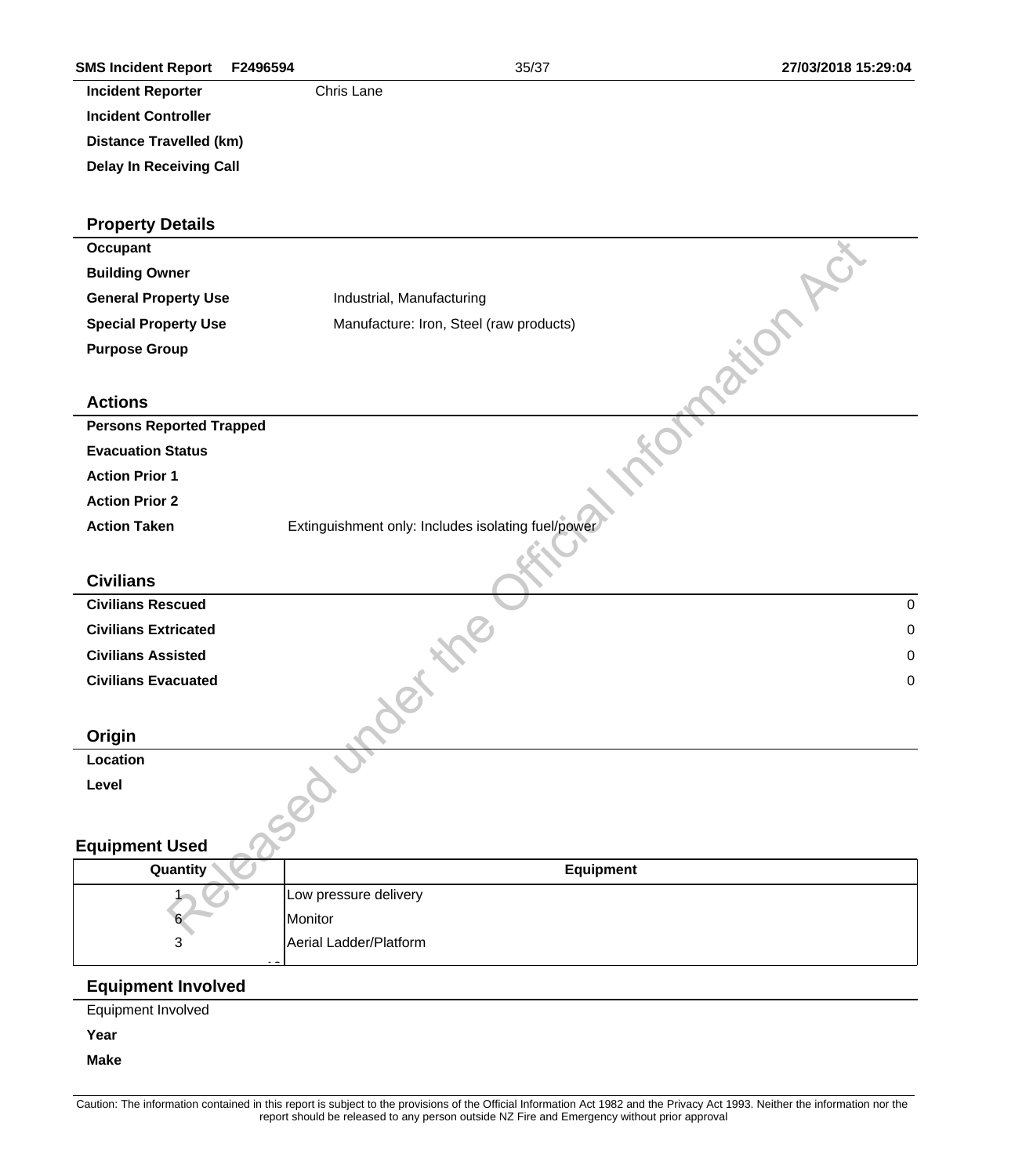| <b>SMS Incident Report</b><br>F2496594 | 35/37                                              | 27/03/2018 15:29:04 |
|----------------------------------------|----------------------------------------------------|---------------------|
| <b>Incident Reporter</b>               | Chris Lane                                         |                     |
| <b>Incident Controller</b>             |                                                    |                     |
| <b>Distance Travelled (km)</b>         |                                                    |                     |
| <b>Delay In Receiving Call</b>         |                                                    |                     |
| <b>Property Details</b>                |                                                    |                     |
| <b>Occupant</b>                        |                                                    |                     |
| <b>Building Owner</b>                  |                                                    |                     |
| <b>General Property Use</b>            | Industrial, Manufacturing                          |                     |
| <b>Special Property Use</b>            | Manufacture: Iron, Steel (raw products)            |                     |
| <b>Purpose Group</b>                   |                                                    |                     |
| <b>Actions</b>                         |                                                    |                     |
| <b>Persons Reported Trapped</b>        |                                                    |                     |
| <b>Evacuation Status</b>               |                                                    |                     |
| <b>Action Prior 1</b>                  |                                                    |                     |
| <b>Action Prior 2</b>                  |                                                    |                     |
| <b>Action Taken</b>                    | Extinguishment only: Includes isolating fuel/power |                     |
|                                        |                                                    |                     |
| <b>Civilians</b>                       |                                                    |                     |
| <b>Civilians Rescued</b>               |                                                    | $\pmb{0}$           |
| <b>Civilians Extricated</b>            |                                                    | $\mathbf 0$         |
| <b>Civilians Assisted</b>              |                                                    | $\mathbf 0$         |
| <b>Civilians Evacuated</b>             |                                                    | 0                   |
|                                        | 80                                                 |                     |
| Origin                                 |                                                    |                     |
| Location                               |                                                    |                     |
| Level                                  | $\overline{c}$                                     |                     |
|                                        |                                                    |                     |
| <b>Equipment Used</b>                  |                                                    |                     |
| Quantity                               | <b>Equipment</b>                                   |                     |
|                                        | Low pressure delivery                              |                     |
|                                        | Monitor                                            |                     |
| 3                                      | Aerial Ladder/Platform                             |                     |
| <b>Equipment Involved</b>              |                                                    |                     |
| Equipment Involved                     |                                                    |                     |
| Year                                   |                                                    |                     |

**Make**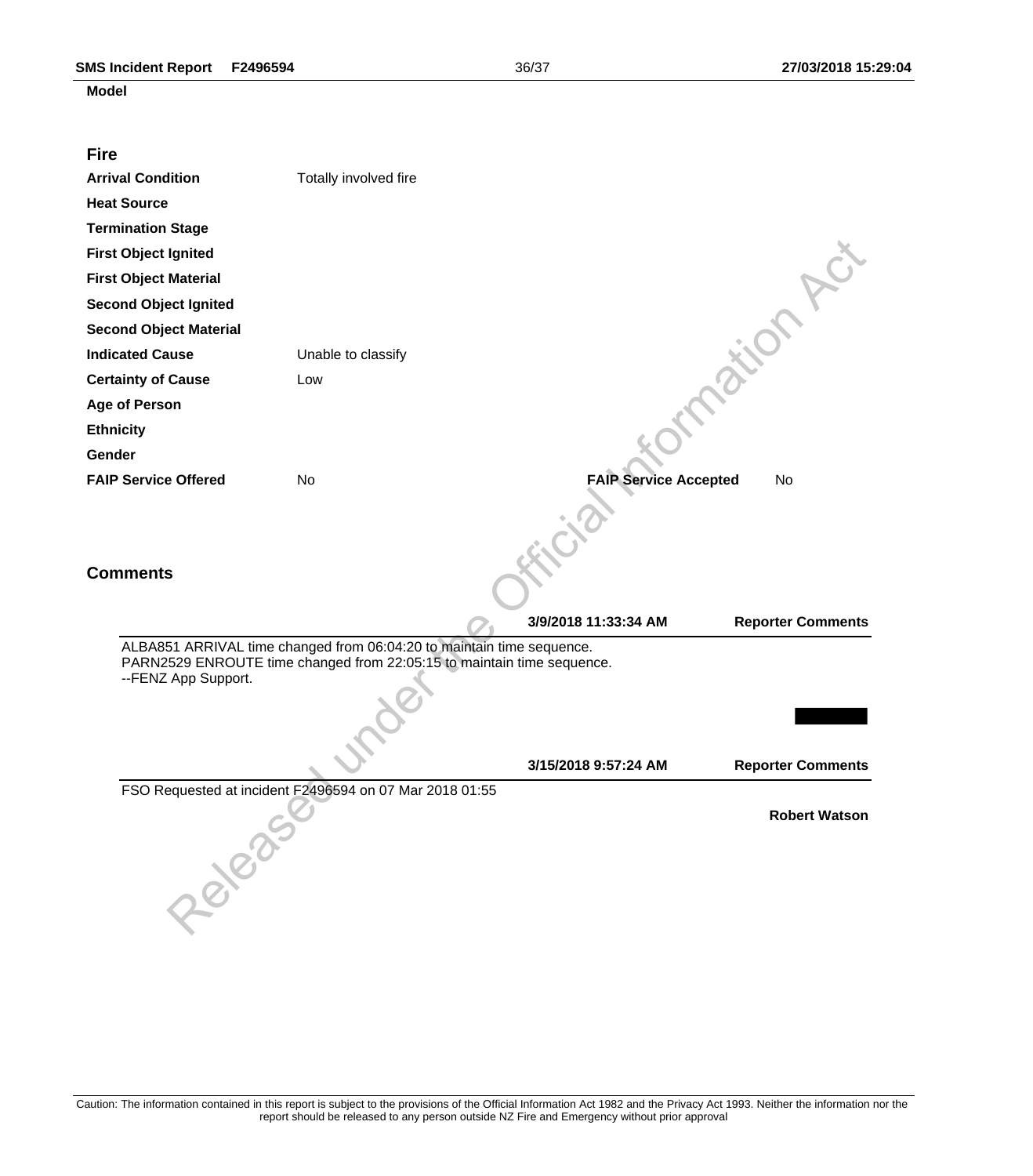## **Model**

| <b>Fire</b>                   |                                                                                                                                                 |                              |                          |
|-------------------------------|-------------------------------------------------------------------------------------------------------------------------------------------------|------------------------------|--------------------------|
| <b>Arrival Condition</b>      | Totally involved fire                                                                                                                           |                              |                          |
| <b>Heat Source</b>            |                                                                                                                                                 |                              |                          |
| <b>Termination Stage</b>      |                                                                                                                                                 |                              |                          |
| <b>First Object Ignited</b>   |                                                                                                                                                 |                              |                          |
| <b>First Object Material</b>  |                                                                                                                                                 |                              |                          |
| <b>Second Object Ignited</b>  |                                                                                                                                                 |                              |                          |
| <b>Second Object Material</b> |                                                                                                                                                 |                              |                          |
| <b>Indicated Cause</b>        | Unable to classify                                                                                                                              |                              |                          |
| <b>Certainty of Cause</b>     | Low                                                                                                                                             |                              |                          |
| <b>Age of Person</b>          |                                                                                                                                                 |                              |                          |
| <b>Ethnicity</b>              |                                                                                                                                                 |                              |                          |
| Gender                        |                                                                                                                                                 |                              |                          |
| <b>FAIP Service Offered</b>   | No                                                                                                                                              | <b>FAIP Service Accepted</b> | No                       |
| <b>Comments</b>               |                                                                                                                                                 |                              |                          |
|                               |                                                                                                                                                 | 3/9/2018 11:33:34 AM         | <b>Reporter Comments</b> |
| --FENZ App Support.           | ALBA851 ARRIVAL time changed from 06:04:20 to maintain time sequence.<br>PARN2529 ENROUTE time changed from 22:05:15 to maintain time sequence. |                              |                          |
|                               |                                                                                                                                                 | 3/15/2018 9:57:24 AM         | <b>Reporter Comments</b> |
| DECISION OF CONTROL           | FSO Requested at incident F2496594 on 07 Mar 2018 01:55                                                                                         |                              | <b>Robert Watson</b>     |